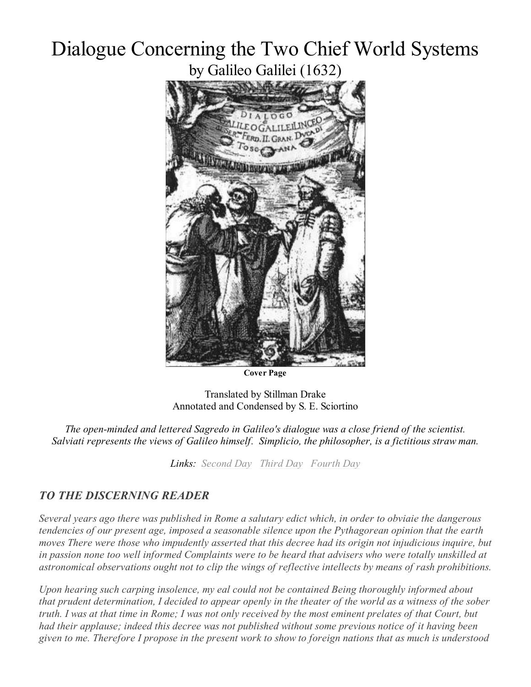# Dialogue Concerning the Two Chief World Systems by Galileo Galilei (1632)



Cover Page

Translated by Stillman Drake Annotated and Condensed by S. E. Sciortino

The open-minded and lettered Sagredo in Galileo's dialogue was a close friend of the scientist. Salviati represents the views of Galileo himself. Simplicio, the philosopher, is a fictitious straw man.

Links: Second Day Third Day Fourth Day

## TO THE DISCERNING READER

Several years ago there was published in Rome a salutary edict which, in order to obviaie the dangerous tendencies of our present age, imposed a seasonable silence upon the Pythagorean opinion that the earth moves There were those who impudently asserted that this decree had its origin not injudicious inquire, but in passion none too well informed Complaints were to be heard that advisers who were totally unskilled at astronomical observations ought not to clip the wings of reflective intellects by means of rash prohibitions.

Upon hearing such carping insolence, my eal could not be contained Being thoroughly informed about that prudent determination, I decided to appear openly in the theater of the world as a witness of the sober truth. I was at that time in Rome; I was not only received by the most eminent prelates of that Court, but had their applause; indeed this decree was not published without some previous notice of it having been given to me. Therefore I propose in the present work to show to foreign nations that as much is understood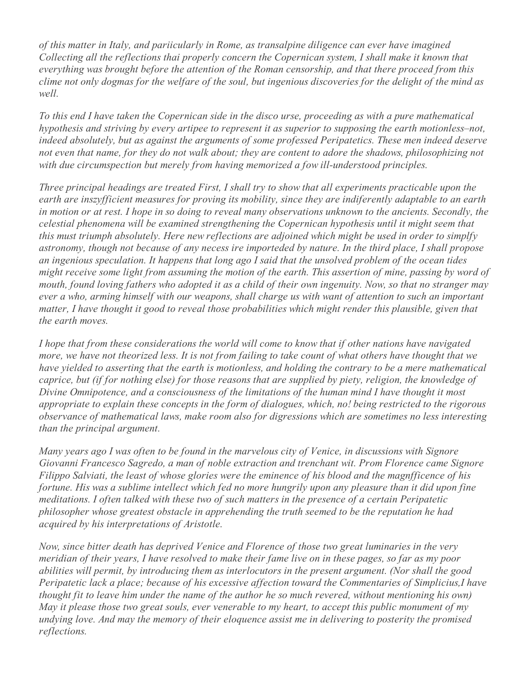of this matter in Italy, and pariicularly in Rome, as transalpine diligence can ever have imagined Collecting all the reflections thai properly concern the Copernican system, I shall make it known that everything was brought before the attention of the Roman censorship, and that there proceed from this clime not only dogmas for the welfare of the soul, but ingenious discoveries for the delight of the mind as well.

To this end I have taken the Copernican side in the disco urse, proceeding as with a pure mathematical hypothesis and striving by every artipee to represent it as superior to supposing the earth motionless–not, indeed absolutely, but as against the arguments of some professed Peripatetics. These men indeed deserve not even that name, for they do not walk about; they are content to adore the shadows, philosophizing not with due circumspection but merely from having memorized a fow ill-understood principles.

Three principal headings are treated First, I shall try to show that all experiments practicable upon the earth are inszyfficient measures for proving its mobility, since they are indiferently adaptable to an earth in motion or at rest. I hope in so doing to reveal many observations unknown to the ancients. Secondly, the celestial phenomena will be examined strengthening the Copernican hypothesis until it might seem that this must triumph absolutely. Here new reflections are adjoined which might be used in order to simplfy astronomy, though not because of any necess ire importeded by nature. In the third place, I shall propose an ingenious speculation. It happens that long ago I said that the unsolved problem of the ocean tides might receive some light from assuming the motion of the earth. This assertion of mine, passing by word of mouth, found loving fathers who adopted it as a child of their own ingenuity. Now, so that no stranger may ever a who, arming himself with our weapons, shall charge us with want of attention to such an important matter, I have thought it good to reveal those probabilities which might render this plausible, given that the earth moves.

I hope that from these considerations the world will come to know that if other nations have navigated more, we have not theorized less. It is not from failing to take count of what others have thought that we have yielded to asserting that the earth is motionless, and holding the contrary to be a mere mathematical caprice, but (if for nothing else) for those reasons that are supplied by piety, religion, the knowledge of Divine Omnipotence, and a consciousness of the limitations of the human mind I have thought it most appropriate to explain these concepts in the form of dialogues, which, no! being restricted to the rigorous observance of mathematical laws, make room also for digressions which are sometimes no less interesting than the principal argument.

Many years ago I was often to be found in the marvelous city of Venice, in discussions with Signore Giovanni Francesco Sagredo, a man of noble extraction and trenchant wit. Prom Florence came Signore Filippo Salviati, the least of whose glories were the eminence of his blood and the magnfficence of his fortune. His was a sublime intellect which fed no more hungrily upon any pleasure than it did upon fine meditations. I often talked with these two of such matters in the presence of a certain Peripatetic philosopher whose greatest obstacle in apprehending the truth seemed to be the reputation he had acquired by his interpretations of Aristotle.

Now, since bitter death has deprived Venice and Florence of those two great luminaries in the very meridian of their years, I have resolved to make their fame live on in these pages, so far as my poor abilities will permit, by introducing them as interlocutors in the present argument. (Nor shall the good Peripatetic lack a place; because of his excessive affection toward the Commentaries of Simplicius,I have thought fit to leave him under the name of the author he so much revered, without mentioning his own) May it please those two great souls, ever venerable to my heart, to accept this public monument of my undying love. And may the memory of their eloquence assist me in delivering to posterity the promised reflections.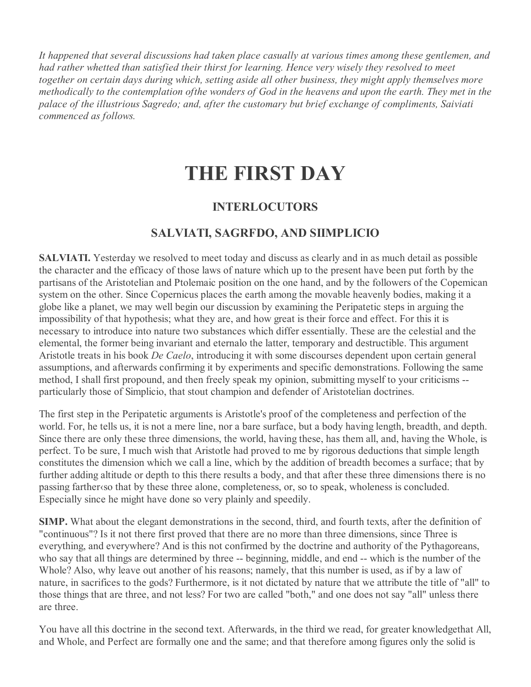It happened that several discussions had taken place casually at various times among these gentlemen, and had rather whetted than satisfied their thirst for learning. Hence very wisely they resolved to meet together on certain days during which, setting aside all other business, they might apply themselves more methodically to the contemplation ofthe wonders of God in the heavens and upon the earth. They met in the palace of the illustrious Sagredo; and, after the customary but brief exchange of compliments, Saiviati commenced as follows.

# THE FIRST DAY

## INTERLOCUTORS

## SALVIATI, SAGRFDO, AND SIIMPLICIO

SALVIATI. Yesterday we resolved to meet today and discuss as clearly and in as much detail as possible the character and the efficacy of those laws of nature which up to the present have been put forth by the partisans of the Aristotelian and Ptolemaic position on the one hand, and by the followers of the Copemican system on the other. Since Copernicus places the earth among the movable heavenly bodies, making it a globe like a planet, we may well begin our discussion by examining the Peripatetic steps in arguing the impossibility of that hypothesis; what they are, and how great is their force and effect. For this it is necessary to introduce into nature two substances which differ essentially. These are the celestial and the elemental, the former being invariant and eternalo the latter, temporary and destructible. This argument Aristotle treats in his book De Caelo, introducing it with some discourses dependent upon certain general assumptions, and afterwards confirming it by experiments and specific demonstrations. Following the same method, I shall first propound, and then freely speak my opinion, submitting myself to your criticisms - particularly those of Simplicio, that stout champion and defender of Aristotelian doctrines.

The first step in the Peripatetic arguments is Aristotle's proof of the completeness and perfection of the world. For, he tells us, it is not a mere line, nor a bare surface, but a body having length, breadth, and depth. Since there are only these three dimensions, the world, having these, has them all, and, having the Whole, is perfect. To be sure, I much wish that Aristotle had proved to me by rigorous deductions that simple length constitutes the dimension which we call a line, which by the addition of breadth becomes a surface; that by further adding altitude or depth to this there results a body, and that after these three dimensions there is no passing farther‹so that by these three alone, completeness, or, so to speak, wholeness is concluded. Especially since he might have done so very plainly and speedily.

SIMP. What about the elegant demonstrations in the second, third, and fourth texts, after the definition of "continuous"? Is it not there first proved that there are no more than three dimensions, since Three is everything, and everywhere? And is this not confirmed by the doctrine and authority of the Pythagoreans, who say that all things are determined by three -- beginning, middle, and end -- which is the number of the Whole? Also, why leave out another of his reasons; namely, that this number is used, as if by a law of nature, in sacrifices to the gods? Furthermore, is it not dictated by nature that we attribute the title of "all" to those things that are three, and not less? For two are called "both," and one does not say "all" unless there are three.

You have all this doctrine in the second text. Afterwards, in the third we read, for greater knowledgethat All, and Whole, and Perfect are formally one and the same; and that therefore among figures only the solid is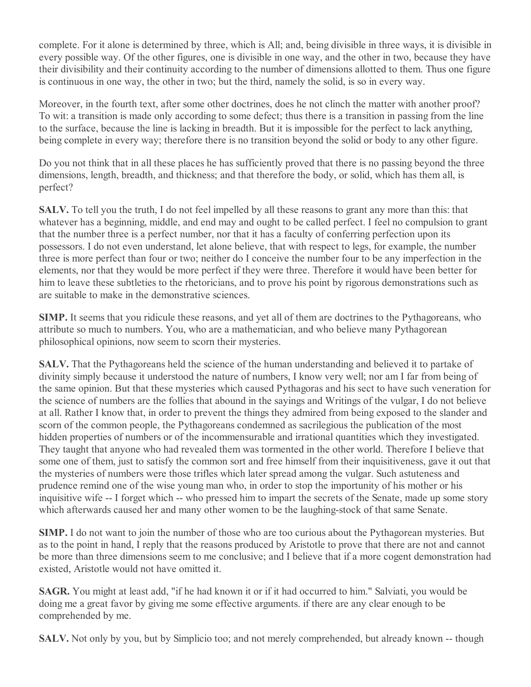complete. For it alone is determined by three, which is All; and, being divisible in three ways, it is divisible in every possible way. Of the other figures, one is divisible in one way, and the other in two, because they have their divisibility and their continuity according to the number of dimensions allotted to them. Thus one figure is continuous in one way, the other in two; but the third, namely the solid, is so in every way.

Moreover, in the fourth text, after some other doctrines, does he not clinch the matter with another proof? To wit: a transition is made only according to some defect; thus there is a transition in passing from the line to the surface, because the line is lacking in breadth. But it is impossible for the perfect to lack anything, being complete in every way; therefore there is no transition beyond the solid or body to any other figure.

Do you not think that in all these places he has sufficiently proved that there is no passing beyond the three dimensions, length, breadth, and thickness; and that therefore the body, or solid, which has them all, is perfect?

SALV. To tell you the truth, I do not feel impelled by all these reasons to grant any more than this: that whatever has a beginning, middle, and end may and ought to be called perfect. I feel no compulsion to grant that the number three is a perfect number, nor that it has a faculty of conferring perfection upon its possessors. I do not even understand, let alone believe, that with respect to legs, for example, the number three is more perfect than four or two; neither do I conceive the number four to be any imperfection in the elements, nor that they would be more perfect if they were three. Therefore it would have been better for him to leave these subtleties to the rhetoricians, and to prove his point by rigorous demonstrations such as are suitable to make in the demonstrative sciences.

SIMP. It seems that you ridicule these reasons, and yet all of them are doctrines to the Pythagoreans, who attribute so much to numbers. You, who are a mathematician, and who believe many Pythagorean philosophical opinions, now seem to scorn their mysteries.

SALV. That the Pythagoreans held the science of the human understanding and believed it to partake of divinity simply because it understood the nature of numbers, I know very well; nor am I far from being of the same opinion. But that these mysteries which caused Pythagoras and his sect to have such veneration for the science of numbers are the follies that abound in the sayings and Writings of the vulgar, I do not believe at all. Rather I know that, in order to prevent the things they admired from being exposed to the slander and scorn of the common people, the Pythagoreans condemned as sacrilegious the publication of the most hidden properties of numbers or of the incommensurable and irrational quantities which they investigated. They taught that anyone who had revealed them was tormented in the other world. Therefore I believe that some one of them, just to satisfy the common sort and free himself from their inquisitiveness, gave it out that the mysteries of numbers were those trifles which later spread among the vulgar. Such astuteness and prudence remind one of the wise young man who, in order to stop the importunity of his mother or his inquisitive wife -- I forget which -- who pressed him to impart the secrets of the Senate, made up some story which afterwards caused her and many other women to be the laughing-stock of that same Senate.

SIMP. I do not want to join the number of those who are too curious about the Pythagorean mysteries. But as to the point in hand, I reply that the reasons produced by Aristotle to prove that there are not and cannot be more than three dimensions seem to me conclusive; and I believe that if a more cogent demonstration had existed, Aristotle would not have omitted it.

SAGR. You might at least add, "if he had known it or if it had occurred to him." Salviati, you would be doing me a great favor by giving me some effective arguments. if there are any clear enough to be comprehended by me.

SALV. Not only by you, but by Simplicio too; and not merely comprehended, but already known -- though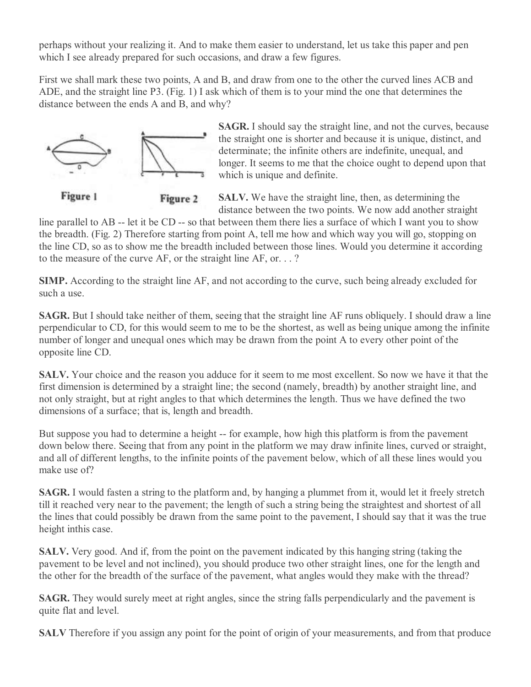perhaps without your realizing it. And to make them easier to understand, let us take this paper and pen which I see already prepared for such occasions, and draw a few figures.

First we shall mark these two points, A and B, and draw from one to the other the curved lines ACB and ADE, and the straight line P3. (Fig. 1) I ask which of them is to your mind the one that determines the distance between the ends A and B, and why?



Figure 2

Figure 1

SAGR. I should say the straight line, and not the curves, because the straight one is shorter and because it is unique, distinct, and determinate; the infinite others are indefinite, unequal, and longer. It seems to me that the choice ought to depend upon that which is unique and definite.

SALV. We have the straight line, then, as determining the distance between the two points. We now add another straight

line parallel to AB -- let it be CD -- so that between them there lies a surface of which I want you to show the breadth. (Fig. 2) Therefore starting from point A, tell me how and which way you will go, stopping on the line CD, so as to show me the breadth included between those lines. Would you determine it according to the measure of the curve AF, or the straight line AF, or. . . ?

SIMP. According to the straight line AF, and not according to the curve, such being already excluded for such a use.

SAGR. But I should take neither of them, seeing that the straight line AF runs obliquely. I should draw a line perpendicular to CD, for this would seem to me to be the shortest, as well as being unique among the infinite number of longer and unequal ones which may be drawn from the point A to every other point of the opposite line CD.

SALV. Your choice and the reason you adduce for it seem to me most excellent. So now we have it that the first dimension is determined by a straight line; the second (namely, breadth) by another straight line, and not only straight, but at right angles to that which determines the length. Thus we have defined the two dimensions of a surface; that is, length and breadth.

But suppose you had to determine a height -- for example, how high this platform is from the pavement down below there. Seeing that from any point in the platform we may draw infinite lines, curved or straight, and all of different lengths, to the infinite points of the pavement below, which of all these lines would you make use of?

SAGR. I would fasten a string to the platform and, by hanging a plummet from it, would let it freely stretch till it reached very near to the pavement; the length of such a string being the straightest and shortest of all the lines that could possibly be drawn from the same point to the pavement, I should say that it was the true height inthis case.

SALV. Very good. And if, from the point on the pavement indicated by this hanging string (taking the pavement to be level and not inclined), you should produce two other straight lines, one for the length and the other for the breadth of the surface of the pavement, what angles would they make with the thread?

SAGR. They would surely meet at right angles, since the string faIls perpendicularly and the pavement is quite flat and level.

SALV Therefore if you assign any point for the point of origin of your measurements, and from that produce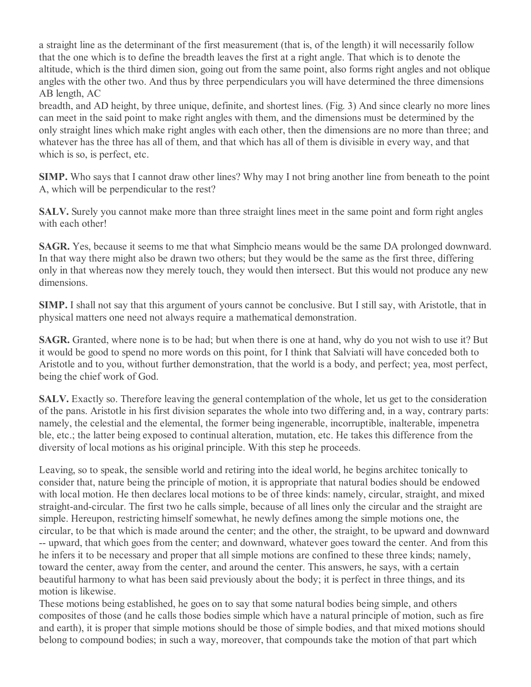a straight line as the determinant of the first measurement (that is, of the length) it will necessarily follow that the one which is to define the breadth leaves the first at a right angle. That which is to denote the altitude, which is the third dimen sion, going out from the same point, also forms right angles and not oblique angles with the other two. And thus by three perpendiculars you will have determined the three dimensions AB length, AC

breadth, and AD height, by three unique, definite, and shortest lines. (Fig. 3) And since clearly no more lines can meet in the said point to make right angles with them, and the dimensions must be determined by the only straight lines which make right angles with each other, then the dimensions are no more than three; and whatever has the three has all of them, and that which has all of them is divisible in every way, and that which is so, is perfect, etc.

SIMP. Who says that I cannot draw other lines? Why may I not bring another line from beneath to the point A, which will be perpendicular to the rest?

SALV. Surely you cannot make more than three straight lines meet in the same point and form right angles with each other!

SAGR. Yes, because it seems to me that what Simphcio means would be the same DA prolonged downward. In that way there might also be drawn two others; but they would be the same as the first three, differing only in that whereas now they merely touch, they would then intersect. But this would not produce any new dimensions.

SIMP. I shall not say that this argument of yours cannot be conclusive. But I still say, with Aristotle, that in physical matters one need not always require a mathematical demonstration.

SAGR. Granted, where none is to be had; but when there is one at hand, why do you not wish to use it? But it would be good to spend no more words on this point, for I think that Salviati will have conceded both to Aristotle and to you, without further demonstration, that the world is a body, and perfect; yea, most perfect, being the chief work of God.

SALV. Exactly so. Therefore leaving the general contemplation of the whole, let us get to the consideration of the pans. Aristotle in his first division separates the whole into two differing and, in a way, contrary parts: namely, the celestial and the elemental, the former being ingenerable, incorruptible, inalterable, impenetra ble, etc.; the latter being exposed to continual alteration, mutation, etc. He takes this difference from the diversity of local motions as his original principle. With this step he proceeds.

Leaving, so to speak, the sensible world and retiring into the ideal world, he begins architec tonically to consider that, nature being the principle of motion, it is appropriate that natural bodies should be endowed with local motion. He then declares local motions to be of three kinds: namely, circular, straight, and mixed straight-and-circular. The first two he calls simple, because of all lines only the circular and the straight are simple. Hereupon, restricting himself somewhat, he newly defines among the simple motions one, the circular, to be that which is made around the center; and the other, the straight, to be upward and downward -- upward, that which goes from the center; and downward, whatever goes toward the center. And from this he infers it to be necessary and proper that all simple motions are confined to these three kinds; namely, toward the center, away from the center, and around the center. This answers, he says, with a certain beautiful harmony to what has been said previously about the body; it is perfect in three things, and its motion is likewise.

These motions being established, he goes on to say that some natural bodies being simple, and others composites of those (and he calls those bodies simple which have a natural principle of motion, such as fire and earth), it is proper that simple motions should be those of simple bodies, and that mixed motions should belong to compound bodies; in such a way, moreover, that compounds take the motion of that part which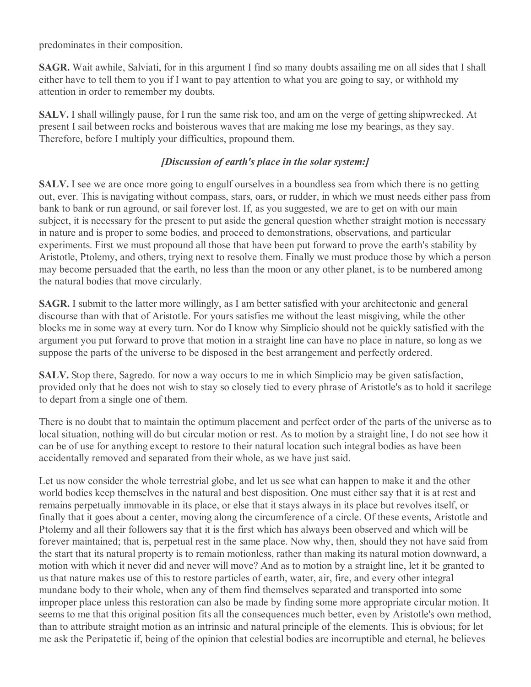predominates in their composition.

SAGR. Wait awhile, Salviati, for in this argument I find so many doubts assailing me on all sides that I shall either have to tell them to you if I want to pay attention to what you are going to say, or withhold my attention in order to remember my doubts.

SALV. I shall willingly pause, for I run the same risk too, and am on the verge of getting shipwrecked. At present I sail between rocks and boisterous waves that are making me lose my bearings, as they say. Therefore, before I multiply your difficulties, propound them.

#### [Discussion of earth's place in the solar system:]

SALV. I see we are once more going to engulf ourselves in a boundless sea from which there is no getting out, ever. This is navigating without compass, stars, oars, or rudder, in which we must needs either pass from bank to bank or run aground, or sail forever lost. If, as you suggested, we are to get on with our main subject, it is necessary for the present to put aside the general question whether straight motion is necessary in nature and is proper to some bodies, and proceed to demonstrations, observations, and particular experiments. First we must propound all those that have been put forward to prove the earth's stability by Aristotle, Ptolemy, and others, trying next to resolve them. Finally we must produce those by which a person may become persuaded that the earth, no less than the moon or any other planet, is to be numbered among the natural bodies that move circularly.

SAGR. I submit to the latter more willingly, as I am better satisfied with your architectonic and general discourse than with that of Aristotle. For yours satisfies me without the least misgiving, while the other blocks me in some way at every turn. Nor do I know why Simplicio should not be quickly satisfied with the argument you put forward to prove that motion in a straight line can have no place in nature, so long as we suppose the parts of the universe to be disposed in the best arrangement and perfectly ordered.

SALV. Stop there, Sagredo. for now a way occurs to me in which Simplicio may be given satisfaction, provided only that he does not wish to stay so closely tied to every phrase of Aristotle's as to hold it sacrilege to depart from a single one of them.

There is no doubt that to maintain the optimum placement and perfect order of the parts of the universe as to local situation, nothing will do but circular motion or rest. As to motion by a straight line, I do not see how it can be of use for anything except to restore to their natural location such integral bodies as have been accidentally removed and separated from their whole, as we have just said.

Let us now consider the whole terrestrial globe, and let us see what can happen to make it and the other world bodies keep themselves in the natural and best disposition. One must either say that it is at rest and remains perpetually immovable in its place, or else that it stays always in its place but revolves itself, or finally that it goes about a center, moving along the circumference of a circle. Of these events, Aristotle and Ptolemy and all their followers say that it is the first which has always been observed and which will be forever maintained; that is, perpetual rest in the same place. Now why, then, should they not have said from the start that its natural property is to remain motionless, rather than making its natural motion downward, a motion with which it never did and never will move? And as to motion by a straight line, let it be granted to us that nature makes use of this to restore particles of earth, water, air, fire, and every other integral mundane body to their whole, when any of them find themselves separated and transported into some improper place unless this restoration can also be made by finding some more appropriate circular motion. It seems to me that this original position fits all the consequences much better, even by Aristotle's own method, than to attribute straight motion as an intrinsic and natural principle of the elements. This is obvious; for let me ask the Peripatetic if, being of the opinion that celestial bodies are incorruptible and eternal, he believes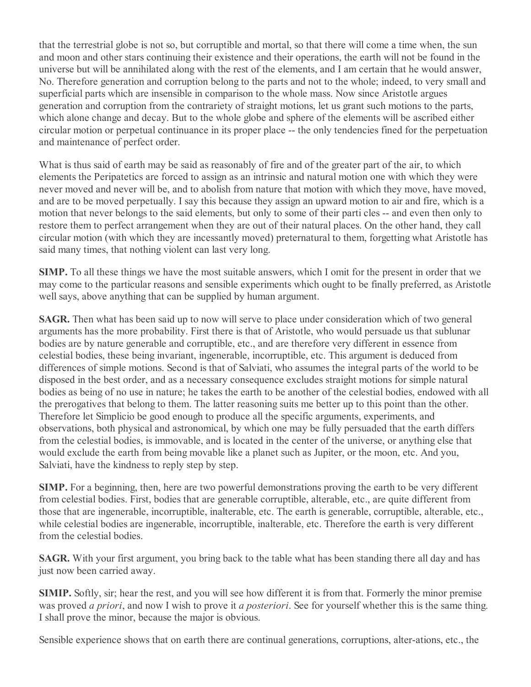that the terrestrial globe is not so, but corruptible and mortal, so that there will come a time when, the sun and moon and other stars continuing their existence and their operations, the earth will not be found in the universe but will be annihilated along with the rest of the elements, and I am certain that he would answer, No. Therefore generation and corruption belong to the parts and not to the whole; indeed, to very small and superficial parts which are insensible in comparison to the whole mass. Now since Aristotle argues generation and corruption from the contrariety of straight motions, let us grant such motions to the parts, which alone change and decay. But to the whole globe and sphere of the elements will be ascribed either circular motion or perpetual continuance in its proper place -- the only tendencies fined for the perpetuation and maintenance of perfect order.

What is thus said of earth may be said as reasonably of fire and of the greater part of the air, to which elements the Peripatetics are forced to assign as an intrinsic and natural motion one with which they were never moved and never will be, and to abolish from nature that motion with which they move, have moved, and are to be moved perpetually. I say this because they assign an upward motion to air and fire, which is a motion that never belongs to the said elements, but only to some of their parti cles -- and even then only to restore them to perfect arrangement when they are out of their natural places. On the other hand, they call circular motion (with which they are incessantly moved) preternatural to them, forgetting what Aristotle has said many times, that nothing violent can last very long.

SIMP. To all these things we have the most suitable answers, which I omit for the present in order that we may come to the particular reasons and sensible experiments which ought to be finally preferred, as Aristotle well says, above anything that can be supplied by human argument.

**SAGR.** Then what has been said up to now will serve to place under consideration which of two general arguments has the more probability. First there is that of Aristotle, who would persuade us that sublunar bodies are by nature generable and corruptible, etc., and are therefore very different in essence from celestial bodies, these being invariant, ingenerable, incorruptible, etc. This argument is deduced from differences of simple motions. Second is that of Salviati, who assumes the integral parts of the world to be disposed in the best order, and as a necessary consequence excludes straight motions for simple natural bodies as being of no use in nature; he takes the earth to be another of the celestial bodies, endowed with all the prerogatives that belong to them. The latter reasoning suits me better up to this point than the other. Therefore let Simplicio be good enough to produce all the specific arguments, experiments, and observations, both physical and astronomical, by which one may be fully persuaded that the earth differs from the celestial bodies, is immovable, and is located in the center of the universe, or anything else that would exclude the earth from being movable like a planet such as Jupiter, or the moon, etc. And you, Salviati, have the kindness to reply step by step.

SIMP. For a beginning, then, here are two powerful demonstrations proving the earth to be very different from celestial bodies. First, bodies that are generable corruptible, alterable, etc., are quite different from those that are ingenerable, incorruptible, inalterable, etc. The earth is generable, corruptible, alterable, etc., while celestial bodies are ingenerable, incorruptible, inalterable, etc. Therefore the earth is very different from the celestial bodies.

SAGR. With your first argument, you bring back to the table what has been standing there all day and has just now been carried away.

SIMIP. Softly, sir; hear the rest, and you will see how different it is from that. Formerly the minor premise was proved *a priori*, and now I wish to prove it *a posteriori*. See for yourself whether this is the same thing. I shall prove the minor, because the major is obvious.

Sensible experience shows that on earth there are continual generations, corruptions, alter-ations, etc., the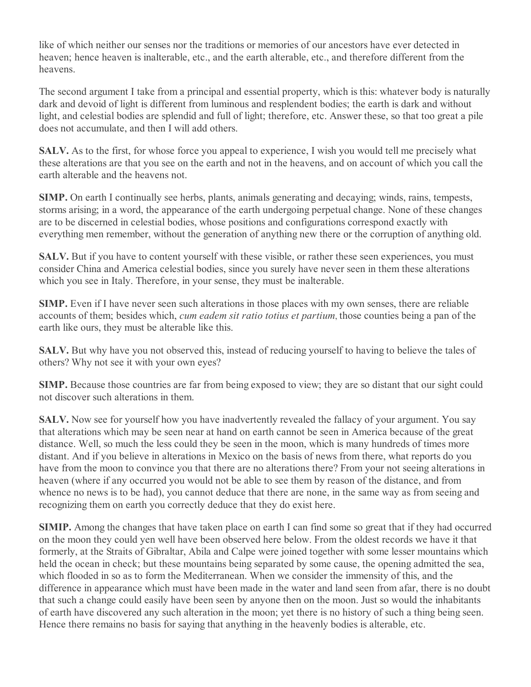like of which neither our senses nor the traditions or memories of our ancestors have ever detected in heaven; hence heaven is inalterable, etc., and the earth alterable, etc., and therefore different from the heavens.

The second argument I take from a principal and essential property, which is this: whatever body is naturally dark and devoid of light is different from luminous and resplendent bodies; the earth is dark and without light, and celestial bodies are splendid and full of light; therefore, etc. Answer these, so that too great a pile does not accumulate, and then I will add others.

SALV. As to the first, for whose force you appeal to experience, I wish you would tell me precisely what these alterations are that you see on the earth and not in the heavens, and on account of which you call the earth alterable and the heavens not.

SIMP. On earth I continually see herbs, plants, animals generating and decaying; winds, rains, tempests, storms arising; in a word, the appearance of the earth undergoing perpetual change. None of these changes are to be discerned in celestial bodies, whose positions and configurations correspond exactly with everything men remember, without the generation of anything new there or the corruption of anything old.

SALV. But if you have to content yourself with these visible, or rather these seen experiences, you must consider China and America celestial bodies, since you surely have never seen in them these alterations which you see in Italy. Therefore, in your sense, they must be inalterable.

SIMP. Even if I have never seen such alterations in those places with my own senses, there are reliable accounts of them; besides which, *cum eadem sit ratio totius et partium*, those counties being a pan of the earth like ours, they must be alterable like this.

SALV. But why have you not observed this, instead of reducing yourself to having to believe the tales of others? Why not see it with your own eyes?

SIMP. Because those countries are far from being exposed to view; they are so distant that our sight could not discover such alterations in them.

SALV. Now see for yourself how you have inadvertently revealed the fallacy of your argument. You say that alterations which may be seen near at hand on earth cannot be seen in America because of the great distance. Well, so much the less could they be seen in the moon, which is many hundreds of times more distant. And if you believe in alterations in Mexico on the basis of news from there, what reports do you have from the moon to convince you that there are no alterations there? From your not seeing alterations in heaven (where if any occurred you would not be able to see them by reason of the distance, and from whence no news is to be had), you cannot deduce that there are none, in the same way as from seeing and recognizing them on earth you correctly deduce that they do exist here.

SIMIP. Among the changes that have taken place on earth I can find some so great that if they had occurred on the moon they could yen well have been observed here below. From the oldest records we have it that formerly, at the Straits of Gibraltar, Abila and Calpe were joined together with some lesser mountains which held the ocean in check; but these mountains being separated by some cause, the opening admitted the sea, which flooded in so as to form the Mediterranean. When we consider the immensity of this, and the difference in appearance which must have been made in the water and land seen from afar, there is no doubt that such a change could easily have been seen by anyone then on the moon. Just so would the inhabitants of earth have discovered any such alteration in the moon; yet there is no history of such a thing being seen. Hence there remains no basis for saying that anything in the heavenly bodies is alterable, etc.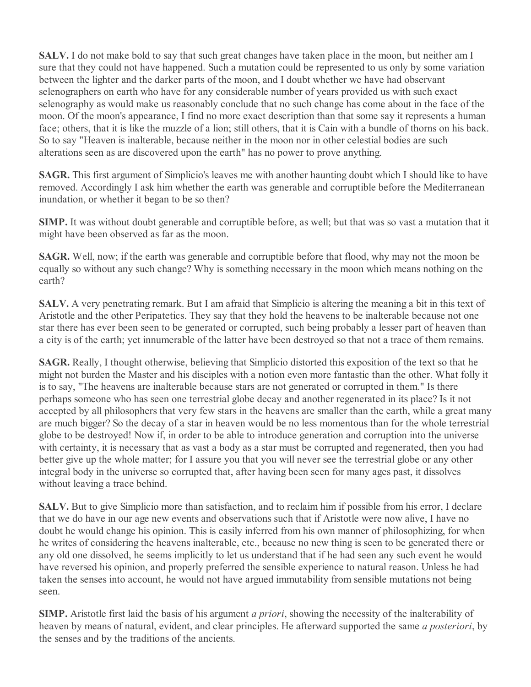SALV. I do not make bold to say that such great changes have taken place in the moon, but neither am I sure that they could not have happened. Such a mutation could be represented to us only by some variation between the lighter and the darker parts of the moon, and I doubt whether we have had observant selenographers on earth who have for any considerable number of years provided us with such exact selenography as would make us reasonably conclude that no such change has come about in the face of the moon. Of the moon's appearance, I find no more exact description than that some say it represents a human face; others, that it is like the muzzle of a lion; still others, that it is Cain with a bundle of thorns on his back. So to say "Heaven is inalterable, because neither in the moon nor in other celestial bodies are such alterations seen as are discovered upon the earth" has no power to prove anything.

SAGR. This first argument of Simplicio's leaves me with another haunting doubt which I should like to have removed. Accordingly I ask him whether the earth was generable and corruptible before the Mediterranean inundation, or whether it began to be so then?

SIMP. It was without doubt generable and corruptible before, as well; but that was so vast a mutation that it might have been observed as far as the moon.

SAGR. Well, now; if the earth was generable and corruptible before that flood, why may not the moon be equally so without any such change? Why is something necessary in the moon which means nothing on the earth?

SALV. A very penetrating remark. But I am afraid that Simplicio is altering the meaning a bit in this text of Aristotle and the other Peripatetics. They say that they hold the heavens to be inalterable because not one star there has ever been seen to be generated or corrupted, such being probably a lesser part of heaven than a city is of the earth; yet innumerable of the latter have been destroyed so that not a trace of them remains.

SAGR. Really, I thought otherwise, believing that Simplicio distorted this exposition of the text so that he might not burden the Master and his disciples with a notion even more fantastic than the other. What folly it is to say, "The heavens are inalterable because stars are not generated or corrupted in them." Is there perhaps someone who has seen one terrestrial globe decay and another regenerated in its place? Is it not accepted by all philosophers that very few stars in the heavens are smaller than the earth, while a great many are much bigger? So the decay of a star in heaven would be no less momentous than for the whole terrestrial globe to be destroyed! Now if, in order to be able to introduce generation and corruption into the universe with certainty, it is necessary that as vast a body as a star must be corrupted and regenerated, then you had better give up the whole matter; for I assure you that you will never see the terrestrial globe or any other integral body in the universe so corrupted that, after having been seen for many ages past, it dissolves without leaving a trace behind.

SALV. But to give Simplicio more than satisfaction, and to reclaim him if possible from his error, I declare that we do have in our age new events and observations such that if Aristotle were now alive, I have no doubt he would change his opinion. This is easily inferred from his own manner of philosophizing, for when he writes of considering the heavens inalterable, etc., because no new thing is seen to be generated there or any old one dissolved, he seems implicitly to let us understand that if he had seen any such event he would have reversed his opinion, and properly preferred the sensible experience to natural reason. Unless he had taken the senses into account, he would not have argued immutability from sensible mutations not being seen.

SIMP. Aristotle first laid the basis of his argument *a priori*, showing the necessity of the inalterability of heaven by means of natural, evident, and clear principles. He afterward supported the same *a posteriori*, by the senses and by the traditions of the ancients.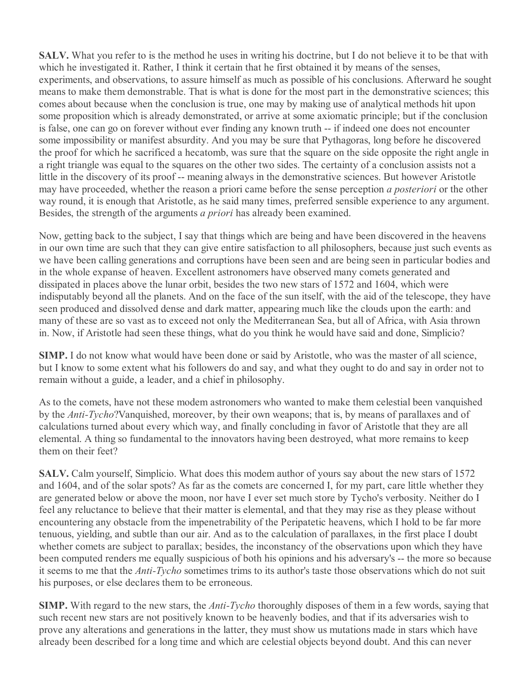SALV. What you refer to is the method he uses in writing his doctrine, but I do not believe it to be that with which he investigated it. Rather, I think it certain that he first obtained it by means of the senses, experiments, and observations, to assure himself as much as possible of his conclusions. Afterward he sought means to make them demonstrable. That is what is done for the most part in the demonstrative sciences; this comes about because when the conclusion is true, one may by making use of analytical methods hit upon some proposition which is already demonstrated, or arrive at some axiomatic principle; but if the conclusion is false, one can go on forever without ever finding any known truth -- if indeed one does not encounter some impossibility or manifest absurdity. And you may be sure that Pythagoras, long before he discovered the proof for which he sacrificed a hecatomb, was sure that the square on the side opposite the right angle in a right triangle was equal to the squares on the other two sides. The certainty of a conclusion assists not a little in the discovery of its proof -- meaning always in the demonstrative sciences. But however Aristotle may have proceeded, whether the reason a priori came before the sense perception *a posteriori* or the other way round, it is enough that Aristotle, as he said many times, preferred sensible experience to any argument. Besides, the strength of the arguments *a priori* has already been examined.

Now, getting back to the subject, I say that things which are being and have been discovered in the heavens in our own time are such that they can give entire satisfaction to all philosophers, because just such events as we have been calling generations and corruptions have been seen and are being seen in particular bodies and in the whole expanse of heaven. Excellent astronomers have observed many comets generated and dissipated in places above the lunar orbit, besides the two new stars of 1572 and 1604, which were indisputably beyond all the planets. And on the face of the sun itself, with the aid of the telescope, they have seen produced and dissolved dense and dark matter, appearing much like the clouds upon the earth: and many of these are so vast as to exceed not only the Mediterranean Sea, but all of Africa, with Asia thrown in. Now, if Aristotle had seen these things, what do you think he would have said and done, Simplicio?

SIMP. I do not know what would have been done or said by Aristotle, who was the master of all science, but I know to some extent what his followers do and say, and what they ought to do and say in order not to remain without a guide, a leader, and a chief in philosophy.

As to the comets, have not these modem astronomers who wanted to make them celestial been vanquished by the *Anti-Tycho*?Vanquished, moreover, by their own weapons; that is, by means of parallaxes and of calculations turned about every which way, and finally concluding in favor of Aristotle that they are all elemental. A thing so fundamental to the innovators having been destroyed, what more remains to keep them on their feet?

SALV. Calm yourself, Simplicio. What does this modem author of yours say about the new stars of 1572 and 1604, and of the solar spots? As far as the comets are concerned I, for my part, care little whether they are generated below or above the moon, nor have I ever set much store by Tycho's verbosity. Neither do I feel any reluctance to believe that their matter is elemental, and that they may rise as they please without encountering any obstacle from the impenetrability of the Peripatetic heavens, which I hold to be far more tenuous, yielding, and subtle than our air. And as to the calculation of parallaxes, in the first place I doubt whether comets are subject to parallax; besides, the inconstancy of the observations upon which they have been computed renders me equally suspicious of both his opinions and his adversary's -- the more so because it seems to me that the Anti-Tycho sometimes trims to its author's taste those observations which do not suit his purposes, or else declares them to be erroneous.

**SIMP.** With regard to the new stars, the *Anti-Tycho* thoroughly disposes of them in a few words, saying that such recent new stars are not positively known to be heavenly bodies, and that if its adversaries wish to prove any alterations and generations in the latter, they must show us mutations made in stars which have already been described for a long time and which are celestial objects beyond doubt. And this can never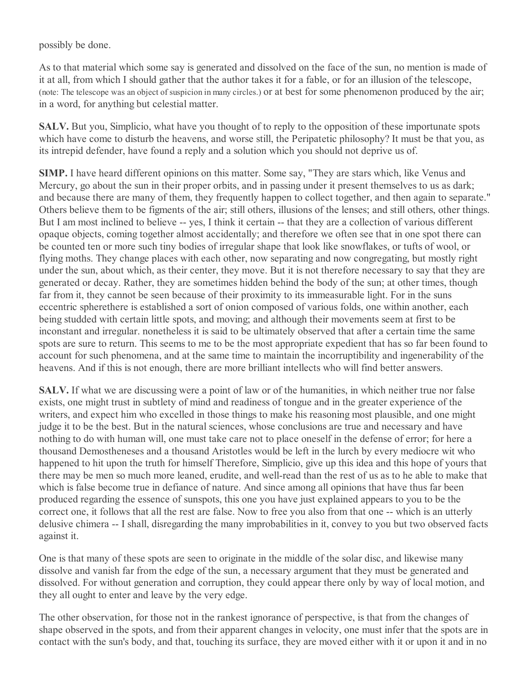possibly be done.

As to that material which some say is generated and dissolved on the face of the sun, no mention is made of it at all, from which I should gather that the author takes it for a fable, or for an illusion of the telescope, (note: The telescope was an object of suspicion in many circles.) or at best for some phenomenon produced by the air; in a word, for anything but celestial matter.

SALV. But you, Simplicio, what have you thought of to reply to the opposition of these importunate spots which have come to disturb the heavens, and worse still, the Peripatetic philosophy? It must be that you, as its intrepid defender, have found a reply and a solution which you should not deprive us of.

SIMP. I have heard different opinions on this matter. Some say, "They are stars which, like Venus and Mercury, go about the sun in their proper orbits, and in passing under it present themselves to us as dark; and because there are many of them, they frequently happen to collect together, and then again to separate." Others believe them to be figments of the air; still others, illusions of the lenses; and still others, other things. But I am most inclined to believe -- yes, I think it certain -- that they are a collection of various different opaque objects, coming together almost accidentally; and therefore we often see that in one spot there can be counted ten or more such tiny bodies of irregular shape that look like snowflakes, or tufts of wool, or flying moths. They change places with each other, now separating and now congregating, but mostly right under the sun, about which, as their center, they move. But it is not therefore necessary to say that they are generated or decay. Rather, they are sometimes hidden behind the body of the sun; at other times, though far from it, they cannot be seen because of their proximity to its immeasurable light. For in the suns eccentric spherethere is established a sort of onion composed of various folds, one within another, each being studded with certain little spots, and moving; and although their movements seem at first to be inconstant and irregular. nonetheless it is said to be ultimately observed that after a certain time the same spots are sure to return. This seems to me to be the most appropriate expedient that has so far been found to account for such phenomena, and at the same time to maintain the incorruptibility and ingenerability of the heavens. And if this is not enough, there are more brilliant intellects who will find better answers.

SALV. If what we are discussing were a point of law or of the humanities, in which neither true nor false exists, one might trust in subtlety of mind and readiness of tongue and in the greater experience of the writers, and expect him who excelled in those things to make his reasoning most plausible, and one might judge it to be the best. But in the natural sciences, whose conclusions are true and necessary and have nothing to do with human will, one must take care not to place oneself in the defense of error; for here a thousand Demostheneses and a thousand Aristotles would be left in the lurch by every mediocre wit who happened to hit upon the truth for himself Therefore, Simplicio, give up this idea and this hope of yours that there may be men so much more leaned, erudite, and well-read than the rest of us as to he able to make that which is false become true in defiance of nature. And since among all opinions that have thus far been produced regarding the essence of sunspots, this one you have just explained appears to you to be the correct one, it follows that all the rest are false. Now to free you also from that one -- which is an utterly delusive chimera -- I shall, disregarding the many improbabilities in it, convey to you but two observed facts against it.

One is that many of these spots are seen to originate in the middle of the solar disc, and likewise many dissolve and vanish far from the edge of the sun, a necessary argument that they must be generated and dissolved. For without generation and corruption, they could appear there only by way of local motion, and they all ought to enter and leave by the very edge.

The other observation, for those not in the rankest ignorance of perspective, is that from the changes of shape observed in the spots, and from their apparent changes in velocity, one must infer that the spots are in contact with the sun's body, and that, touching its surface, they are moved either with it or upon it and in no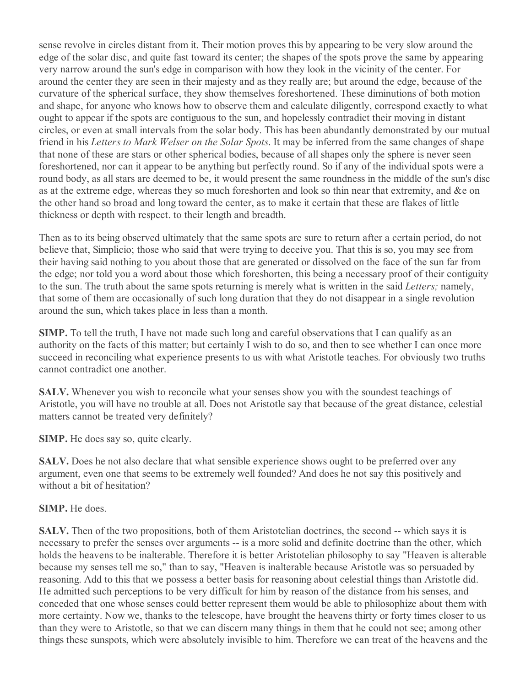sense revolve in circles distant from it. Their motion proves this by appearing to be very slow around the edge of the solar disc, and quite fast toward its center; the shapes of the spots prove the same by appearing very narrow around the sun's edge in comparison with how they look in the vicinity of the center. For around the center they are seen in their majesty and as they really are; but around the edge, because of the curvature of the spherical surface, they show themselves foreshortened. These diminutions of both motion and shape, for anyone who knows how to observe them and calculate diligently, correspond exactly to what ought to appear if the spots are contiguous to the sun, and hopelessly contradict their moving in distant circles, or even at small intervals from the solar body. This has been abundantly demonstrated by our mutual friend in his Letters to Mark Welser on the Solar Spots. It may be inferred from the same changes of shape that none of these are stars or other spherical bodies, because of all shapes only the sphere is never seen foreshortened, nor can it appear to be anything but perfectly round. So if any of the individual spots were a round body, as all stars are deemed to be, it would present the same roundness in the middle of the sun's disc as at the extreme edge, whereas they so much foreshorten and look so thin near that extremity, and &e on the other hand so broad and long toward the center, as to make it certain that these are flakes of little thickness or depth with respect. to their length and breadth.

Then as to its being observed ultimately that the same spots are sure to return after a certain period, do not believe that, Simplicio; those who said that were trying to deceive you. That this is so, you may see from their having said nothing to you about those that are generated or dissolved on the face of the sun far from the edge; nor told you a word about those which foreshorten, this being a necessary proof of their contiguity to the sun. The truth about the same spots returning is merely what is written in the said Letters; namely, that some of them are occasionally of such long duration that they do not disappear in a single revolution around the sun, which takes place in less than a month.

SIMP. To tell the truth, I have not made such long and careful observations that I can qualify as an authority on the facts of this matter; but certainly I wish to do so, and then to see whether I can once more succeed in reconciling what experience presents to us with what Aristotle teaches. For obviously two truths cannot contradict one another.

SALV. Whenever you wish to reconcile what your senses show you with the soundest teachings of Aristotle, you will have no trouble at all. Does not Aristotle say that because of the great distance, celestial matters cannot be treated very definitely?

SIMP. He does say so, quite clearly.

SALV. Does he not also declare that what sensible experience shows ought to be preferred over any argument, even one that seems to be extremely well founded? And does he not say this positively and without a bit of hesitation?

#### SIMP. He does.

SALV. Then of the two propositions, both of them Aristotelian doctrines, the second -- which says it is necessary to prefer the senses over arguments -- is a more solid and definite doctrine than the other, which holds the heavens to be inalterable. Therefore it is better Aristotelian philosophy to say "Heaven is alterable because my senses tell me so," than to say, "Heaven is inalterable because Aristotle was so persuaded by reasoning. Add to this that we possess a better basis for reasoning about celestial things than Aristotle did. He admitted such perceptions to be very difficult for him by reason of the distance from his senses, and conceded that one whose senses could better represent them would be able to philosophize about them with more certainty. Now we, thanks to the telescope, have brought the heavens thirty or forty times closer to us than they were to Aristotle, so that we can discern many things in them that he could not see; among other things these sunspots, which were absolutely invisible to him. Therefore we can treat of the heavens and the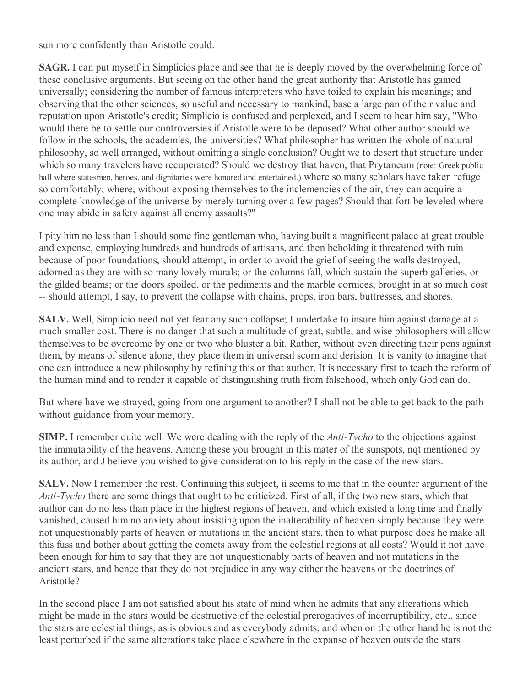sun more confidently than Aristotle could.

SAGR. I can put myself in Simplicios place and see that he is deeply moved by the overwhelming force of these conclusive arguments. But seeing on the other hand the great authority that Aristotle has gained universally; considering the number of famous interpreters who have toiled to explain his meanings; and observing that the other sciences, so useful and necessary to mankind, base a large pan of their value and reputation upon Aristotle's credit; Simplicio is confused and perplexed, and I seem to hear him say, "Who would there be to settle our controversies if Aristotle were to be deposed? What other author should we follow in the schools, the academies, the universities? What philosopher has written the whole of natural philosophy, so well arranged, without omitting a single conclusion? Ought we to desert that structure under which so many travelers have recuperated? Should we destroy that haven, that Prytaneum (note: Greek public hall where statesmen, heroes, and dignitaries were honored and entertained.) where so many scholars have taken refuge so comfortably; where, without exposing themselves to the inclemencies of the air, they can acquire a complete knowledge of the universe by merely turning over a few pages? Should that fort be leveled where one may abide in safety against all enemy assaults?"

I pity him no less than I should some fine gentleman who, having built a magnificent palace at great trouble and expense, employing hundreds and hundreds of artisans, and then beholding it threatened with ruin because of poor foundations, should attempt, in order to avoid the grief of seeing the walls destroyed, adorned as they are with so many lovely murals; or the columns fall, which sustain the superb galleries, or the gilded beams; or the doors spoiled, or the pediments and the marble cornices, brought in at so much cost -- should attempt, I say, to prevent the collapse with chains, props, iron bars, buttresses, and shores.

SALV. Well, Simplicio need not yet fear any such collapse; I undertake to insure him against damage at a much smaller cost. There is no danger that such a multitude of great, subtle, and wise philosophers will allow themselves to be overcome by one or two who bluster a bit. Rather, without even directing their pens against them, by means of silence alone, they place them in universal scorn and derision. It is vanity to imagine that one can introduce a new philosophy by refining this or that author, It is necessary first to teach the reform of the human mind and to render it capable of distinguishing truth from falsehood, which only God can do.

But where have we strayed, going from one argument to another? I shall not be able to get back to the path without guidance from your memory.

**SIMP.** I remember quite well. We were dealing with the reply of the *Anti-Tycho* to the objections against the immutability of the heavens. Among these you brought in this mater of the sunspots, nqt mentioned by its author, and J believe you wished to give consideration to his reply in the case of the new stars.

SALV. Now I remember the rest. Continuing this subject, ii seems to me that in the counter argument of the Anti-Tycho there are some things that ought to be criticized. First of all, if the two new stars, which that author can do no less than place in the highest regions of heaven, and which existed a long time and finally vanished, caused him no anxiety about insisting upon the inalterability of heaven simply because they were not unquestionably parts of heaven or mutations in the ancient stars, then to what purpose does he make all this fuss and bother about getting the comets away from the celestial regions at all costs? Would it not have been enough for him to say that they are not unquestionably parts of heaven and not mutations in the ancient stars, and hence that they do not prejudice in any way either the heavens or the doctrines of Aristotle?

In the second place I am not satisfied about his state of mind when he admits that any alterations which might be made in the stars would be destructive of the celestial prerogatives of incorruptibility, etc., since the stars are celestial things, as is obvious and as everybody admits, and when on the other hand he is not the least perturbed if the same alterations take place elsewhere in the expanse of heaven outside the stars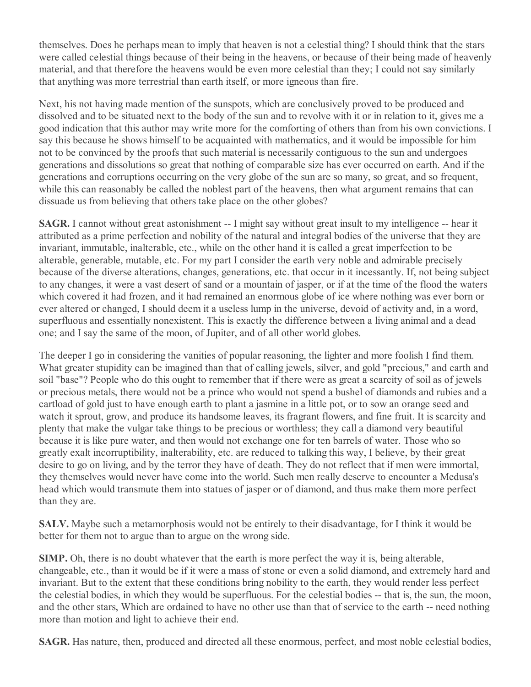themselves. Does he perhaps mean to imply that heaven is not a celestial thing? I should think that the stars were called celestial things because of their being in the heavens, or because of their being made of heavenly material, and that therefore the heavens would be even more celestial than they; I could not say similarly that anything was more terrestrial than earth itself, or more igneous than fire.

Next, his not having made mention of the sunspots, which are conclusively proved to be produced and dissolved and to be situated next to the body of the sun and to revolve with it or in relation to it, gives me a good indication that this author may write more for the comforting of others than from his own convictions. I say this because he shows himself to be acquainted with mathematics, and it would be impossible for him not to be convinced by the proofs that such material is necessarily contiguous to the sun and undergoes generations and dissolutions so great that nothing of comparable size has ever occurred on earth. And if the generations and corruptions occurring on the very globe of the sun are so many, so great, and so frequent, while this can reasonably be called the noblest part of the heavens, then what argument remains that can dissuade us from believing that others take place on the other globes?

SAGR. I cannot without great astonishment -- I might say without great insult to my intelligence -- hear it attributed as a prime perfection and nobility of the natural and integral bodies of the universe that they are invariant, immutable, inalterable, etc., while on the other hand it is called a great imperfection to be alterable, generable, mutable, etc. For my part I consider the earth very noble and admirable precisely because of the diverse alterations, changes, generations, etc. that occur in it incessantly. If, not being subject to any changes, it were a vast desert of sand or a mountain of jasper, or if at the time of the flood the waters which covered it had frozen, and it had remained an enormous globe of ice where nothing was ever born or ever altered or changed, I should deem it a useless lump in the universe, devoid of activity and, in a word, superfluous and essentially nonexistent. This is exactly the difference between a living animal and a dead one; and I say the same of the moon, of Jupiter, and of all other world globes.

The deeper I go in considering the vanities of popular reasoning, the lighter and more foolish I find them. What greater stupidity can be imagined than that of calling jewels, silver, and gold "precious," and earth and soil "base"? People who do this ought to remember that if there were as great a scarcity of soil as of jewels or precious metals, there would not be a prince who would not spend a bushel of diamonds and rubies and a cartload of gold just to have enough earth to plant a jasmine in a little pot, or to sow an orange seed and watch it sprout, grow, and produce its handsome leaves, its fragrant flowers, and fine fruit. It is scarcity and plenty that make the vulgar take things to be precious or worthless; they call a diamond very beautiful because it is like pure water, and then would not exchange one for ten barrels of water. Those who so greatly exalt incorruptibility, inalterability, etc. are reduced to talking this way, I believe, by their great desire to go on living, and by the terror they have of death. They do not reflect that if men were immortal, they themselves would never have come into the world. Such men really deserve to encounter a Medusa's head which would transmute them into statues of jasper or of diamond, and thus make them more perfect than they are.

SALV. Maybe such a metamorphosis would not be entirely to their disadvantage, for I think it would be better for them not to argue than to argue on the wrong side.

SIMP. Oh, there is no doubt whatever that the earth is more perfect the way it is, being alterable, changeable, etc., than it would be if it were a mass of stone or even a solid diamond, and extremely hard and invariant. But to the extent that these conditions bring nobility to the earth, they would render less perfect the celestial bodies, in which they would be superfluous. For the celestial bodies -- that is, the sun, the moon, and the other stars, Which are ordained to have no other use than that of service to the earth -- need nothing more than motion and light to achieve their end.

SAGR. Has nature, then, produced and directed all these enormous, perfect, and most noble celestial bodies,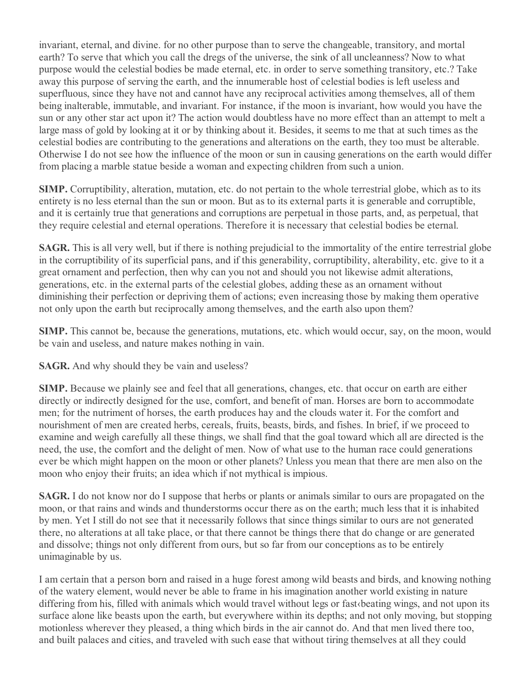invariant, eternal, and divine. for no other purpose than to serve the changeable, transitory, and mortal earth? To serve that which you call the dregs of the universe, the sink of all uncleanness? Now to what purpose would the celestial bodies be made eternal, etc. in order to serve something transitory, etc.? Take away this purpose of serving the earth, and the innumerable host of celestial bodies is left useless and superfluous, since they have not and cannot have any reciprocal activities among themselves, all of them being inalterable, immutable, and invariant. For instance, if the moon is invariant, how would you have the sun or any other star act upon it? The action would doubtless have no more effect than an attempt to melt a large mass of gold by looking at it or by thinking about it. Besides, it seems to me that at such times as the celestial bodies are contributing to the generations and alterations on the earth, they too must be alterable. Otherwise I do not see how the influence of the moon or sun in causing generations on the earth would differ from placing a marble statue beside a woman and expecting children from such a union.

SIMP. Corruptibility, alteration, mutation, etc. do not pertain to the whole terrestrial globe, which as to its entirety is no less eternal than the sun or moon. But as to its external parts it is generable and corruptible, and it is certainly true that generations and corruptions are perpetual in those parts, and, as perpetual, that they require celestial and eternal operations. Therefore it is necessary that celestial bodies be eternal.

SAGR. This is all very well, but if there is nothing prejudicial to the immortality of the entire terrestrial globe in the corruptibility of its superficial pans, and if this generability, corruptibility, alterability, etc. give to it a great ornament and perfection, then why can you not and should you not likewise admit alterations, generations, etc. in the external parts of the celestial globes, adding these as an ornament without diminishing their perfection or depriving them of actions; even increasing those by making them operative not only upon the earth but reciprocally among themselves, and the earth also upon them?

SIMP. This cannot be, because the generations, mutations, etc. which would occur, say, on the moon, would be vain and useless, and nature makes nothing in vain.

SAGR. And why should they be vain and useless?

SIMP. Because we plainly see and feel that all generations, changes, etc. that occur on earth are either directly or indirectly designed for the use, comfort, and benefit of man. Horses are born to accommodate men; for the nutriment of horses, the earth produces hay and the clouds water it. For the comfort and nourishment of men are created herbs, cereals, fruits, beasts, birds, and fishes. In brief, if we proceed to examine and weigh carefully all these things, we shall find that the goal toward which all are directed is the need, the use, the comfort and the delight of men. Now of what use to the human race could generations ever be which might happen on the moon or other planets? Unless you mean that there are men also on the moon who enjoy their fruits; an idea which if not mythical is impious.

SAGR. I do not know nor do I suppose that herbs or plants or animals similar to ours are propagated on the moon, or that rains and winds and thunderstorms occur there as on the earth; much less that it is inhabited by men. Yet I still do not see that it necessarily follows that since things similar to ours are not generated there, no alterations at all take place, or that there cannot be things there that do change or are generated and dissolve; things not only different from ours, but so far from our conceptions as to be entirely unimaginable by us.

I am certain that a person born and raised in a huge forest among wild beasts and birds, and knowing nothing of the watery element, would never be able to frame in his imagination another world existing in nature differing from his, filled with animals which would travel without legs or fast‹beating wings, and not upon its surface alone like beasts upon the earth, but everywhere within its depths; and not only moving, but stopping motionless wherever they pleased, a thing which birds in the air cannot do. And that men lived there too, and built palaces and cities, and traveled with such ease that without tiring themselves at all they could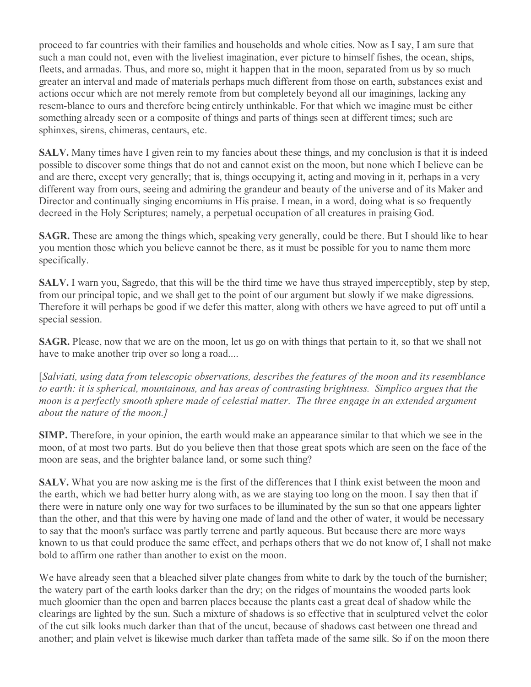proceed to far countries with their families and households and whole cities. Now as I say, I am sure that such a man could not, even with the liveliest imagination, ever picture to himself fishes, the ocean, ships, fleets, and armadas. Thus, and more so, might it happen that in the moon, separated from us by so much greater an interval and made of materials perhaps much different from those on earth, substances exist and actions occur which are not merely remote from but completely beyond all our imaginings, lacking any resem-blance to ours and therefore being entirely unthinkable. For that which we imagine must be either something already seen or a composite of things and parts of things seen at different times; such are sphinxes, sirens, chimeras, centaurs, etc.

SALV. Many times have I given rein to my fancies about these things, and my conclusion is that it is indeed possible to discover some things that do not and cannot exist on the moon, but none which I believe can be and are there, except very generally; that is, things occupying it, acting and moving in it, perhaps in a very different way from ours, seeing and admiring the grandeur and beauty of the universe and of its Maker and Director and continually singing encomiums in His praise. I mean, in a word, doing what is so frequently decreed in the Holy Scriptures; namely, a perpetual occupation of all creatures in praising God.

SAGR. These are among the things which, speaking very generally, could be there. But I should like to hear you mention those which you believe cannot be there, as it must be possible for you to name them more specifically.

SALV. I warn you, Sagredo, that this will be the third time we have thus strayed imperceptibly, step by step, from our principal topic, and we shall get to the point of our argument but slowly if we make digressions. Therefore it will perhaps be good if we defer this matter, along with others we have agreed to put off until a special session.

SAGR. Please, now that we are on the moon, let us go on with things that pertain to it, so that we shall not have to make another trip over so long a road....

[Salviati, using data from telescopic observations, describes the features of the moon and its resemblance to earth: it is spherical, mountainous, and has areas of contrasting brightness. Simplico argues that the moon is a perfectly smooth sphere made of celestial matter. The three engage in an extended argument about the nature of the moon.]

SIMP. Therefore, in your opinion, the earth would make an appearance similar to that which we see in the moon, of at most two parts. But do you believe then that those great spots which are seen on the face of the moon are seas, and the brighter balance land, or some such thing?

SALV. What you are now asking me is the first of the differences that I think exist between the moon and the earth, which we had better hurry along with, as we are staying too long on the moon. I say then that if there were in nature only one way for two surfaces to be illuminated by the sun so that one appears lighter than the other, and that this were by having one made of land and the other of water, it would be necessary to say that the moon's surface was partly terrene and partly aqueous. But because there are more ways known to us that could produce the same effect, and perhaps others that we do not know of, I shall not make bold to affirm one rather than another to exist on the moon.

We have already seen that a bleached silver plate changes from white to dark by the touch of the burnisher; the watery part of the earth looks darker than the dry; on the ridges of mountains the wooded parts look much gloomier than the open and barren places because the plants cast a great deal of shadow while the clearings are lighted by the sun. Such a mixture of shadows is so effective that in sculptured velvet the color of the cut silk looks much darker than that of the uncut, because of shadows cast between one thread and another; and plain velvet is likewise much darker than taffeta made of the same silk. So if on the moon there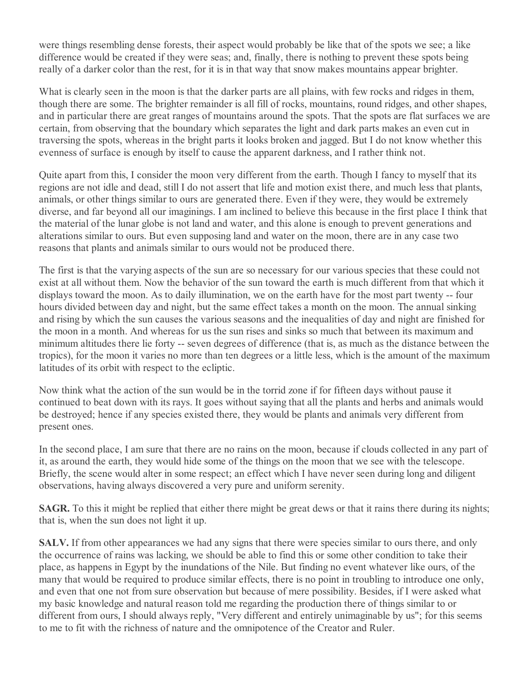were things resembling dense forests, their aspect would probably be like that of the spots we see; a like difference would be created if they were seas; and, finally, there is nothing to prevent these spots being really of a darker color than the rest, for it is in that way that snow makes mountains appear brighter.

What is clearly seen in the moon is that the darker parts are all plains, with few rocks and ridges in them, though there are some. The brighter remainder is all fill of rocks, mountains, round ridges, and other shapes, and in particular there are great ranges of mountains around the spots. That the spots are flat surfaces we are certain, from observing that the boundary which separates the light and dark parts makes an even cut in traversing the spots, whereas in the bright parts it looks broken and jagged. But I do not know whether this evenness of surface is enough by itself to cause the apparent darkness, and I rather think not.

Quite apart from this, I consider the moon very different from the earth. Though I fancy to myself that its regions are not idle and dead, still I do not assert that life and motion exist there, and much less that plants, animals, or other things similar to ours are generated there. Even if they were, they would be extremely diverse, and far beyond all our imaginings. I am inclined to believe this because in the first place I think that the material of the lunar globe is not land and water, and this alone is enough to prevent generations and alterations similar to ours. But even supposing land and water on the moon, there are in any case two reasons that plants and animals similar to ours would not be produced there.

The first is that the varying aspects of the sun are so necessary for our various species that these could not exist at all without them. Now the behavior of the sun toward the earth is much different from that which it displays toward the moon. As to daily illumination, we on the earth have for the most part twenty -- four hours divided between day and night, but the same effect takes a month on the moon. The annual sinking and rising by which the sun causes the various seasons and the inequalities of day and night are finished for the moon in a month. And whereas for us the sun rises and sinks so much that between its maximum and minimum altitudes there lie forty -- seven degrees of difference (that is, as much as the distance between the tropics), for the moon it varies no more than ten degrees or a little less, which is the amount of the maximum latitudes of its orbit with respect to the ecliptic.

Now think what the action of the sun would be in the torrid zone if for fifteen days without pause it continued to beat down with its rays. It goes without saying that all the plants and herbs and animals would be destroyed; hence if any species existed there, they would be plants and animals very different from present ones.

In the second place, I am sure that there are no rains on the moon, because if clouds collected in any part of it, as around the earth, they would hide some of the things on the moon that we see with the telescope. Briefly, the scene would alter in some respect; an effect which I have never seen during long and diligent observations, having always discovered a very pure and uniform serenity.

SAGR. To this it might be replied that either there might be great dews or that it rains there during its nights; that is, when the sun does not light it up.

SALV. If from other appearances we had any signs that there were species similar to ours there, and only the occurrence of rains was lacking, we should be able to find this or some other condition to take their place, as happens in Egypt by the inundations of the Nile. But finding no event whatever like ours, of the many that would be required to produce similar effects, there is no point in troubling to introduce one only, and even that one not from sure observation but because of mere possibility. Besides, if I were asked what my basic knowledge and natural reason told me regarding the production there of things similar to or different from ours, I should always reply, "Very different and entirely unimaginable by us"; for this seems to me to fit with the richness of nature and the omnipotence of the Creator and Ruler.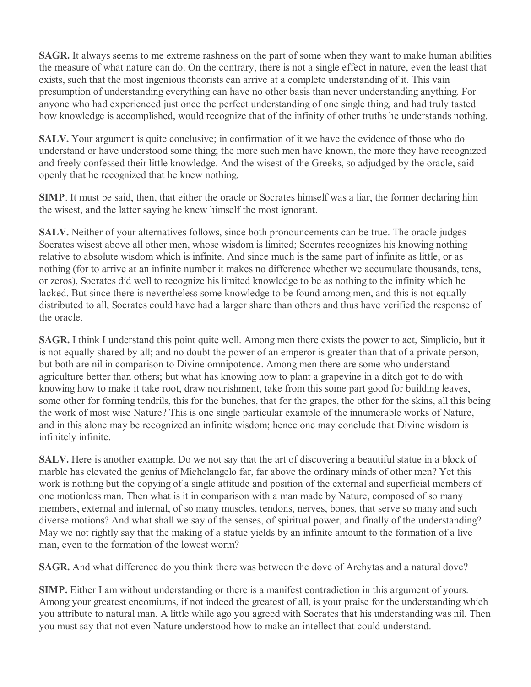SAGR. It always seems to me extreme rashness on the part of some when they want to make human abilities the measure of what nature can do. On the contrary, there is not a single effect in nature, even the least that exists, such that the most ingenious theorists can arrive at a complete understanding of it. This vain presumption of understanding everything can have no other basis than never understanding anything. For anyone who had experienced just once the perfect understanding of one single thing, and had truly tasted how knowledge is accomplished, would recognize that of the infinity of other truths he understands nothing.

SALV. Your argument is quite conclusive; in confirmation of it we have the evidence of those who do understand or have understood some thing; the more such men have known, the more they have recognized and freely confessed their little knowledge. And the wisest of the Greeks, so adjudged by the oracle, said openly that he recognized that he knew nothing.

SIMP. It must be said, then, that either the oracle or Socrates himself was a liar, the former declaring him the wisest, and the latter saying he knew himself the most ignorant.

SALV. Neither of your alternatives follows, since both pronouncements can be true. The oracle judges Socrates wisest above all other men, whose wisdom is limited; Socrates recognizes his knowing nothing relative to absolute wisdom which is infinite. And since much is the same part of infinite as little, or as nothing (for to arrive at an infinite number it makes no difference whether we accumulate thousands, tens, or zeros), Socrates did well to recognize his limited knowledge to be as nothing to the infinity which he lacked. But since there is nevertheless some knowledge to be found among men, and this is not equally distributed to all, Socrates could have had a larger share than others and thus have verified the response of the oracle.

SAGR. I think I understand this point quite well. Among men there exists the power to act, Simplicio, but it is not equally shared by all; and no doubt the power of an emperor is greater than that of a private person, but both are nil in comparison to Divine omnipotence. Among men there are some who understand agriculture better than others; but what has knowing how to plant a grapevine in a ditch got to do with knowing how to make it take root, draw nourishment, take from this some part good for building leaves, some other for forming tendrils, this for the bunches, that for the grapes, the other for the skins, all this being the work of most wise Nature? This is one single particular example of the innumerable works of Nature, and in this alone may be recognized an infinite wisdom; hence one may conclude that Divine wisdom is infinitely infinite.

SALV. Here is another example. Do we not say that the art of discovering a beautiful statue in a block of marble has elevated the genius of Michelangelo far, far above the ordinary minds of other men? Yet this work is nothing but the copying of a single attitude and position of the external and superficial members of one motionless man. Then what is it in comparison with a man made by Nature, composed of so many members, external and internal, of so many muscles, tendons, nerves, bones, that serve so many and such diverse motions? And what shall we say of the senses, of spiritual power, and finally of the understanding? May we not rightly say that the making of a statue yields by an infinite amount to the formation of a live man, even to the formation of the lowest worm?

SAGR. And what difference do you think there was between the dove of Archytas and a natural dove?

SIMP. Either I am without understanding or there is a manifest contradiction in this argument of yours. Among your greatest encomiums, if not indeed the greatest of all, is your praise for the understanding which you attribute to natural man. A little while ago you agreed with Socrates that his understanding was nil. Then you must say that not even Nature understood how to make an intellect that could understand.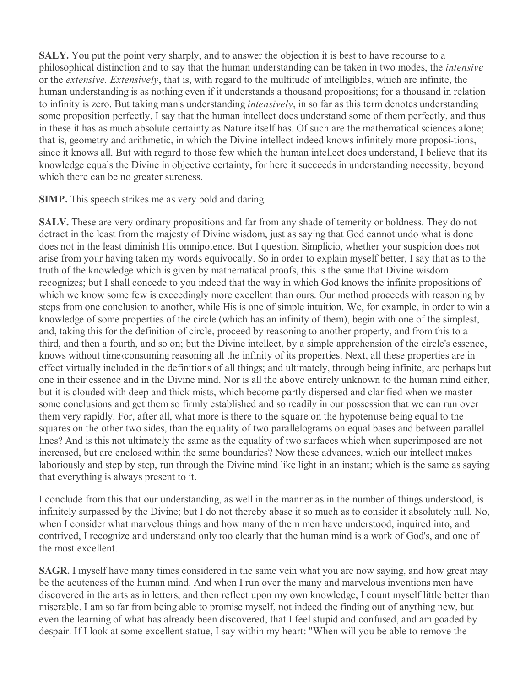SALY. You put the point very sharply, and to answer the objection it is best to have recourse to a philosophical distinction and to say that the human understanding can be taken in two modes, the intensive or the extensive. Extensively, that is, with regard to the multitude of intelligibles, which are infinite, the human understanding is as nothing even if it understands a thousand propositions; for a thousand in relation to infinity is zero. But taking man's understanding *intensively*, in so far as this term denotes understanding some proposition perfectly, I say that the human intellect does understand some of them perfectly, and thus in these it has as much absolute certainty as Nature itself has. Of such are the mathematical sciences alone; that is, geometry and arithmetic, in which the Divine intellect indeed knows infinitely more proposi-tions, since it knows all. But with regard to those few which the human intellect does understand, I believe that its knowledge equals the Divine in objective certainty, for here it succeeds in understanding necessity, beyond which there can be no greater sureness.

#### SIMP. This speech strikes me as very bold and daring.

SALV. These are very ordinary propositions and far from any shade of temerity or boldness. They do not detract in the least from the majesty of Divine wisdom, just as saying that God cannot undo what is done does not in the least diminish His omnipotence. But I question, Simplicio, whether your suspicion does not arise from your having taken my words equivocally. So in order to explain myself better, I say that as to the truth of the knowledge which is given by mathematical proofs, this is the same that Divine wisdom recognizes; but I shall concede to you indeed that the way in which God knows the infinite propositions of which we know some few is exceedingly more excellent than ours. Our method proceeds with reasoning by steps from one conclusion to another, while His is one of simple intuition. We, for example, in order to win a knowledge of some properties of the circle (which has an infinity of them), begin with one of the simplest, and, taking this for the definition of circle, proceed by reasoning to another property, and from this to a third, and then a fourth, and so on; but the Divine intellect, by a simple apprehension of the circle's essence, knows without time‹consuming reasoning all the infinity of its properties. Next, all these properties are in effect virtually included in the definitions of all things; and ultimately, through being infinite, are perhaps but one in their essence and in the Divine mind. Nor is all the above entirely unknown to the human mind either, but it is clouded with deep and thick mists, which become partly dispersed and clarified when we master some conclusions and get them so firmly established and so readily in our possession that we can run over them very rapidly. For, after all, what more is there to the square on the hypotenuse being equal to the squares on the other two sides, than the equality of two parallelograms on equal bases and between parallel lines? And is this not ultimately the same as the equality of two surfaces which when superimposed are not increased, but are enclosed within the same boundaries? Now these advances, which our intellect makes laboriously and step by step, run through the Divine mind like light in an instant; which is the same as saying that everything is always present to it.

I conclude from this that our understanding, as well in the manner as in the number of things understood, is infinitely surpassed by the Divine; but I do not thereby abase it so much as to consider it absolutely null. No, when I consider what marvelous things and how many of them men have understood, inquired into, and contrived, I recognize and understand only too clearly that the human mind is a work of God's, and one of the most excellent.

SAGR. I myself have many times considered in the same vein what you are now saying, and how great may be the acuteness of the human mind. And when I run over the many and marvelous inventions men have discovered in the arts as in letters, and then reflect upon my own knowledge, I count myself little better than miserable. I am so far from being able to promise myself, not indeed the finding out of anything new, but even the learning of what has already been discovered, that I feel stupid and confused, and am goaded by despair. If I look at some excellent statue, I say within my heart: "When will you be able to remove the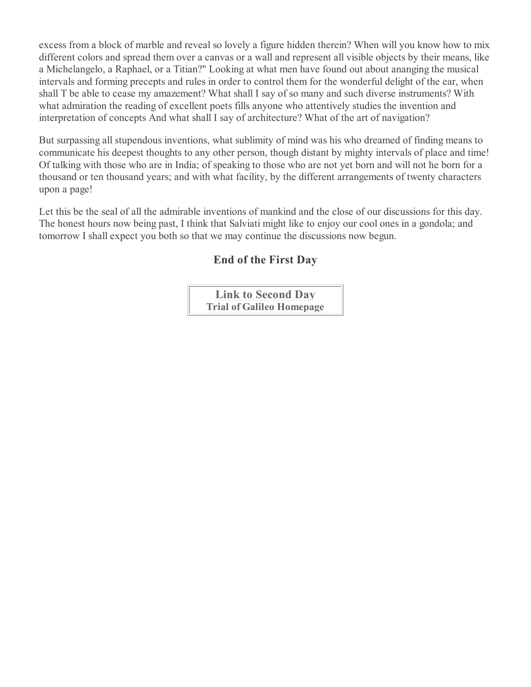excess from a block of marble and reveal so lovely a figure hidden therein? When will you know how to mix different colors and spread them over a canvas or a wall and represent all visible objects by their means, like a Michelangelo, a Raphael, or a Titian?" Looking at what men have found out about ananging the musical intervals and forming precepts and rules in order to control them for the wonderful delight of the ear, when shall T be able to cease my amazement? What shall I say of so many and such diverse instruments? With what admiration the reading of excellent poets fills anyone who attentively studies the invention and interpretation of concepts And what shall I say of architecture? What of the art of navigation?

But surpassing all stupendous inventions, what sublimity of mind was his who dreamed of finding means to communicate his deepest thoughts to any other person, though distant by mighty intervals of place and time! Of talking with those who are in India; of speaking to those who are not yet born and will not he born for a thousand or ten thousand years; and with what facility, by the different arrangements of twenty characters upon a page!

Let this be the seal of all the admirable inventions of mankind and the close of our discussions for this day. The honest hours now being past, I think that Salviati might like to enjoy our cool ones in a gondola; and tomorrow I shall expect you both so that we may continue the discussions now begun.

## End of the First Day

Link to Second Day Trial of Galileo Homepage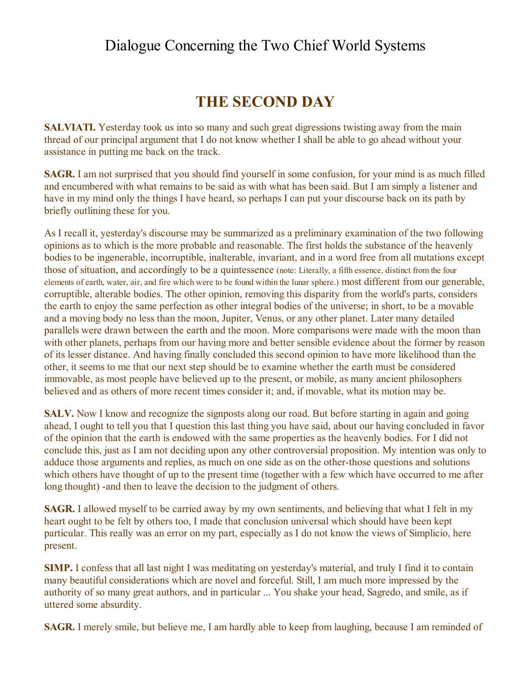# Dialogue Concerning the Two Chief World Systems

# THE SECOND DAY

**SALVIATI.** Yesterday took us into so many and such great digressions twisting away from the main thread of our principal argument that I do not know whether I shall be able to go ahead without your assistance in putting me back on the track.

SAGR. I am not surprised that you should find yourself in some confusion, for your mind is as much filled and encumbered with what remains to be said as with what has been said. But I am simply a listener and have in my mind only the things I have heard, so perhaps I can put your discourse back on its path by briefly outlining these for you.

As I recall it, yesterday's discourse may be summarized as a preliminary examination of the two following opinions as to which is the more probable and reasonable. The first holds the substance of the heavenly bodies to be ingenerable, incorruptible, inalterable, invariant, and in a word free from all mutations except those of situation, and accordingly to be a quintessence (note: Literally, a fifth essence, distinct from the four elements of earth, water, air, and fire which were to be found within the lunar sphere.) most different from our generable, corruptible, alterable bodies. The other opinion, removing this disparity from the world's parts, considers the earth to enjoy the same perfection as other integral bodies of the universe; in short, to be a movable and a moving body no less than the moon, Jupiter, Venus, or any other planet. Later many detailed parallels were drawn between the earth and the moon. More comparisons were made with the moon than with other planets, perhaps from our having more and better sensible evidence about the former by reason of its lesser distance. And having finally concluded this second opinion to have more likelihood than the other, it seems to me that our next step should be to examine whether the earth must be considered immovable, as most people have believed up to the present, or mobile, as many ancient philosophers believed and as others of more recent times consider it; and, if movable, what its motion may be.

SALV. Now I know and recognize the signposts along our road. But before starting in again and going ahead, I ought to tell you that I question this last thing you have said, about our having concluded in favor of the opinion that the earth is endowed with the same properties as the heavenly bodies. For I did not conclude this, just as I am not deciding upon any other controversial proposition. My intention was only to adduce those arguments and replies, as much on one side as on the other-those questions and solutions which others have thought of up to the present time (together with a few which have occurred to me after long thought) -and then to leave the decision to the judgment of others.

**SAGR.** I allowed myself to be carried away by my own sentiments, and believing that what I felt in my heart ought to be felt by others too, I made that conclusion universal which should have been kept particular. This really was an error on my part, especially as I do not know the views of Simplicio, here present.

SIMP. I confess that all last night I was meditating on yesterday's material, and truly I find it to contain many beautiful considerations which are novel and forceful. Still, I am much more impressed by the authority of so many great authors, and in particular ... You shake your head, Sagredo, and smile, as if uttered some absurdity.

SAGR. I merely smile, but believe me, I am hardly able to keep from laughing, because I am reminded of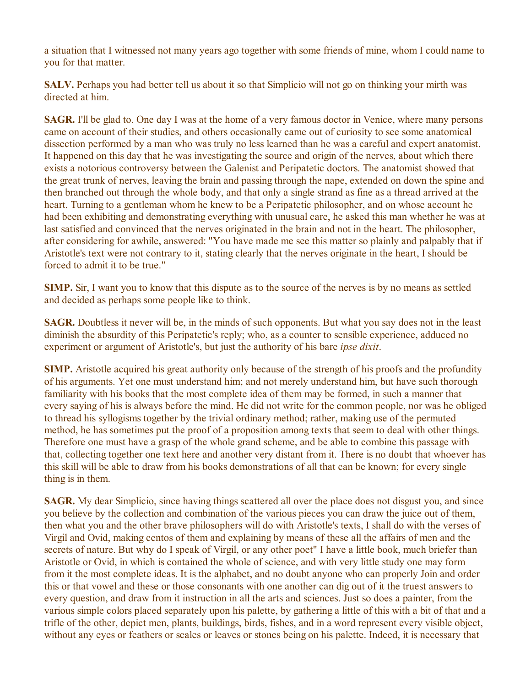a situation that I witnessed not many years ago together with some friends of mine, whom I could name to you for that matter.

SALV. Perhaps you had better tell us about it so that Simplicio will not go on thinking your mirth was directed at him.

SAGR. I'll be glad to. One day I was at the home of a very famous doctor in Venice, where many persons came on account of their studies, and others occasionally came out of curiosity to see some anatomical dissection performed by a man who was truly no less learned than he was a careful and expert anatomist. It happened on this day that he was investigating the source and origin of the nerves, about which there exists a notorious controversy between the Galenist and Peripatetic doctors. The anatomist showed that the great trunk of nerves, leaving the brain and passing through the nape, extended on down the spine and then branched out through the whole body, and that only a single strand as fine as a thread arrived at the heart. Turning to a gentleman whom he knew to be a Peripatetic philosopher, and on whose account he had been exhibiting and demonstrating everything with unusual care, he asked this man whether he was at last satisfied and convinced that the nerves originated in the brain and not in the heart. The philosopher, after considering for awhile, answered: "You have made me see this matter so plainly and palpably that if Aristotle's text were not contrary to it, stating clearly that the nerves originate in the heart, I should be forced to admit it to be true."

SIMP. Sir, I want you to know that this dispute as to the source of the nerves is by no means as settled and decided as perhaps some people like to think.

SAGR. Doubtless it never will be, in the minds of such opponents. But what you say does not in the least diminish the absurdity of this Peripatetic's reply; who, as a counter to sensible experience, adduced no experiment or argument of Aristotle's, but just the authority of his bare *ipse dixit*.

SIMP. Aristotle acquired his great authority only because of the strength of his proofs and the profundity of his arguments. Yet one must understand him; and not merely understand him, but have such thorough familiarity with his books that the most complete idea of them may be formed, in such a manner that every saying of his is always before the mind. He did not write for the common people, nor was he obliged to thread his syllogisms together by the trivial ordinary method; rather, making use of the permuted method, he has sometimes put the proof of a proposition among texts that seem to deal with other things. Therefore one must have a grasp of the whole grand scheme, and be able to combine this passage with that, collecting together one text here and another very distant from it. There is no doubt that whoever has this skill will be able to draw from his books demonstrations of all that can be known; for every single thing is in them.

SAGR. My dear Simplicio, since having things scattered all over the place does not disgust you, and since you believe by the collection and combination of the various pieces you can draw the juice out of them, then what you and the other brave philosophers will do with Aristotle's texts, I shall do with the verses of Virgil and Ovid, making centos of them and explaining by means of these all the affairs of men and the secrets of nature. But why do I speak of Virgil, or any other poet" I have a little book, much briefer than Aristotle or Ovid, in which is contained the whole of science, and with very little study one may form from it the most complete ideas. It is the alphabet, and no doubt anyone who can properly Join and order this or that vowel and these or those consonants with one another can dig out of it the truest answers to every question, and draw from it instruction in all the arts and sciences. Just so does a painter, from the various simple colors placed separately upon his palette, by gathering a little of this with a bit of that and a trifle of the other, depict men, plants, buildings, birds, fishes, and in a word represent every visible object, without any eyes or feathers or scales or leaves or stones being on his palette. Indeed, it is necessary that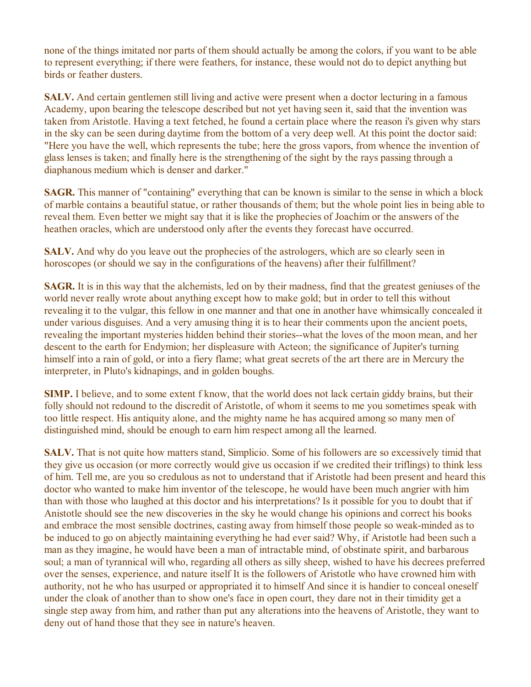none of the things imitated nor parts of them should actually be among the colors, if you want to be able to represent everything; if there were feathers, for instance, these would not do to depict anything but birds or feather dusters.

SALV. And certain gentlemen still living and active were present when a doctor lecturing in a famous Academy, upon bearing the telescope described but not yet having seen it, said that the invention was taken from Aristotle. Having a text fetched, he found a certain place where the reason i's given why stars in the sky can be seen during daytime from the bottom of a very deep well. At this point the doctor said: "Here you have the well, which represents the tube; here the gross vapors, from whence the invention of glass lenses is taken; and finally here is the strengthening of the sight by the rays passing through a diaphanous medium which is denser and darker."

SAGR. This manner of "containing" everything that can be known is similar to the sense in which a block of marble contains a beautiful statue, or rather thousands of them; but the whole point lies in being able to reveal them. Even better we might say that it is like the prophecies of Joachim or the answers of the heathen oracles, which are understood only after the events they forecast have occurred.

SALV. And why do you leave out the prophecies of the astrologers, which are so clearly seen in horoscopes (or should we say in the configurations of the heavens) after their fulfillment?

SAGR. It is in this way that the alchemists, led on by their madness, find that the greatest geniuses of the world never really wrote about anything except how to make gold; but in order to tell this without revealing it to the vulgar, this fellow in one manner and that one in another have whimsically concealed it under various disguises. And a very amusing thing it is to hear their comments upon the ancient poets, revealing the important mysteries hidden behind their stories--what the loves of the moon mean, and her descent to the earth for Endymion; her displeasure with Acteon; the significance of Jupiter's turning himself into a rain of gold, or into a fiery flame; what great secrets of the art there are in Mercury the interpreter, in Pluto's kidnapings, and in golden boughs.

SIMP. I believe, and to some extent f know, that the world does not lack certain giddy brains, but their folly should not redound to the discredit of Aristotle, of whom it seems to me you sometimes speak with too little respect. His antiquity alone, and the mighty name he has acquired among so many men of distinguished mind, should be enough to earn him respect among all the learned.

SALV. That is not quite how matters stand, Simplicio. Some of his followers are so excessively timid that they give us occasion (or more correctly would give us occasion if we credited their triflings) to think less of him. Tell me, are you so credulous as not to understand that if Aristotle had been present and heard this doctor who wanted to make him inventor of the telescope, he would have been much angrier with him than with those who laughed at this doctor and his interpretations? Is it possible for you to doubt that if Anistotle should see the new discoveries in the sky he would change his opinions and correct his books and embrace the most sensible doctrines, casting away from himself those people so weak-minded as to be induced to go on abjectly maintaining everything he had ever said? Why, if Aristotle had been such a man as they imagine, he would have been a man of intractable mind, of obstinate spirit, and barbarous soul; a man of tyrannical will who, regarding all others as silly sheep, wished to have his decrees preferred over the senses, experience, and nature itself It is the followers of Aristotle who have crowned him with authority, not he who has usurped or appropriated it to himself And since it is handier to conceal oneself under the cloak of another than to show one's face in open court, they dare not in their timidity get a single step away from him, and rather than put any alterations into the heavens of Aristotle, they want to deny out of hand those that they see in nature's heaven.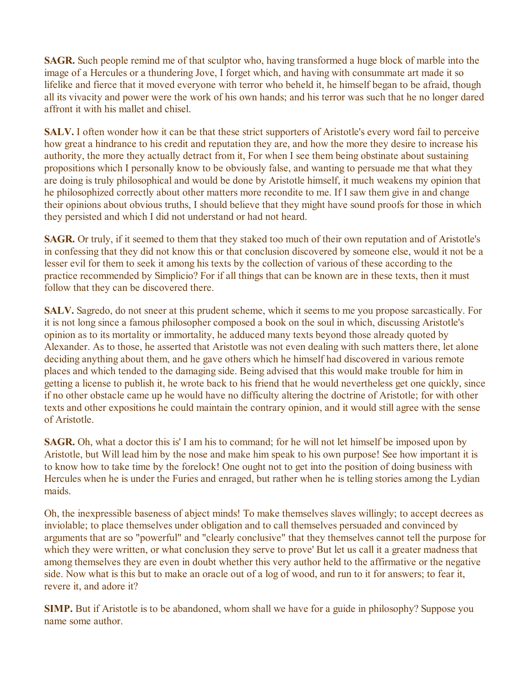SAGR. Such people remind me of that sculptor who, having transformed a huge block of marble into the image of a Hercules or a thundering Jove, I forget which, and having with consummate art made it so lifelike and fierce that it moved everyone with terror who beheld it, he himself began to be afraid, though all its vivacity and power were the work of his own hands; and his terror was such that he no longer dared affront it with his mallet and chisel.

SALV. I often wonder how it can be that these strict supporters of Aristotle's every word fail to perceive how great a hindrance to his credit and reputation they are, and how the more they desire to increase his authority, the more they actually detract from it, For when I see them being obstinate about sustaining propositions which I personally know to be obviously false, and wanting to persuade me that what they are doing is truly philosophical and would be done by Aristotle himself, it much weakens my opinion that he philosophized correctly about other matters more recondite to me. If I saw them give in and change their opinions about obvious truths, I should believe that they might have sound proofs for those in which they persisted and which I did not understand or had not heard.

SAGR. Or truly, if it seemed to them that they staked too much of their own reputation and of Aristotle's in confessing that they did not know this or that conclusion discovered by someone else, would it not be a lesser evil for them to seek it among his texts by the collection of various of these according to the practice recommended by Simplicio? For if all things that can be known are in these texts, then it must follow that they can be discovered there.

SALV. Sagredo, do not sneer at this prudent scheme, which it seems to me you propose sarcastically. For it is not long since a famous philosopher composed a book on the soul in which, discussing Aristotle's opinion as to its mortality or immortality, he adduced many texts beyond those already quoted by Alexander. As to those, he asserted that Aristotle was not even dealing with such matters there, let alone deciding anything about them, and he gave others which he himself had discovered in various remote places and which tended to the damaging side. Being advised that this would make trouble for him in getting a license to publish it, he wrote back to his friend that he would nevertheless get one quickly, since if no other obstacle came up he would have no difficulty altering the doctrine of Aristotle; for with other texts and other expositions he could maintain the contrary opinion, and it would still agree with the sense of Aristotle.

SAGR. Oh, what a doctor this is' I am his to command; for he will not let himself be imposed upon by Aristotle, but Will lead him by the nose and make him speak to his own purpose! See how important it is to know how to take time by the forelock! One ought not to get into the position of doing business with Hercules when he is under the Furies and enraged, but rather when he is telling stories among the Lydian maids.

Oh, the inexpressible baseness of abject minds! To make themselves slaves willingly; to accept decrees as inviolable; to place themselves under obligation and to call themselves persuaded and convinced by arguments that are so "powerful" and "clearly conclusive" that they themselves cannot tell the purpose for which they were written, or what conclusion they serve to prove' But let us call it a greater madness that among themselves they are even in doubt whether this very author held to the affirmative or the negative side. Now what is this but to make an oracle out of a log of wood, and run to it for answers; to fear it, revere it, and adore it?

SIMP. But if Aristotle is to be abandoned, whom shall we have for a guide in philosophy? Suppose you name some author.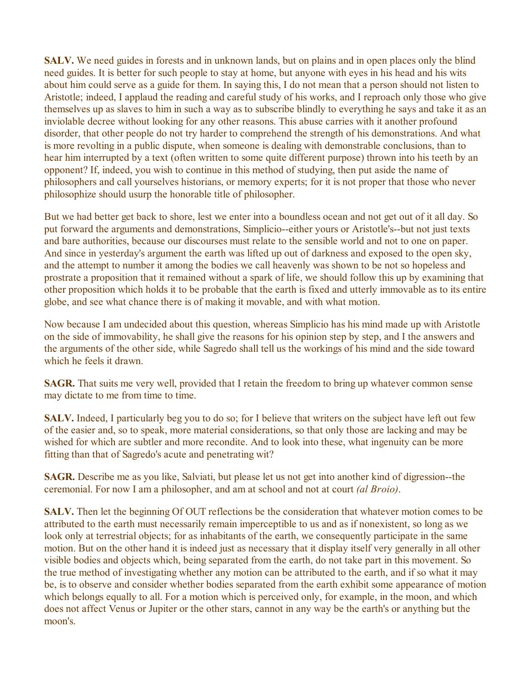SALV. We need guides in forests and in unknown lands, but on plains and in open places only the blind need guides. It is better for such people to stay at home, but anyone with eyes in his head and his wits about him could serve as a guide for them. In saying this, I do not mean that a person should not listen to Aristotle; indeed, I applaud the reading and careful study of his works, and I reproach only those who give themselves up as slaves to him in such a way as to subscribe blindly to everything he says and take it as an inviolable decree without looking for any other reasons. This abuse carries with it another profound disorder, that other people do not try harder to comprehend the strength of his demonstrations. And what is more revolting in a public dispute, when someone is dealing with demonstrable conclusions, than to hear him interrupted by a text (often written to some quite different purpose) thrown into his teeth by an opponent? If, indeed, you wish to continue in this method of studying, then put aside the name of philosophers and call yourselves historians, or memory experts; for it is not proper that those who never philosophize should usurp the honorable title of philosopher.

But we had better get back to shore, lest we enter into a boundless ocean and not get out of it all day. So put forward the arguments and demonstrations, Simplicio--either yours or Aristotle's--but not just texts and bare authorities, because our discourses must relate to the sensible world and not to one on paper. And since in yesterday's argument the earth was lifted up out of darkness and exposed to the open sky, and the attempt to number it among the bodies we call heavenly was shown to be not so hopeless and prostrate a proposition that it remained without a spark of life, we should follow this up by examining that other proposition which holds it to be probable that the earth is fixed and utterly immovable as to its entire globe, and see what chance there is of making it movable, and with what motion.

Now because I am undecided about this question, whereas Simplicio has his mind made up with Aristotle on the side of immovability, he shall give the reasons for his opinion step by step, and I the answers and the arguments of the other side, while Sagredo shall tell us the workings of his mind and the side toward which he feels it drawn.

SAGR. That suits me very well, provided that I retain the freedom to bring up whatever common sense may dictate to me from time to time.

SALV. Indeed, I particularly beg you to do so; for I believe that writers on the subject have left out few of the easier and, so to speak, more material considerations, so that only those are lacking and may be wished for which are subtler and more recondite. And to look into these, what ingenuity can be more fitting than that of Sagredo's acute and penetrating wit?

SAGR. Describe me as you like, Salviati, but please let us not get into another kind of digression--the ceremonial. For now I am a philosopher, and am at school and not at court (al Broio).

SALV. Then let the beginning Of OUT reflections be the consideration that whatever motion comes to be attributed to the earth must necessarily remain imperceptible to us and as if nonexistent, so long as we look only at terrestrial objects; for as inhabitants of the earth, we consequently participate in the same motion. But on the other hand it is indeed just as necessary that it display itself very generally in all other visible bodies and objects which, being separated from the earth, do not take part in this movement. So the true method of investigating whether any motion can be attributed to the earth, and if so what it may be, is to observe and consider whether bodies separated from the earth exhibit some appearance of motion which belongs equally to all. For a motion which is perceived only, for example, in the moon, and which does not affect Venus or Jupiter or the other stars, cannot in any way be the earth's or anything but the moon's.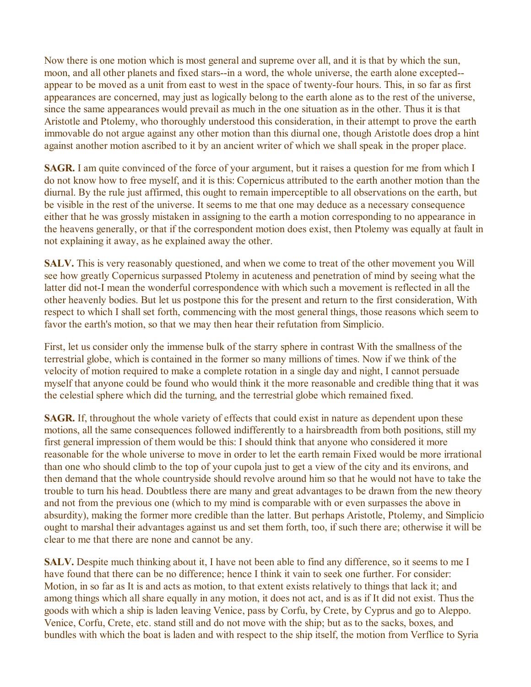Now there is one motion which is most general and supreme over all, and it is that by which the sun, moon, and all other planets and fixed stars--in a word, the whole universe, the earth alone excepted- appear to be moved as a unit from east to west in the space of twenty-four hours. This, in so far as first appearances are concerned, may just as logically belong to the earth alone as to the rest of the universe, since the same appearances would prevail as much in the one situation as in the other. Thus it is that Aristotle and Ptolemy, who thoroughly understood this consideration, in their attempt to prove the earth immovable do not argue against any other motion than this diurnal one, though Aristotle does drop a hint against another motion ascribed to it by an ancient writer of which we shall speak in the proper place.

SAGR. I am quite convinced of the force of your argument, but it raises a question for me from which I do not know how to free myself, and it is this: Copernicus attributed to the earth another motion than the diurnal. By the rule just affirmed, this ought to remain imperceptible to all observations on the earth, but be visible in the rest of the universe. It seems to me that one may deduce as a necessary consequence either that he was grossly mistaken in assigning to the earth a motion corresponding to no appearance in the heavens generally, or that if the correspondent motion does exist, then Ptolemy was equally at fault in not explaining it away, as he explained away the other.

SALV. This is very reasonably questioned, and when we come to treat of the other movement you Will see how greatly Copernicus surpassed Ptolemy in acuteness and penetration of mind by seeing what the latter did not-I mean the wonderful correspondence with which such a movement is reflected in all the other heavenly bodies. But let us postpone this for the present and return to the first consideration, With respect to which I shall set forth, commencing with the most general things, those reasons which seem to favor the earth's motion, so that we may then hear their refutation from Simplicio.

First, let us consider only the immense bulk of the starry sphere in contrast With the smallness of the terrestrial globe, which is contained in the former so many millions of times. Now if we think of the velocity of motion required to make a complete rotation in a single day and night, I cannot persuade myself that anyone could be found who would think it the more reasonable and credible thing that it was the celestial sphere which did the turning, and the terrestrial globe which remained fixed.

SAGR. If, throughout the whole variety of effects that could exist in nature as dependent upon these motions, all the same consequences followed indifferently to a hairsbreadth from both positions, still my first general impression of them would be this: I should think that anyone who considered it more reasonable for the whole universe to move in order to let the earth remain Fixed would be more irrational than one who should climb to the top of your cupola just to get a view of the city and its environs, and then demand that the whole countryside should revolve around him so that he would not have to take the trouble to turn his head. Doubtless there are many and great advantages to be drawn from the new theory and not from the previous one (which to my mind is comparable with or even surpasses the above in absurdity), making the former more credible than the latter. But perhaps Aristotle, Ptolemy, and Simplicio ought to marshal their advantages against us and set them forth, too, if such there are; otherwise it will be clear to me that there are none and cannot be any.

SALV. Despite much thinking about it, I have not been able to find any difference, so it seems to me I have found that there can be no difference; hence I think it vain to seek one further. For consider: Motion, in so far as It is and acts as motion, to that extent exists relatively to things that lack it; and among things which all share equally in any motion, it does not act, and is as if It did not exist. Thus the goods with which a ship is laden leaving Venice, pass by Corfu, by Crete, by Cyprus and go to Aleppo. Venice, Corfu, Crete, etc. stand still and do not move with the ship; but as to the sacks, boxes, and bundles with which the boat is laden and with respect to the ship itself, the motion from Verflice to Syria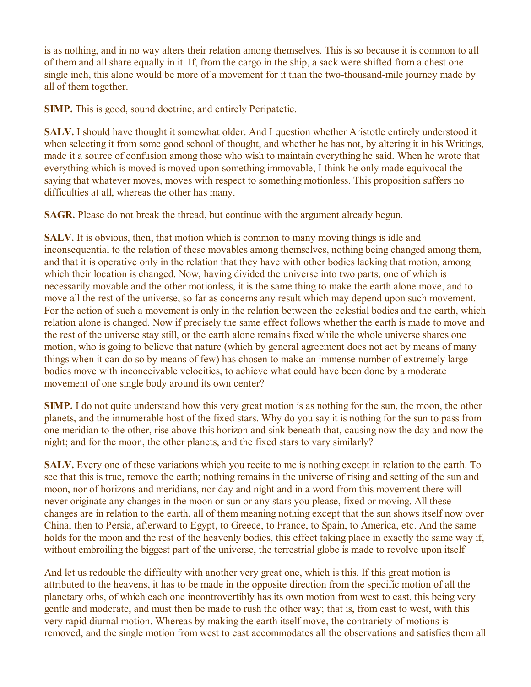is as nothing, and in no way alters their relation among themselves. This is so because it is common to all of them and all share equally in it. If, from the cargo in the ship, a sack were shifted from a chest one single inch, this alone would be more of a movement for it than the two-thousand-mile journey made by all of them together.

SIMP. This is good, sound doctrine, and entirely Peripatetic.

SALV. I should have thought it somewhat older. And I question whether Aristotle entirely understood it when selecting it from some good school of thought, and whether he has not, by altering it in his Writings, made it a source of confusion among those who wish to maintain everything he said. When he wrote that everything which is moved is moved upon something immovable, I think he only made equivocal the saying that whatever moves, moves with respect to something motionless. This proposition suffers no difficulties at all, whereas the other has many.

SAGR. Please do not break the thread, but continue with the argument already begun.

SALV. It is obvious, then, that motion which is common to many moving things is idle and inconsequential to the relation of these movables among themselves, nothing being changed among them, and that it is operative only in the relation that they have with other bodies lacking that motion, among which their location is changed. Now, having divided the universe into two parts, one of which is necessarily movable and the other motionless, it is the same thing to make the earth alone move, and to move all the rest of the universe, so far as concerns any result which may depend upon such movement. For the action of such a movement is only in the relation between the celestial bodies and the earth, which relation alone is changed. Now if precisely the same effect follows whether the earth is made to move and the rest of the universe stay still, or the earth alone remains fixed while the whole universe shares one motion, who is going to believe that nature (which by general agreement does not act by means of many things when it can do so by means of few) has chosen to make an immense number of extremely large bodies move with inconceivable velocities, to achieve what could have been done by a moderate movement of one single body around its own center?

SIMP. I do not quite understand how this very great motion is as nothing for the sun, the moon, the other planets, and the innumerable host of the fixed stars. Why do you say it is nothing for the sun to pass from one meridian to the other, rise above this horizon and sink beneath that, causing now the day and now the night; and for the moon, the other planets, and the fixed stars to vary similarly?

SALV. Every one of these variations which you recite to me is nothing except in relation to the earth. To see that this is true, remove the earth; nothing remains in the universe of rising and setting of the sun and moon, nor of horizons and meridians, nor day and night and in a word from this movement there will never originate any changes in the moon or sun or any stars you please, fixed or moving. All these changes are in relation to the earth, all of them meaning nothing except that the sun shows itself now over China, then to Persia, afterward to Egypt, to Greece, to France, to Spain, to America, etc. And the same holds for the moon and the rest of the heavenly bodies, this effect taking place in exactly the same way if, without embroiling the biggest part of the universe, the terrestrial globe is made to revolve upon itself

And let us redouble the difficulty with another very great one, which is this. If this great motion is attributed to the heavens, it has to be made in the opposite direction from the specific motion of all the planetary orbs, of which each one incontrovertibly has its own motion from west to east, this being very gentle and moderate, and must then be made to rush the other way; that is, from east to west, with this very rapid diurnal motion. Whereas by making the earth itself move, the contrariety of motions is removed, and the single motion from west to east accommodates all the observations and satisfies them all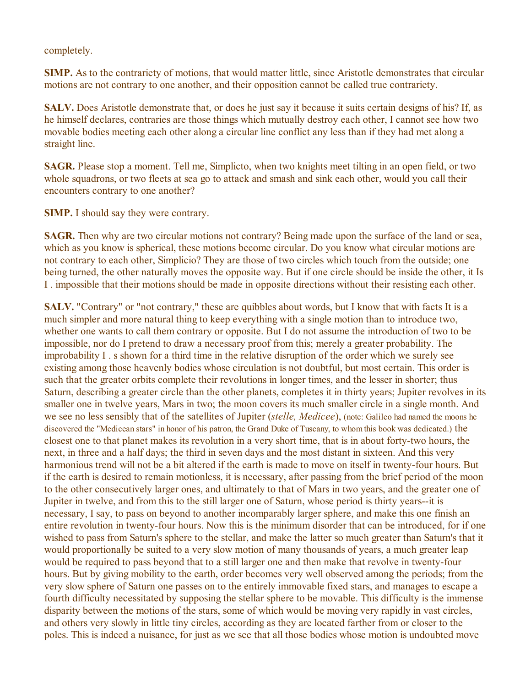#### completely.

SIMP. As to the contrariety of motions, that would matter little, since Aristotle demonstrates that circular motions are not contrary to one another, and their opposition cannot be called true contrariety.

SALV. Does Aristotle demonstrate that, or does he just say it because it suits certain designs of his? If, as he himself declares, contraries are those things which mutually destroy each other, I cannot see how two movable bodies meeting each other along a circular line conflict any less than if they had met along a straight line.

SAGR. Please stop a moment. Tell me, Simplicto, when two knights meet tilting in an open field, or two whole squadrons, or two fleets at sea go to attack and smash and sink each other, would you call their encounters contrary to one another?

SIMP. I should say they were contrary.

SAGR. Then why are two circular motions not contrary? Being made upon the surface of the land or sea, which as you know is spherical, these motions become circular. Do you know what circular motions are not contrary to each other, Simplicio? They are those of two circles which touch from the outside; one being turned, the other naturally moves the opposite way. But if one circle should be inside the other, it Is I . impossible that their motions should be made in opposite directions without their resisting each other.

SALV. "Contrary" or "not contrary," these are quibbles about words, but I know that with facts It is a much simpler and more natural thing to keep everything with a single motion than to introduce two, whether one wants to call them contrary or opposite. But I do not assume the introduction of two to be impossible, nor do I pretend to draw a necessary proof from this; merely a greater probability. The improbability I . s shown for a third time in the relative disruption of the order which we surely see existing among those heavenly bodies whose circulation is not doubtful, but most certain. This order is such that the greater orbits complete their revolutions in longer times, and the lesser in shorter; thus Saturn, describing a greater circle than the other planets, completes it in thirty years; Jupiter revolves in its smaller one in twelve years, Mars in two; the moon covers its much smaller circle in a single month. And we see no less sensibly that of the satellites of Jupiter (stelle, Medicee), (note: Galileo had named the moons he discovered the "Medicean stars" in honor of his patron, the Grand Duke of Tuscany, to whom this book was dedicated.) the closest one to that planet makes its revolution in a very short time, that is in about forty-two hours, the next, in three and a half days; the third in seven days and the most distant in sixteen. And this very harmonious trend will not be a bit altered if the earth is made to move on itself in twenty-four hours. But if the earth is desired to remain motionless, it is necessary, after passing from the brief period of the moon to the other consecutively larger ones, and ultimately to that of Mars in two years, and the greater one of Jupiter in twelve, and from this to the still larger one of Saturn, whose period is thirty years--it is necessary, I say, to pass on beyond to another incomparably larger sphere, and make this one finish an entire revolution in twenty-four hours. Now this is the minimum disorder that can be introduced, for if one wished to pass from Saturn's sphere to the stellar, and make the latter so much greater than Saturn's that it would proportionally be suited to a very slow motion of many thousands of years, a much greater leap would be required to pass beyond that to a still larger one and then make that revolve in twenty-four hours. But by giving mobility to the earth, order becomes very well observed among the periods; from the very slow sphere of Saturn one passes on to the entirely immovable fixed stars, and manages to escape a fourth difficulty necessitated by supposing the stellar sphere to be movable. This difficulty is the immense disparity between the motions of the stars, some of which would be moving very rapidly in vast circles, and others very slowly in little tiny circles, according as they are located farther from or closer to the poles. This is indeed a nuisance, for just as we see that all those bodies whose motion is undoubted move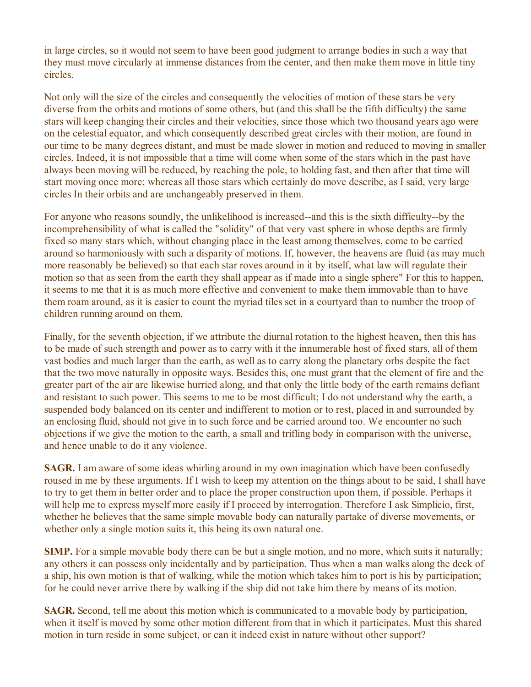in large circles, so it would not seem to have been good judgment to arrange bodies in such a way that they must move circularly at immense distances from the center, and then make them move in little tiny circles.

Not only will the size of the circles and consequently the velocities of motion of these stars be very diverse from the orbits and motions of some others, but (and this shall be the fifth difficulty) the same stars will keep changing their circles and their velocities, since those which two thousand years ago were on the celestial equator, and which consequently described great circles with their motion, are found in our time to be many degrees distant, and must be made slower in motion and reduced to moving in smaller circles. Indeed, it is not impossible that a time will come when some of the stars which in the past have always been moving will be reduced, by reaching the pole, to holding fast, and then after that time will start moving once more; whereas all those stars which certainly do move describe, as I said, very large circles In their orbits and are unchangeably preserved in them.

For anyone who reasons soundly, the unlikelihood is increased--and this is the sixth difficulty--by the incomprehensibility of what is called the "solidity" of that very vast sphere in whose depths are firmly fixed so many stars which, without changing place in the least among themselves, come to be carried around so harmoniously with such a disparity of motions. If, however, the heavens are fluid (as may much more reasonably be believed) so that each star roves around in it by itself, what law will regulate their motion so that as seen from the earth they shall appear as if made into a single sphere" For this to happen, it seems to me that it is as much more effective and convenient to make them immovable than to have them roam around, as it is easier to count the myriad tiles set in a courtyard than to number the troop of children running around on them.

Finally, for the seventh objection, if we attribute the diurnal rotation to the highest heaven, then this has to be made of such strength and power as to carry with it the innumerable host of fixed stars, all of them vast bodies and much larger than the earth, as well as to carry along the planetary orbs despite the fact that the two move naturally in opposite ways. Besides this, one must grant that the element of fire and the greater part of the air are likewise hurried along, and that only the little body of the earth remains defiant and resistant to such power. This seems to me to be most difficult; I do not understand why the earth, a suspended body balanced on its center and indifferent to motion or to rest, placed in and surrounded by an enclosing fluid, should not give in to such force and be carried around too. We encounter no such objections if we give the motion to the earth, a small and trifling body in comparison with the universe, and hence unable to do it any violence.

SAGR. I am aware of some ideas whirling around in my own imagination which have been confusedly roused in me by these arguments. If I wish to keep my attention on the things about to be said, I shall have to try to get them in better order and to place the proper construction upon them, if possible. Perhaps it will help me to express myself more easily if I proceed by interrogation. Therefore I ask Simplicio, first, whether he believes that the same simple movable body can naturally partake of diverse movements, or whether only a single motion suits it, this being its own natural one.

SIMP. For a simple movable body there can be but a single motion, and no more, which suits it naturally; any others it can possess only incidentally and by participation. Thus when a man walks along the deck of a ship, his own motion is that of walking, while the motion which takes him to port is his by participation; for he could never arrive there by walking if the ship did not take him there by means of its motion.

SAGR. Second, tell me about this motion which is communicated to a movable body by participation, when it itself is moved by some other motion different from that in which it participates. Must this shared motion in turn reside in some subject, or can it indeed exist in nature without other support?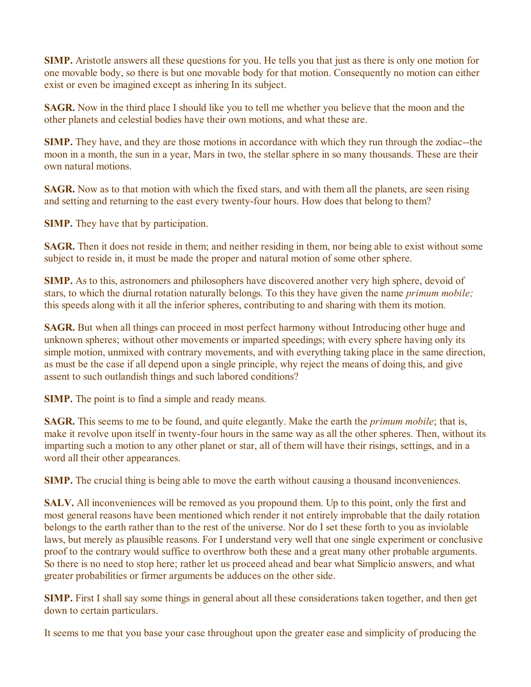SIMP. Aristotle answers all these questions for you. He tells you that just as there is only one motion for one movable body, so there is but one movable body for that motion. Consequently no motion can either exist or even be imagined except as inhering In its subject.

**SAGR.** Now in the third place I should like you to tell me whether you believe that the moon and the other planets and celestial bodies have their own motions, and what these are.

SIMP. They have, and they are those motions in accordance with which they run through the zodiac--the moon in a month, the sun in a year, Mars in two, the stellar sphere in so many thousands. These are their own natural motions.

SAGR. Now as to that motion with which the fixed stars, and with them all the planets, are seen rising and setting and returning to the east every twenty-four hours. How does that belong to them?

SIMP. They have that by participation.

SAGR. Then it does not reside in them; and neither residing in them, nor being able to exist without some subject to reside in, it must be made the proper and natural motion of some other sphere.

SIMP. As to this, astronomers and philosophers have discovered another very high sphere, devoid of stars, to which the diurnal rotation naturally belongs. To this they have given the name primum mobile; this speeds along with it all the inferior spheres, contributing to and sharing with them its motion.

SAGR. But when all things can proceed in most perfect harmony without Introducing other huge and unknown spheres; without other movements or imparted speedings; with every sphere having only its simple motion, unmixed with contrary movements, and with everything taking place in the same direction, as must be the case if all depend upon a single principle, why reject the means of doing this, and give assent to such outlandish things and such labored conditions?

SIMP. The point is to find a simple and ready means.

SAGR. This seems to me to be found, and quite elegantly. Make the earth the *primum mobile*; that is, make it revolve upon itself in twenty-four hours in the same way as all the other spheres. Then, without its imparting such a motion to any other planet or star, all of them will have their risings, settings, and in a word all their other appearances.

SIMP. The crucial thing is being able to move the earth without causing a thousand inconveniences.

SALV. All inconveniences will be removed as you propound them. Up to this point, only the first and most general reasons have been mentioned which render it not entirely improbable that the daily rotation belongs to the earth rather than to the rest of the universe. Nor do I set these forth to you as inviolable laws, but merely as plausible reasons. For I understand very well that one single experiment or conclusive proof to the contrary would suffice to overthrow both these and a great many other probable arguments. So there is no need to stop here; rather let us proceed ahead and bear what Simplicio answers, and what greater probabilities or firmer arguments be adduces on the other side.

SIMP. First I shall say some things in general about all these considerations taken together, and then get down to certain particulars.

It seems to me that you base your case throughout upon the greater ease and simplicity of producing the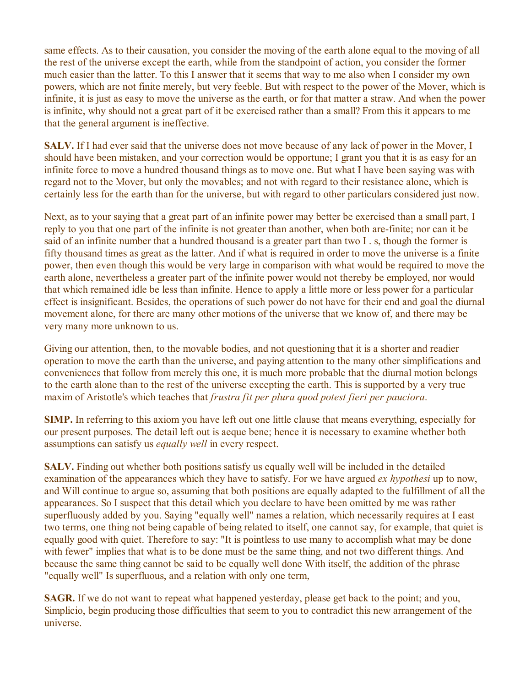same effects. As to their causation, you consider the moving of the earth alone equal to the moving of all the rest of the universe except the earth, while from the standpoint of action, you consider the former much easier than the latter. To this I answer that it seems that way to me also when I consider my own powers, which are not finite merely, but very feeble. But with respect to the power of the Mover, which is infinite, it is just as easy to move the universe as the earth, or for that matter a straw. And when the power is infinite, why should not a great part of it be exercised rather than a small? From this it appears to me that the general argument is ineffective.

SALV. If I had ever said that the universe does not move because of any lack of power in the Mover, I should have been mistaken, and your correction would be opportune; I grant you that it is as easy for an infinite force to move a hundred thousand things as to move one. But what I have been saying was with regard not to the Mover, but only the movables; and not with regard to their resistance alone, which is certainly less for the earth than for the universe, but with regard to other particulars considered just now.

Next, as to your saying that a great part of an infinite power may better be exercised than a small part, I reply to you that one part of the infinite is not greater than another, when both are-finite; nor can it be said of an infinite number that a hundred thousand is a greater part than two I . s, though the former is fifty thousand times as great as the latter. And if what is required in order to move the universe is a finite power, then even though this would be very large in comparison with what would be required to move the earth alone, nevertheless a greater part of the infinite power would not thereby be employed, nor would that which remained idle be less than infinite. Hence to apply a little more or less power for a particular effect is insignificant. Besides, the operations of such power do not have for their end and goal the diurnal movement alone, for there are many other motions of the universe that we know of, and there may be very many more unknown to us.

Giving our attention, then, to the movable bodies, and not questioning that it is a shorter and readier operation to move the earth than the universe, and paying attention to the many other simplifications and conveniences that follow from merely this one, it is much more probable that the diurnal motion belongs to the earth alone than to the rest of the universe excepting the earth. This is supported by a very true maxim of Aristotle's which teaches that *frustra fit per plura quod potest fieri per pauciora*.

SIMP. In referring to this axiom you have left out one little clause that means everything, especially for our present purposes. The detail left out is aeque bene; hence it is necessary to examine whether both assumptions can satisfy us *equally well* in every respect.

SALV. Finding out whether both positions satisfy us equally well will be included in the detailed examination of the appearances which they have to satisfy. For we have argued *ex hypothesi* up to now, and Will continue to argue so, assuming that both positions are equally adapted to the fulfillment of all the appearances. So I suspect that this detail which you declare to have been omitted by me was rather superfluously added by you. Saying "equally well" names a relation, which necessarily requires at I east two terms, one thing not being capable of being related to itself, one cannot say, for example, that quiet is equally good with quiet. Therefore to say: "It is pointless to use many to accomplish what may be done with fewer" implies that what is to be done must be the same thing, and not two different things. And because the same thing cannot be said to be equally well done With itself, the addition of the phrase "equally well" Is superfluous, and a relation with only one term,

SAGR. If we do not want to repeat what happened yesterday, please get back to the point; and you, Simplicio, begin producing those difficulties that seem to you to contradict this new arrangement of the universe.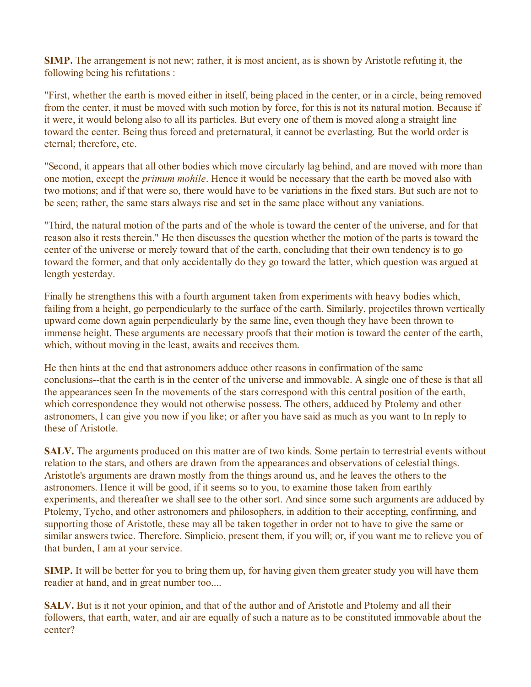SIMP. The arrangement is not new; rather, it is most ancient, as is shown by Aristotle refuting it, the following being his refutations :

"First, whether the earth is moved either in itself, being placed in the center, or in a circle, being removed from the center, it must be moved with such motion by force, for this is not its natural motion. Because if it were, it would belong also to all its particles. But every one of them is moved along a straight line toward the center. Being thus forced and preternatural, it cannot be everlasting. But the world order is eternal; therefore, etc.

"Second, it appears that all other bodies which move circularly lag behind, and are moved with more than one motion, except the *primum mohile*. Hence it would be necessary that the earth be moved also with two motions; and if that were so, there would have to be variations in the fixed stars. But such are not to be seen; rather, the same stars always rise and set in the same place without any vaniations.

"Third, the natural motion of the parts and of the whole is toward the center of the universe, and for that reason also it rests therein." He then discusses the question whether the motion of the parts is toward the center of the universe or merely toward that of the earth, concluding that their own tendency is to go toward the former, and that only accidentally do they go toward the latter, which question was argued at length yesterday.

Finally he strengthens this with a fourth argument taken from experiments with heavy bodies which, failing from a height, go perpendicularly to the surface of the earth. Similarly, projectiles thrown vertically upward come down again perpendicularly by the same line, even though they have been thrown to immense height. These arguments are necessary proofs that their motion is toward the center of the earth, which, without moving in the least, awaits and receives them.

He then hints at the end that astronomers adduce other reasons in confirmation of the same conclusions--that the earth is in the center of the universe and immovable. A single one of these is that all the appearances seen In the movements of the stars correspond with this central position of the earth, which correspondence they would not otherwise possess. The others, adduced by Ptolemy and other astronomers, I can give you now if you like; or after you have said as much as you want to In reply to these of Aristotle.

SALV. The arguments produced on this matter are of two kinds. Some pertain to terrestrial events without relation to the stars, and others are drawn from the appearances and observations of celestial things. Aristotle's arguments are drawn mostly from the things around us, and he leaves the others to the astronomers. Hence it will be good, if it seems so to you, to examine those taken from earthly experiments, and thereafter we shall see to the other sort. And since some such arguments are adduced by Ptolemy, Tycho, and other astronomers and philosophers, in addition to their accepting, confirming, and supporting those of Aristotle, these may all be taken together in order not to have to give the same or similar answers twice. Therefore. Simplicio, present them, if you will; or, if you want me to relieve you of that burden, I am at your service.

SIMP. It will be better for you to bring them up, for having given them greater study you will have them readier at hand, and in great number too....

SALV. But is it not your opinion, and that of the author and of Aristotle and Ptolemy and all their followers, that earth, water, and air are equally of such a nature as to be constituted immovable about the center?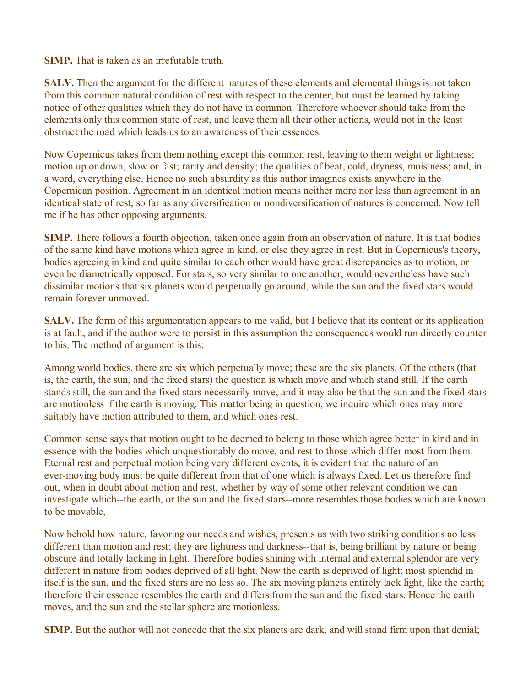SIMP. That is taken as an irrefutable truth.

SALV. Then the argument for the different natures of these elements and elemental things is not taken from this common natural condition of rest with respect to the center, but must be learned by taking notice of other qualities which they do not have in common. Therefore whoever should take from the elements only this common state of rest, and leave them all their other actions, would not in the least obstruct the road which leads us to an awareness of their essences.

Now Copernicus takes from them nothing except this common rest, leaving to them weight or lightness; motion up or down, slow or fast; rarity and density; the qualities of beat, cold, dryness, moistness; and, in a word, everything else. Hence no such absurdity as this author imagines exists anywhere in the Copernican position. Agreement in an identical motion means neither more nor less than agreement in an identical state of rest, so far as any diversification or nondiversification of natures is concerned. Now tell me if he has other opposing arguments.

SIMP. There follows a fourth objection, taken once again from an observation of nature. It is that bodies of the same kind have motions which agree in kind, or else they agree in rest. But in Copernicus's theory, bodies agreeing in kind and quite similar to each other would have great discrepancies as to motion, or even be diametrically opposed. For stars, so very similar to one another, would nevertheless have such dissimilar motions that six planets would perpetually go around, while the sun and the fixed stars would remain forever unmoved.

SALV. The form of this argumentation appears to me valid, but I believe that its content or its application is at fault, and if the author were to persist in this assumption the consequences would run directly counter to his. The method of argument is this:

Among world bodies, there are six which perpetually move; these are the six planets. Of the others (that is, the earth, the sun, and the fixed stars) the question is which move and which stand still. If the earth stands still, the sun and the fixed stars necessarily move, and it may also be that the sun and the fixed stars are motionless if the earth is moving. This matter being in question, we inquire which ones may more suitably have motion attributed to them, and which ones rest.

Common sense says that motion ought to be deemed to belong to those which agree better in kind and in essence with the bodies which unquestionably do move, and rest to those which differ most from them. Eternal rest and perpetual motion being very different events, it is evident that the nature of an ever-moving body must be quite different from that of one which is always fixed. Let us therefore find out, when in doubt about motion and rest, whether by way of some other relevant condition we can investigate which--the earth, or the sun and the fixed stars--more resembles those bodies which are known to be movable,

Now behold how nature, favoring our needs and wishes, presents us with two striking conditions no less different than motion and rest; they are lightness and darkness--that is, being brilliant by nature or being obscure and totally lacking in light. Therefore bodies shining with internal and external splendor are very different in nature from bodies deprived of all light. Now the earth is deprived of light; most splendid in itself is the sun, and the fixed stars are no less so. The six moving planets entirely lack light, like the earth; therefore their essence resembles the earth and differs from the sun and the fixed stars. Hence the earth moves, and the sun and the stellar sphere are motionless.

SIMP. But the author will not concede that the six planets are dark, and will stand firm upon that denial;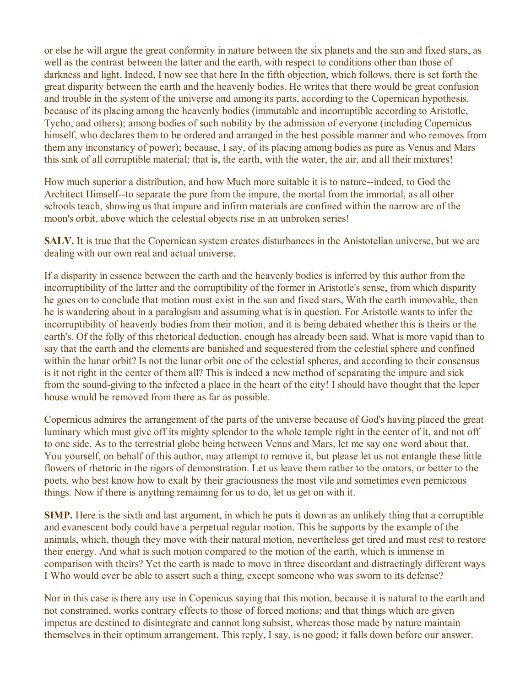or else he will argue the great conformity in nature between the six planets and the sun and fixed stars, as well as the contrast between the latter and the earth, with respect to conditions other than those of darkness and light. Indeed, I now see that here In the fifth objection, which follows, there is set forth the great disparity between the earth and the heavenly bodies. He writes that there would be great confusion and trouble in the system of the universe and among its parts, according to the Copernican hypothesis, because of its placing among the heavenly bodies (immutable and incorruptible according to Aristotle, Tycho, and others); among bodies of such nobility by the admission of everyone (including Copernicus himself, who declares them to be ordered and arranged in the best possible manner and who removes from them any inconstancy of power); because, I say, of its placing among bodies as pure as Venus and Mars this sink of all corruptible material; that is, the earth, with the water, the air, and all their mixtures!

How much superior a distribution, and how Much more suitable it is to nature--indeed, to God the Architect Himself--to separate the pure from the impure, the mortal from the immortal, as all other schools teach, showing us that impure and infirm materials are confined within the narrow arc of the moon's orbit, above which the celestial objects rise in an unbroken series!

SALV. It is true that the Copernican system creates disturbances in the Anistotelian universe, but we are dealing with our own real and actual universe.

If a disparity in essence between the earth and the heavenly bodies is inferred by this author from the incorruptibility of the latter and the corruptibility of the former in Aristotle's sense, from which disparity he goes on to conclude that motion must exist in the sun and fixed stars, With the earth immovable, then he is wandering about in a paralogism and assuming what is in question. For Aristotle wants to infer the incorruptibility of heavenly bodies from their motion, and it is being debated whether this is theirs or the earth's. Of the folly of this rhetorical deduction, enough has already been said. What is more vapid than to say that the earth and the elements are banished and sequestered from the celestial sphere and confined within the lunar orbit? Is not the lunar orbit one of the celestial spheres, and according to their consensus is it not right in the center of them all? This is indeed a new method of separating the impure and sick from the sound-giving to the infected a place in the heart of the city! I should have thought that the leper house would be removed from there as far as possible.

Copernicus admires the arrangement of the parts of the universe because of God's having placed the great luminary which must give off its mighty splendor to the whole temple right in the center of it, and not off to one side. As to the terrestrial globe being between Venus and Mars, let me say one word about that. You yourself, on behalf of this author, may attempt to remove it, but please let us not entangle these little flowers of rhetoric in the rigors of demonstration. Let us leave them rather to the orators, or better to the poets, who best know how to exalt by their graciousness the most vile and sometimes even pernicious things. Now if there is anything remaining for us to do, let us get on with it.

SIMP. Here is the sixth and last argument, in which he puts it down as an unlikely thing that a corruptible and evanescent body could have a perpetual regular motion. This he supports by the example of the animals, which, though they move with their natural motion, nevertheless get tired and must rest to restore their energy. And what is such motion compared to the motion of the earth, which is immense in comparison with theirs? Yet the earth is made to move in three discordant and distractingly different ways I Who would ever be able to assert such a thing, except someone who was sworn to its defense?

Nor in this case is there any use in Copenicus saying that this motion, because it is natural to the earth and not constrained, works contrary effects to those of forced motions; and that things which are given impetus are destined to disintegrate and cannot long subsist, whereas those made by nature maintain themselves in their optimum arrangement. This reply, I say, is no good; it falls down before our answer.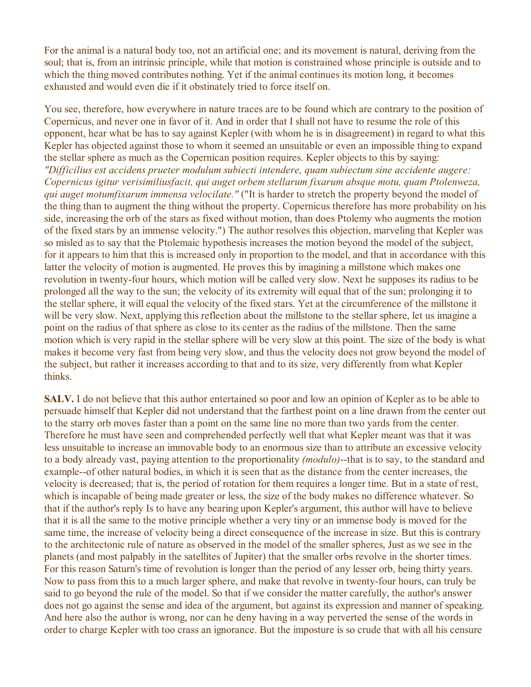For the animal is a natural body too, not an artificial one; and its movement is natural, deriving from the soul; that is, from an intrinsic principle, while that motion is constrained whose principle is outside and to which the thing moved contributes nothing. Yet if the animal continues its motion long, it becomes exhausted and would even die if it obstinately tried to force itself on.

You see, therefore, how everywhere in nature traces are to be found which are contrary to the position of Copernicus, and never one in favor of it. And in order that I shall not have to resume the role of this opponent, hear what be has to say against Kepler (with whom he is in disagreement) in regard to what this Kepler has objected against those to whom it seemed an unsuitable or even an impossible thing to expand the stellar sphere as much as the Copernican position requires. Kepler objects to this by saying: "Difficilius est accidens prueter modulum subiecti intendere, quam subiectum sine accidente augere: Copernicus igitur verisimiliusfacit, qui auget orbem stellarum fixarum absque motu, quam Ptolenweza, qui auget motumfixarum immensa velocilate." ("It is harder to stretch the property beyond the model of the thing than to augment the thing without the property. Copernicus therefore has more probability on his side, increasing the orb of the stars as fixed without motion, than does Ptolemy who augments the motion of the fixed stars by an immense velocity.") The author resolves this objection, marveling that Kepler was so misled as to say that the Ptolemaic hypothesis increases the motion beyond the model of the subject, for it appears to him that this is increased only in proportion to the model, and that in accordance with this latter the velocity of motion is augmented. He proves this by imagining a millstone which makes one revolution in twenty-four hours, which motion will be called very slow. Next he supposes its radius to be prolonged all the way to the sun; the velocity of its extremity will equal that of the sun; prolonging it to the stellar sphere, it will equal the velocity of the fixed stars. Yet at the circumference of the millstone it will be very slow. Next, applying this reflection about the millstone to the stellar sphere, let us imagine a point on the radius of that sphere as close to its center as the radius of the millstone. Then the same motion which is very rapid in the stellar sphere will be very slow at this point. The size of the body is what makes it become very fast from being very slow, and thus the velocity does not grow beyond the model of the subject, but rather it increases according to that and to its size, very differently from what Kepler thinks.

SALV. I do not believe that this author entertained so poor and low an opinion of Kepler as to be able to persuade himself that Kepler did not understand that the farthest point on a line drawn from the center out to the starry orb moves faster than a point on the same line no more than two yards from the center. Therefore he must have seen and comprehended perfectly well that what Kepler meant was that it was less unsuitable to increase an immovable body to an enormous size than to attribute an excessive velocity to a body already vast, paying attention to the proportionality *(modulo)*--that is to say, to the standard and example--of other natural bodies, in which it is seen that as the distance from the center increases, the velocity is decreased; that is, the period of rotation for them requires a longer time. But in a state of rest, which is incapable of being made greater or less, the size of the body makes no difference whatever. So that if the author's reply Is to have any bearing upon Kepler's argument, this author will have to believe that it is all the same to the motive principle whether a very tiny or an immense body is moved for the same time, the increase of velocity being a direct consequence of the increase in size. But this is contrary to the architectonic rule of nature as observed in the model of the smaller spheres, Just as we see in the planets (and most palpably in the satellites of Jupiter) that the smaller orbs revolve in the shorter times. For this reason Saturn's time of revolution is longer than the period of any lesser orb, being thirty years. Now to pass from this to a much larger sphere, and make that revolve in twenty-four hours, can truly be said to go beyond the rule of the model. So that if we consider the matter carefully, the author's answer does not go against the sense and idea of the argument, but against its expression and manner of speaking. And here also the author is wrong, nor can he deny having in a way perverted the sense of the words in order to charge Kepler with too crass an ignorance. But the imposture is so crude that with all his censure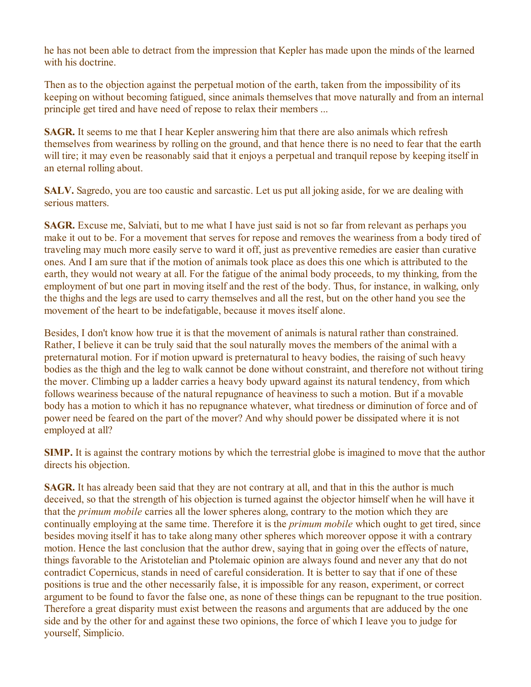he has not been able to detract from the impression that Kepler has made upon the minds of the learned with his doctrine

Then as to the objection against the perpetual motion of the earth, taken from the impossibility of its keeping on without becoming fatigued, since animals themselves that move naturally and from an internal principle get tired and have need of repose to relax their members ...

SAGR. It seems to me that I hear Kepler answering him that there are also animals which refresh themselves from weariness by rolling on the ground, and that hence there is no need to fear that the earth will tire; it may even be reasonably said that it enjoys a perpetual and tranquil repose by keeping itself in an eternal rolling about.

SALV. Sagredo, you are too caustic and sarcastic. Let us put all joking aside, for we are dealing with serious matters.

SAGR. Excuse me, Salviati, but to me what I have just said is not so far from relevant as perhaps you make it out to be. For a movement that serves for repose and removes the weariness from a body tired of traveling may much more easily serve to ward it off, just as preventive remedies are easier than curative ones. And I am sure that if the motion of animals took place as does this one which is attributed to the earth, they would not weary at all. For the fatigue of the animal body proceeds, to my thinking, from the employment of but one part in moving itself and the rest of the body. Thus, for instance, in walking, only the thighs and the legs are used to carry themselves and all the rest, but on the other hand you see the movement of the heart to be indefatigable, because it moves itself alone.

Besides, I don't know how true it is that the movement of animals is natural rather than constrained. Rather, I believe it can be truly said that the soul naturally moves the members of the animal with a preternatural motion. For if motion upward is preternatural to heavy bodies, the raising of such heavy bodies as the thigh and the leg to walk cannot be done without constraint, and therefore not without tiring the mover. Climbing up a ladder carries a heavy body upward against its natural tendency, from which follows weariness because of the natural repugnance of heaviness to such a motion. But if a movable body has a motion to which it has no repugnance whatever, what tiredness or diminution of force and of power need be feared on the part of the mover? And why should power be dissipated where it is not employed at all?

SIMP. It is against the contrary motions by which the terrestrial globe is imagined to move that the author directs his objection.

SAGR. It has already been said that they are not contrary at all, and that in this the author is much deceived, so that the strength of his objection is turned against the objector himself when he will have it that the primum mobile carries all the lower spheres along, contrary to the motion which they are continually employing at the same time. Therefore it is the *primum mobile* which ought to get tired, since besides moving itself it has to take along many other spheres which moreover oppose it with a contrary motion. Hence the last conclusion that the author drew, saying that in going over the effects of nature, things favorable to the Aristotelian and Ptolemaic opinion are always found and never any that do not contradict Copernicus, stands in need of careful consideration. It is better to say that if one of these positions is true and the other necessarily false, it is impossible for any reason, experiment, or correct argument to be found to favor the false one, as none of these things can be repugnant to the true position. Therefore a great disparity must exist between the reasons and arguments that are adduced by the one side and by the other for and against these two opinions, the force of which I leave you to judge for yourself, Simplicio.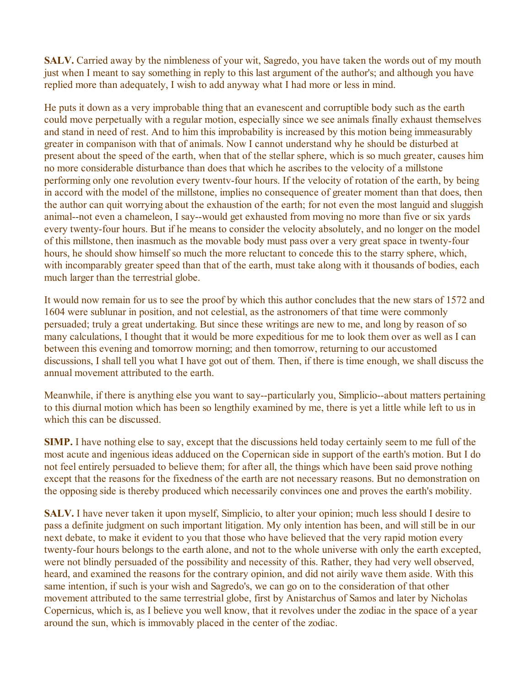SALV. Carried away by the nimbleness of your wit, Sagredo, you have taken the words out of my mouth just when I meant to say something in reply to this last argument of the author's; and although you have replied more than adequately, I wish to add anyway what I had more or less in mind.

He puts it down as a very improbable thing that an evanescent and corruptible body such as the earth could move perpetually with a regular motion, especially since we see animals finally exhaust themselves and stand in need of rest. And to him this improbability is increased by this motion being immeasurably greater in companison with that of animals. Now I cannot understand why he should be disturbed at present about the speed of the earth, when that of the stellar sphere, which is so much greater, causes him no more considerable disturbance than does that which he ascribes to the velocity of a millstone performing only one revolution every twentv-four hours. If the velocity of rotation of the earth, by being in accord with the model of the millstone, implies no consequence of greater moment than that does, then the author can quit worrying about the exhaustion of the earth; for not even the most languid and sluggish animal--not even a chameleon, I say--would get exhausted from moving no more than five or six yards every twenty-four hours. But if he means to consider the velocity absolutely, and no longer on the model of this millstone, then inasmuch as the movable body must pass over a very great space in twenty-four hours, he should show himself so much the more reluctant to concede this to the starry sphere, which, with incomparably greater speed than that of the earth, must take along with it thousands of bodies, each much larger than the terrestrial globe.

It would now remain for us to see the proof by which this author concludes that the new stars of 1572 and 1604 were sublunar in position, and not celestial, as the astronomers of that time were commonly persuaded; truly a great undertaking. But since these writings are new to me, and long by reason of so many calculations, I thought that it would be more expeditious for me to look them over as well as I can between this evening and tomorrow morning; and then tomorrow, returning to our accustomed discussions, I shall tell you what I have got out of them. Then, if there is time enough, we shall discuss the annual movement attributed to the earth.

Meanwhile, if there is anything else you want to say--particularly you, Simplicio--about matters pertaining to this diurnal motion which has been so lengthily examined by me, there is yet a little while left to us in which this can be discussed.

SIMP. I have nothing else to say, except that the discussions held today certainly seem to me full of the most acute and ingenious ideas adduced on the Copernican side in support of the earth's motion. But I do not feel entirely persuaded to believe them; for after all, the things which have been said prove nothing except that the reasons for the fixedness of the earth are not necessary reasons. But no demonstration on the opposing side is thereby produced which necessarily convinces one and proves the earth's mobility.

SALV. I have never taken it upon myself, Simplicio, to alter your opinion; much less should I desire to pass a definite judgment on such important litigation. My only intention has been, and will still be in our next debate, to make it evident to you that those who have believed that the very rapid motion every twenty-four hours belongs to the earth alone, and not to the whole universe with only the earth excepted, were not blindly persuaded of the possibility and necessity of this. Rather, they had very well observed, heard, and examined the reasons for the contrary opinion, and did not airily wave them aside. With this same intention, if such is your wish and Sagredo's, we can go on to the consideration of that other movement attributed to the same terrestrial globe, first by Anistarchus of Samos and later by Nicholas Copernicus, which is, as I believe you well know, that it revolves under the zodiac in the space of a year around the sun, which is immovably placed in the center of the zodiac.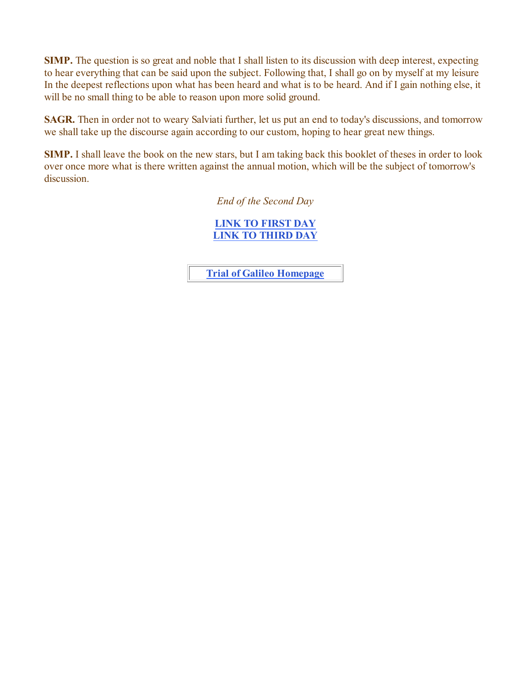SIMP. The question is so great and noble that I shall listen to its discussion with deep interest, expecting to hear everything that can be said upon the subject. Following that, I shall go on by myself at my leisure In the deepest reflections upon what has been heard and what is to be heard. And if I gain nothing else, it will be no small thing to be able to reason upon more solid ground.

SAGR. Then in order not to weary Salviati further, let us put an end to today's discussions, and tomorrow we shall take up the discourse again according to our custom, hoping to hear great new things.

SIMP. I shall leave the book on the new stars, but I am taking back this booklet of theses in order to look over once more what is there written against the annual motion, which will be the subject of tomorrow's discussion.

End of the Second Day

LINK TO FIRST DAY LINK TO THIRD DAY

Trial of Galileo Homepage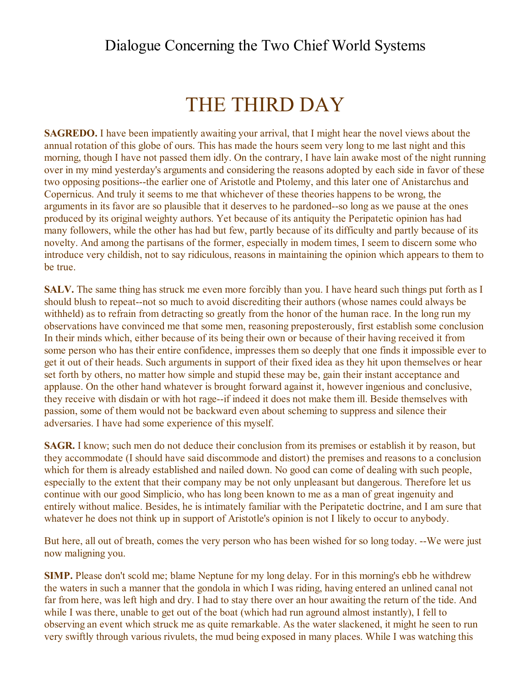## Dialogue Concerning the Two Chief World Systems

## THE THIRD DAY

SAGREDO. I have been impatiently awaiting your arrival, that I might hear the novel views about the annual rotation of this globe of ours. This has made the hours seem very long to me last night and this morning, though I have not passed them idly. On the contrary, I have lain awake most of the night running over in my mind yesterday's arguments and considering the reasons adopted by each side in favor of these two opposing positions--the earlier one of Aristotle and Ptolemy, and this later one of Anistarchus and Copernicus. And truly it seems to me that whichever of these theories happens to be wrong, the arguments in its favor are so plausible that it deserves to he pardoned--so long as we pause at the ones produced by its original weighty authors. Yet because of its antiquity the Peripatetic opinion has had many followers, while the other has had but few, partly because of its difficulty and partly because of its novelty. And among the partisans of the former, especially in modem times, I seem to discern some who introduce very childish, not to say ridiculous, reasons in maintaining the opinion which appears to them to be true.

SALV. The same thing has struck me even more forcibly than you. I have heard such things put forth as I should blush to repeat--not so much to avoid discrediting their authors (whose names could always be withheld) as to refrain from detracting so greatly from the honor of the human race. In the long run my observations have convinced me that some men, reasoning preposterously, first establish some conclusion In their minds which, either because of its being their own or because of their having received it from some person who has their entire confidence, impresses them so deeply that one finds it impossible ever to get it out of their heads. Such arguments in support of their fixed idea as they hit upon themselves or hear set forth by others, no matter how simple and stupid these may be, gain their instant acceptance and applause. On the other hand whatever is brought forward against it, however ingenious and conclusive, they receive with disdain or with hot rage--if indeed it does not make them ill. Beside themselves with passion, some of them would not be backward even about scheming to suppress and silence their adversaries. I have had some experience of this myself.

**SAGR.** I know; such men do not deduce their conclusion from its premises or establish it by reason, but they accommodate (I should have said discommode and distort) the premises and reasons to a conclusion which for them is already established and nailed down. No good can come of dealing with such people, especially to the extent that their company may be not only unpleasant but dangerous. Therefore let us continue with our good Simplicio, who has long been known to me as a man of great ingenuity and entirely without malice. Besides, he is intimately familiar with the Peripatetic doctrine, and I am sure that whatever he does not think up in support of Aristotle's opinion is not I likely to occur to anybody.

But here, all out of breath, comes the very person who has been wished for so long today. --We were just now maligning you.

SIMP. Please don't scold me; blame Neptune for my long delay. For in this morning's ebb he withdrew the waters in such a manner that the gondola in which I was riding, having entered an unlined canal not far from here, was left high and dry. I had to stay there over an hour awaiting the return of the tide. And while I was there, unable to get out of the boat (which had run aground almost instantly). I fell to observing an event which struck me as quite remarkable. As the water slackened, it might he seen to run very swiftly through various rivulets, the mud being exposed in many places. While I was watching this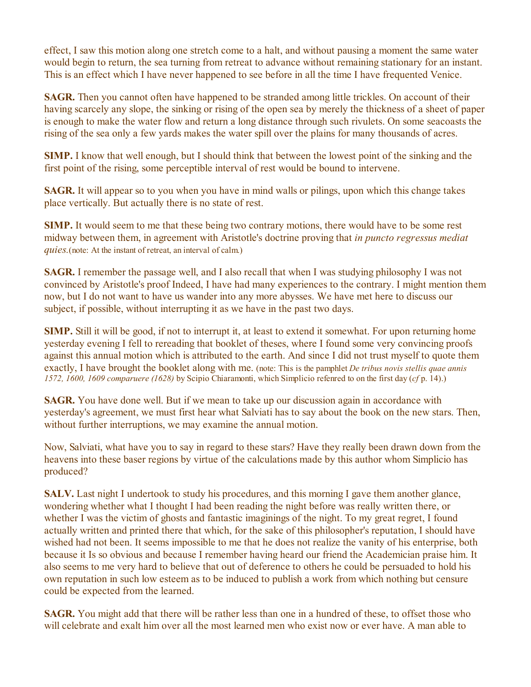effect, I saw this motion along one stretch come to a halt, and without pausing a moment the same water would begin to return, the sea turning from retreat to advance without remaining stationary for an instant. This is an effect which I have never happened to see before in all the time I have frequented Venice.

SAGR. Then you cannot often have happened to be stranded among little trickles. On account of their having scarcely any slope, the sinking or rising of the open sea by merely the thickness of a sheet of paper is enough to make the water flow and return a long distance through such rivulets. On some seacoasts the rising of the sea only a few yards makes the water spill over the plains for many thousands of acres.

SIMP. I know that well enough, but I should think that between the lowest point of the sinking and the first point of the rising, some perceptible interval of rest would be bound to intervene.

SAGR. It will appear so to you when you have in mind walls or pilings, upon which this change takes place vertically. But actually there is no state of rest.

SIMP. It would seem to me that these being two contrary motions, there would have to be some rest midway between them, in agreement with Aristotle's doctrine proving that *in puncto regressus mediat* quies. (note: At the instant of retreat, an interval of calm.)

SAGR. I remember the passage well, and I also recall that when I was studying philosophy I was not convinced by Aristotle's proof Indeed, I have had many experiences to the contrary. I might mention them now, but I do not want to have us wander into any more abysses. We have met here to discuss our subject, if possible, without interrupting it as we have in the past two days.

SIMP. Still it will be good, if not to interrupt it, at least to extend it somewhat. For upon returning home yesterday evening I fell to rereading that booklet of theses, where I found some very convincing proofs against this annual motion which is attributed to the earth. And since I did not trust myself to quote them exactly. I have brought the booklet along with me. (note: This is the pamphlet *De tribus novis stellis quae annis* 1572, 1600, 1609 comparuere (1628) by Scipio Chiaramonti, which Simplicio refenred to on the first day (cf p. 14).)

SAGR. You have done well. But if we mean to take up our discussion again in accordance with yesterday's agreement, we must first hear what Salviati has to say about the book on the new stars. Then, without further interruptions, we may examine the annual motion.

Now, Salviati, what have you to say in regard to these stars? Have they really been drawn down from the heavens into these baser regions by virtue of the calculations made by this author whom Simplicio has produced?

SALV. Last night I undertook to study his procedures, and this morning I gave them another glance, wondering whether what I thought I had been reading the night before was really written there, or whether I was the victim of ghosts and fantastic imaginings of the night. To my great regret, I found actually written and printed there that which, for the sake of this philosopher's reputation, I should have wished had not been. It seems impossible to me that he does not realize the vanity of his enterprise, both because it Is so obvious and because I remember having heard our friend the Academician praise him. It also seems to me very hard to believe that out of deference to others he could be persuaded to hold his own reputation in such low esteem as to be induced to publish a work from which nothing but censure could be expected from the learned.

**SAGR.** You might add that there will be rather less than one in a hundred of these, to offset those who will celebrate and exalt him over all the most learned men who exist now or ever have. A man able to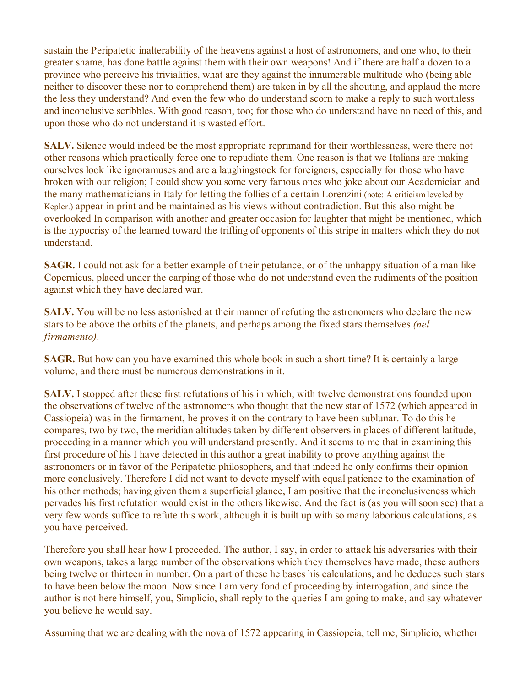sustain the Peripatetic inalterability of the heavens against a host of astronomers, and one who, to their greater shame, has done battle against them with their own weapons! And if there are half a dozen to a province who perceive his trivialities, what are they against the innumerable multitude who (being able neither to discover these nor to comprehend them) are taken in by all the shouting, and applaud the more the less they understand? And even the few who do understand scorn to make a reply to such worthless and inconclusive scribbles. With good reason, too; for those who do understand have no need of this, and upon those who do not understand it is wasted effort.

SALV. Silence would indeed be the most appropriate reprimand for their worthlessness, were there not other reasons which practically force one to repudiate them. One reason is that we Italians are making ourselves look like ignoramuses and are a laughingstock for foreigners, especially for those who have broken with our religion; I could show you some very famous ones who joke about our Academician and the many mathematicians in Italy for letting the follies of a certain Lorenzini (note: A criticism leveled by Kepler.) appear in print and be maintained as his views without contradiction. But this also might be overlooked In comparison with another and greater occasion for laughter that might be mentioned, which is the hypocrisy of the learned toward the trifling of opponents of this stripe in matters which they do not understand.

SAGR. I could not ask for a better example of their petulance, or of the unhappy situation of a man like Copernicus, placed under the carping of those who do not understand even the rudiments of the position against which they have declared war.

SALV. You will be no less astonished at their manner of refuting the astronomers who declare the new stars to be above the orbits of the planets, and perhaps among the fixed stars themselves *(nel*) firmamento).

**SAGR.** But how can you have examined this whole book in such a short time? It is certainly a large volume, and there must be numerous demonstrations in it.

SALV. I stopped after these first refutations of his in which, with twelve demonstrations founded upon the observations of twelve of the astronomers who thought that the new star of 1572 (which appeared in Cassiopeia) was in the firmament, he proves it on the contrary to have been sublunar. To do this he compares, two by two, the meridian altitudes taken by different observers in places of different latitude, proceeding in a manner which you will understand presently. And it seems to me that in examining this first procedure of his I have detected in this author a great inability to prove anything against the astronomers or in favor of the Peripatetic philosophers, and that indeed he only confirms their opinion more conclusively. Therefore I did not want to devote myself with equal patience to the examination of his other methods; having given them a superficial glance, I am positive that the inconclusiveness which pervades his first refutation would exist in the others likewise. And the fact is (as you will soon see) that a very few words suffice to refute this work, although it is built up with so many laborious calculations, as you have perceived.

Therefore you shall hear how I proceeded. The author, I say, in order to attack his adversaries with their own weapons, takes a large number of the observations which they themselves have made, these authors being twelve or thirteen in number. On a part of these he bases his calculations, and he deduces such stars to have been below the moon. Now since I am very fond of proceeding by interrogation, and since the author is not here himself, you, Simplicio, shall reply to the queries I am going to make, and say whatever you believe he would say.

Assuming that we are dealing with the nova of 1572 appearing in Cassiopeia, tell me, Simplicio, whether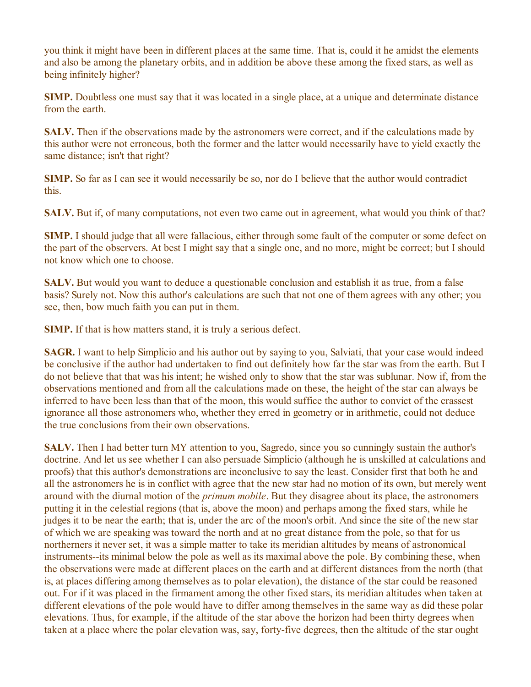you think it might have been in different places at the same time. That is, could it he amidst the elements and also be among the planetary orbits, and in addition be above these among the fixed stars, as well as being infinitely higher?

SIMP. Doubtless one must say that it was located in a single place, at a unique and determinate distance from the earth.

SALV. Then if the observations made by the astronomers were correct, and if the calculations made by this author were not erroneous, both the former and the latter would necessarily have to yield exactly the same distance; isn't that right?

SIMP. So far as I can see it would necessarily be so, nor do I believe that the author would contradict this.

SALV. But if, of many computations, not even two came out in agreement, what would you think of that?

SIMP. I should judge that all were fallacious, either through some fault of the computer or some defect on the part of the observers. At best I might say that a single one, and no more, might be correct; but I should not know which one to choose.

SALV. But would you want to deduce a questionable conclusion and establish it as true, from a false basis? Surely not. Now this author's calculations are such that not one of them agrees with any other; you see, then, bow much faith you can put in them.

SIMP. If that is how matters stand, it is truly a serious defect.

SAGR. I want to help Simplicio and his author out by saying to you, Salviati, that your case would indeed be conclusive if the author had undertaken to find out definitely how far the star was from the earth. But I do not believe that that was his intent; he wished only to show that the star was sublunar. Now if, from the observations mentioned and from all the calculations made on these, the height of the star can always be inferred to have been less than that of the moon, this would suffice the author to convict of the crassest ignorance all those astronomers who, whether they erred in geometry or in arithmetic, could not deduce the true conclusions from their own observations.

SALV. Then I had better turn MY attention to you, Sagredo, since you so cunningly sustain the author's doctrine. And let us see whether I can also persuade Simplicio (although he is unskilled at calculations and proofs) that this author's demonstrations are inconclusive to say the least. Consider first that both he and all the astronomers he is in conflict with agree that the new star had no motion of its own, but merely went around with the diurnal motion of the *primum mobile*. But they disagree about its place, the astronomers putting it in the celestial regions (that is, above the moon) and perhaps among the fixed stars, while he judges it to be near the earth; that is, under the arc of the moon's orbit. And since the site of the new star of which we are speaking was toward the north and at no great distance from the pole, so that for us northerners it never set, it was a simple matter to take its meridian altitudes by means of astronomical instruments--its minimal below the pole as well as its maximal above the pole. By combining these, when the observations were made at different places on the earth and at different distances from the north (that is, at places differing among themselves as to polar elevation), the distance of the star could be reasoned out. For if it was placed in the firmament among the other fixed stars, its meridian altitudes when taken at different elevations of the pole would have to differ among themselves in the same way as did these polar elevations. Thus, for example, if the altitude of the star above the horizon had been thirty degrees when taken at a place where the polar elevation was, say, forty-five degrees, then the altitude of the star ought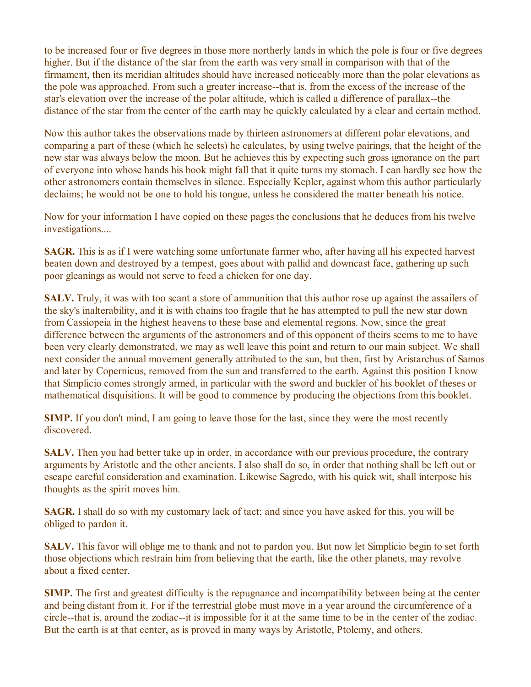to be increased four or five degrees in those more northerly lands in which the pole is four or five degrees higher. But if the distance of the star from the earth was very small in comparison with that of the firmament, then its meridian altitudes should have increased noticeably more than the polar elevations as the pole was approached. From such a greater increase--that is, from the excess of the increase of the star's elevation over the increase of the polar altitude, which is called a difference of parallax--the distance of the star from the center of the earth may be quickly calculated by a clear and certain method.

Now this author takes the observations made by thirteen astronomers at different polar elevations, and comparing a part of these (which he selects) he calculates, by using twelve pairings, that the height of the new star was always below the moon. But he achieves this by expecting such gross ignorance on the part of everyone into whose hands his book might fall that it quite turns my stomach. I can hardly see how the other astronomers contain themselves in silence. Especially Kepler, against whom this author particularly declaims; he would not be one to hold his tongue, unless he considered the matter beneath his notice.

Now for your information I have copied on these pages the conclusions that he deduces from his twelve investigations....

SAGR. This is as if I were watching some unfortunate farmer who, after having all his expected harvest beaten down and destroyed by a tempest, goes about with pallid and downcast face, gathering up such poor gleanings as would not serve to feed a chicken for one day.

SALV. Truly, it was with too scant a store of ammunition that this author rose up against the assailers of the sky's inalterability, and it is with chains too fragile that he has attempted to pull the new star down from Cassiopeia in the highest heavens to these base and elemental regions. Now, since the great difference between the arguments of the astronomers and of this opponent of theirs seems to me to have been very clearly demonstrated, we may as well leave this point and return to our main subject. We shall next consider the annual movement generally attributed to the sun, but then, first by Aristarchus of Samos and later by Copernicus, removed from the sun and transferred to the earth. Against this position I know that Simplicio comes strongly armed, in particular with the sword and buckler of his booklet of theses or mathematical disquisitions. It will be good to commence by producing the objections from this booklet.

**SIMP.** If you don't mind, I am going to leave those for the last, since they were the most recently discovered.

SALV. Then you had better take up in order, in accordance with our previous procedure, the contrary arguments by Aristotle and the other ancients. I also shall do so, in order that nothing shall be left out or escape careful consideration and examination. Likewise Sagredo, with his quick wit, shall interpose his thoughts as the spirit moves him.

SAGR. I shall do so with my customary lack of tact; and since you have asked for this, you will be obliged to pardon it.

SALV. This favor will oblige me to thank and not to pardon you. But now let Simplicio begin to set forth those objections which restrain him from believing that the earth, like the other planets, may revolve about a fixed center.

SIMP. The first and greatest difficulty is the repugnance and incompatibility between being at the center and being distant from it. For if the terrestrial globe must move in a year around the circumference of a circle--that is, around the zodiac--it is impossible for it at the same time to be in the center of the zodiac. But the earth is at that center, as is proved in many ways by Aristotle, Ptolemy, and others.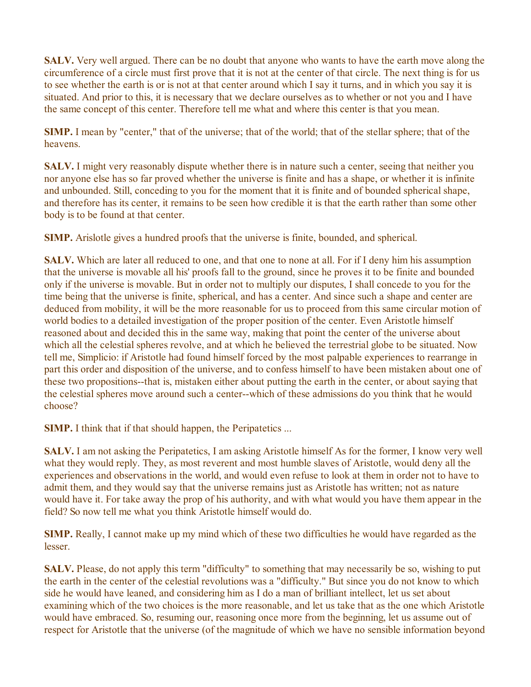SALV. Very well argued. There can be no doubt that anyone who wants to have the earth move along the circumference of a circle must first prove that it is not at the center of that circle. The next thing is for us to see whether the earth is or is not at that center around which I say it turns, and in which you say it is situated. And prior to this, it is necessary that we declare ourselves as to whether or not you and I have the same concept of this center. Therefore tell me what and where this center is that you mean.

SIMP. I mean by "center," that of the universe; that of the world; that of the stellar sphere; that of the heavens.

SALV. I might very reasonably dispute whether there is in nature such a center, seeing that neither you nor anyone else has so far proved whether the universe is finite and has a shape, or whether it is infinite and unbounded. Still, conceding to you for the moment that it is finite and of bounded spherical shape, and therefore has its center, it remains to be seen how credible it is that the earth rather than some other body is to be found at that center.

SIMP. Arislotle gives a hundred proofs that the universe is finite, bounded, and spherical.

SALV. Which are later all reduced to one, and that one to none at all. For if I deny him his assumption that the universe is movable all his' proofs fall to the ground, since he proves it to be finite and bounded only if the universe is movable. But in order not to multiply our disputes, I shall concede to you for the time being that the universe is finite, spherical, and has a center. And since such a shape and center are deduced from mobility, it will be the more reasonable for us to proceed from this same circular motion of world bodies to a detailed investigation of the proper position of the center. Even Aristotle himself reasoned about and decided this in the same way, making that point the center of the universe about which all the celestial spheres revolve, and at which he believed the terrestrial globe to be situated. Now tell me, Simplicio: if Aristotle had found himself forced by the most palpable experiences to rearrange in part this order and disposition of the universe, and to confess himself to have been mistaken about one of these two propositions--that is, mistaken either about putting the earth in the center, or about saying that the celestial spheres move around such a center--which of these admissions do you think that he would choose?

SIMP. I think that if that should happen, the Peripatetics ...

SALV. I am not asking the Peripatetics, I am asking Aristotle himself As for the former, I know very well what they would reply. They, as most reverent and most humble slaves of Aristotle, would deny all the experiences and observations in the world, and would even refuse to look at them in order not to have to admit them, and they would say that the universe remains just as Aristotle has written; not as nature would have it. For take away the prop of his authority, and with what would you have them appear in the field? So now tell me what you think Aristotle himself would do.

SIMP. Really, I cannot make up my mind which of these two difficulties he would have regarded as the **lesser** 

SALV. Please, do not apply this term "difficulty" to something that may necessarily be so, wishing to put the earth in the center of the celestial revolutions was a "difficulty." But since you do not know to which side he would have leaned, and considering him as I do a man of brilliant intellect, let us set about examining which of the two choices is the more reasonable, and let us take that as the one which Aristotle would have embraced. So, resuming our, reasoning once more from the beginning, let us assume out of respect for Aristotle that the universe (of the magnitude of which we have no sensible information beyond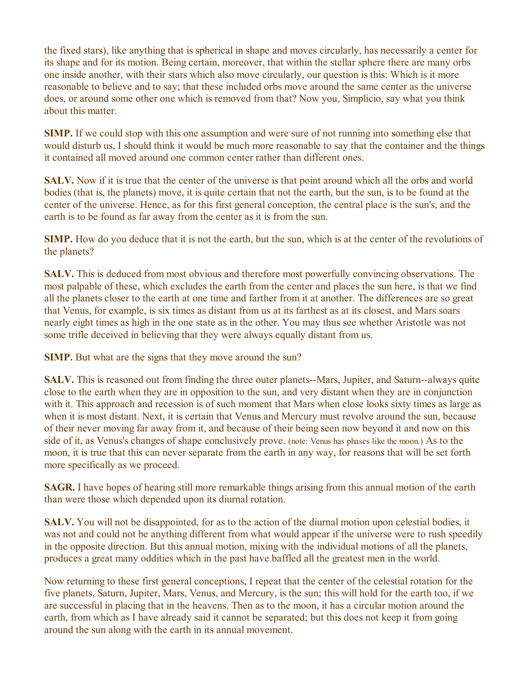the fixed stars), like anything that is spherical in shape and moves circularly, has necessarily a center for its shape and for its motion. Being certain, moreover, that within the stellar sphere there are many orbs one inside another, with their stars which also move circularly, our question is this: Which is it more reasonable to believe and to say; that these included orbs move around the same center as the universe does, or around some other one which is removed from that? Now you, Simplicio, say what you think about this matter.

SIMP. If we could stop with this one assumption and were sure of not running into something else that would disturb us, I should think it would be much more reasonable to say that the container and the things it contained all moved around one common center rather than different ones.

SALV. Now if it is true that the center of the universe is that point around which all the orbs and world bodies (that is, the planets) move, it is quite certain that not the earth, but the sun, is to be found at the center of the universe. Hence, as for this first general conception, the central place is the sun's, and the earth is to be found as far away from the center as it is from the sun.

SIMP. How do you deduce that it is not the earth, but the sun, which is at the center of the revolutions of the planets?

SALV. This is deduced from most obvious and therefore most powerfully convincing observations. The most palpable of these, which excludes the earth from the center and places the sun here, is that we find all the planets closer to the earth at one time and farther from it at another. The differences are so great that Venus, for example, is six times as distant from us at its farthest as at its closest, and Mars soars nearly eight times as high in the one state as in the other. You may thus see whether Aristotle was not some trifle deceived in believing that they were always equally distant from us.

SIMP. But what are the signs that they move around the sun?

SALV. This is reasoned out from finding the three outer planets--Mars, Jupiter, and Saturn--always quite close to the earth when they are in opposition to the sun, and very distant when they are in conjunction with it. This approach and recession is of such moment that Mars when close looks sixty times as large as when it is most distant. Next, it is certain that Venus and Mercury must revolve around the sun, because of their never moving far away from it, and because of their being seen now beyond it and now on this side of it, as Venus's changes of shape conclusively prove. (note: Venus has phases like the moon.) As to the moon, it is true that this can never separate from the earth in any way, for reasons that will be set forth more specifically as we proceed.

SAGR. I have hopes of hearing still more remarkable things arising from this annual motion of the earth than were those which depended upon its diurnal rotation.

SALV. You will not be disappointed, for as to the action of the diurnal motion upon celestial bodies, it was not and could not be anything different from what would appear if the universe were to rush speedily in the opposite direction. But this annual motion, mixing with the individual motions of all the planets, produces a great many oddities which in the past have baffled all the greatest men in the world.

Now returning to these first general conceptions, I repeat that the center of the celestial rotation for the five planets, Saturn, Jupiter, Mars, Venus, and Mercury, is the sun; this will hold for the earth too, if we are successful in placing that in the heavens. Then as to the moon, it has a circular motion around the earth, from which as I have already said it cannot be separated; but this does not keep it from going around the sun along with the earth in its annual movement.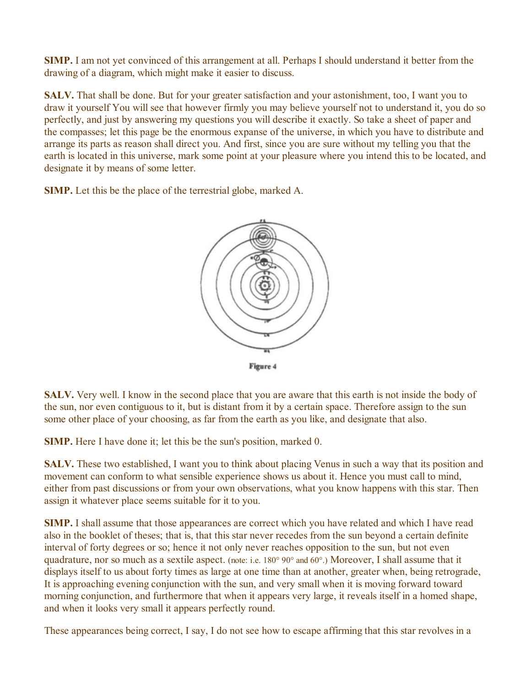SIMP. I am not yet convinced of this arrangement at all. Perhaps I should understand it better from the drawing of a diagram, which might make it easier to discuss.

SALV. That shall be done. But for your greater satisfaction and your astonishment, too, I want you to draw it yourself You will see that however firmly you may believe yourself not to understand it, you do so perfectly, and just by answering my questions you will describe it exactly. So take a sheet of paper and the compasses; let this page be the enormous expanse of the universe, in which you have to distribute and arrange its parts as reason shall direct you. And first, since you are sure without my telling you that the earth is located in this universe, mark some point at your pleasure where you intend this to be located, and designate it by means of some letter.

SIMP. Let this be the place of the terrestrial globe, marked A.





SALV. Very well. I know in the second place that you are aware that this earth is not inside the body of the sun, nor even contiguous to it, but is distant from it by a certain space. Therefore assign to the sun some other place of your choosing, as far from the earth as you like, and designate that also.

SIMP. Here I have done it; let this be the sun's position, marked 0.

SALV. These two established, I want you to think about placing Venus in such a way that its position and movement can conform to what sensible experience shows us about it. Hence you must call to mind, either from past discussions or from your own observations, what you know happens with this star. Then assign it whatever place seems suitable for it to you.

SIMP. I shall assume that those appearances are correct which you have related and which I have read also in the booklet of theses; that is, that this star never recedes from the sun beyond a certain definite interval of forty degrees or so; hence it not only never reaches opposition to the sun, but not even quadrature, nor so much as a sextile aspect. (note: i.e. 180° 90° and 60°.) Moreover, I shall assume that it displays itself to us about forty times as large at one time than at another, greater when, being retrograde, It is approaching evening conjunction with the sun, and very small when it is moving forward toward morning conjunction, and furthermore that when it appears very large, it reveals itself in a homed shape, and when it looks very small it appears perfectly round.

These appearances being correct, I say, I do not see how to escape affirming that this star revolves in a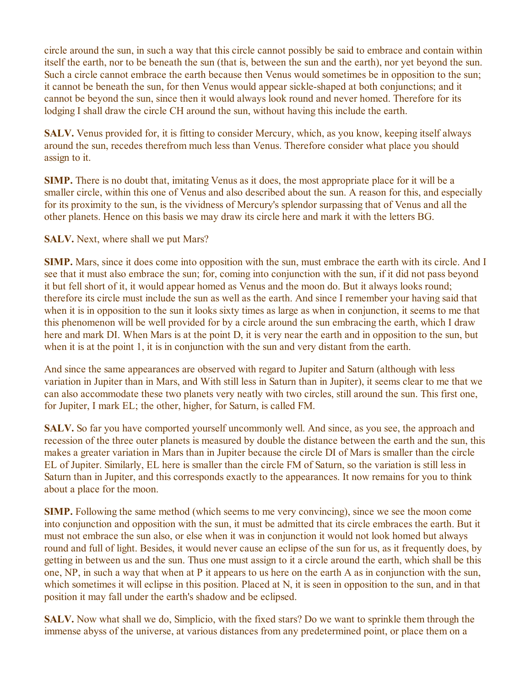circle around the sun, in such a way that this circle cannot possibly be said to embrace and contain within itself the earth, nor to be beneath the sun (that is, between the sun and the earth), nor yet beyond the sun. Such a circle cannot embrace the earth because then Venus would sometimes be in opposition to the sun; it cannot be beneath the sun, for then Venus would appear sickle-shaped at both conjunctions; and it cannot be beyond the sun, since then it would always look round and never homed. Therefore for its lodging I shall draw the circle CH around the sun, without having this include the earth.

SALV. Venus provided for, it is fitting to consider Mercury, which, as you know, keeping itself always around the sun, recedes therefrom much less than Venus. Therefore consider what place you should assign to it.

SIMP. There is no doubt that, imitating Venus as it does, the most appropriate place for it will be a smaller circle, within this one of Venus and also described about the sun. A reason for this, and especially for its proximity to the sun, is the vividness of Mercury's splendor surpassing that of Venus and all the other planets. Hence on this basis we may draw its circle here and mark it with the letters BG.

## SALV. Next, where shall we put Mars?

SIMP. Mars, since it does come into opposition with the sun, must embrace the earth with its circle. And I see that it must also embrace the sun; for, coming into conjunction with the sun, if it did not pass beyond it but fell short of it, it would appear homed as Venus and the moon do. But it always looks round; therefore its circle must include the sun as well as the earth. And since I remember your having said that when it is in opposition to the sun it looks sixty times as large as when in conjunction, it seems to me that this phenomenon will be well provided for by a circle around the sun embracing the earth, which I draw here and mark DI. When Mars is at the point D, it is very near the earth and in opposition to the sun, but when it is at the point 1, it is in conjunction with the sun and very distant from the earth.

And since the same appearances are observed with regard to Jupiter and Saturn (although with less variation in Jupiter than in Mars, and With still less in Saturn than in Jupiter), it seems clear to me that we can also accommodate these two planets very neatly with two circles, still around the sun. This first one, for Jupiter, I mark EL; the other, higher, for Saturn, is called FM.

SALV. So far you have comported yourself uncommonly well. And since, as you see, the approach and recession of the three outer planets is measured by double the distance between the earth and the sun, this makes a greater variation in Mars than in Jupiter because the circle DI of Mars is smaller than the circle EL of Jupiter. Similarly, EL here is smaller than the circle FM of Saturn, so the variation is still less in Saturn than in Jupiter, and this corresponds exactly to the appearances. It now remains for you to think about a place for the moon.

SIMP. Following the same method (which seems to me very convincing), since we see the moon come into conjunction and opposition with the sun, it must be admitted that its circle embraces the earth. But it must not embrace the sun also, or else when it was in conjunction it would not look homed but always round and full of light. Besides, it would never cause an eclipse of the sun for us, as it frequently does, by getting in between us and the sun. Thus one must assign to it a circle around the earth, which shall be this one, NP, in such a way that when at P it appears to us here on the earth A as in conjunction with the sun, which sometimes it will eclipse in this position. Placed at N, it is seen in opposition to the sun, and in that position it may fall under the earth's shadow and be eclipsed.

SALV. Now what shall we do, Simplicio, with the fixed stars? Do we want to sprinkle them through the immense abyss of the universe, at various distances from any predetermined point, or place them on a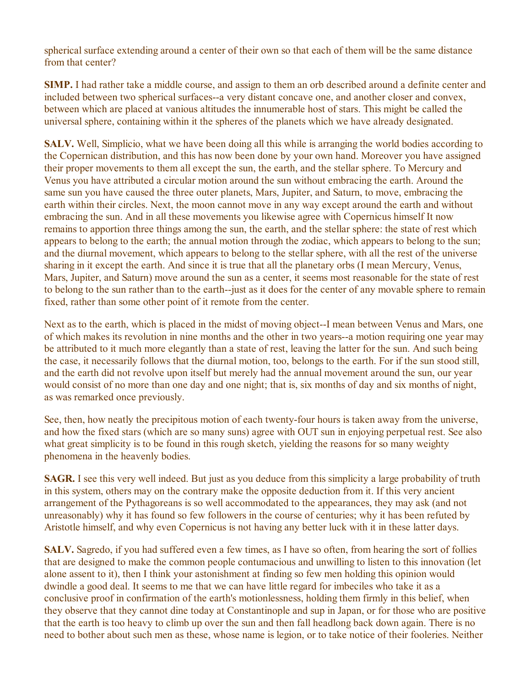spherical surface extending around a center of their own so that each of them will be the same distance from that center?

SIMP. I had rather take a middle course, and assign to them an orb described around a definite center and included between two spherical surfaces--a very distant concave one, and another closer and convex, between which are placed at vanious altitudes the innumerable host of stars. This might be called the universal sphere, containing within it the spheres of the planets which we have already designated.

SALV. Well, Simplicio, what we have been doing all this while is arranging the world bodies according to the Copernican distribution, and this has now been done by your own hand. Moreover you have assigned their proper movements to them all except the sun, the earth, and the stellar sphere. To Mercury and Venus you have attributed a circular motion around the sun without embracing the earth. Around the same sun you have caused the three outer planets, Mars, Jupiter, and Saturn, to move, embracing the earth within their circles. Next, the moon cannot move in any way except around the earth and without embracing the sun. And in all these movements you likewise agree with Copernicus himself It now remains to apportion three things among the sun, the earth, and the stellar sphere: the state of rest which appears to belong to the earth; the annual motion through the zodiac, which appears to belong to the sun; and the diurnal movement, which appears to belong to the stellar sphere, with all the rest of the universe sharing in it except the earth. And since it is true that all the planetary orbs (I mean Mercury, Venus, Mars, Jupiter, and Saturn) move around the sun as a center, it seems most reasonable for the state of rest to belong to the sun rather than to the earth--just as it does for the center of any movable sphere to remain fixed, rather than some other point of it remote from the center.

Next as to the earth, which is placed in the midst of moving object--I mean between Venus and Mars, one of which makes its revolution in nine months and the other in two years--a motion requiring one year may be attributed to it much more elegantly than a state of rest, leaving the latter for the sun. And such being the case, it necessarily follows that the diurnal motion, too, belongs to the earth. For if the sun stood still, and the earth did not revolve upon itself but merely had the annual movement around the sun, our year would consist of no more than one day and one night; that is, six months of day and six months of night, as was remarked once previously.

See, then, how neatly the precipitous motion of each twenty-four hours is taken away from the universe, and how the fixed stars (which are so many suns) agree with OUT sun in enjoying perpetual rest. See also what great simplicity is to be found in this rough sketch, yielding the reasons for so many weighty phenomena in the heavenly bodies.

**SAGR.** I see this very well indeed. But just as you deduce from this simplicity a large probability of truth in this system, others may on the contrary make the opposite deduction from it. If this very ancient arrangement of the Pythagoreans is so well accommodated to the appearances, they may ask (and not unreasonably) why it has found so few followers in the course of centuries; why it has been refuted by Aristotle himself, and why even Copernicus is not having any better luck with it in these latter days.

SALV. Sagredo, if you had suffered even a few times, as I have so often, from hearing the sort of follies that are designed to make the common people contumacious and unwilling to listen to this innovation (let alone assent to it), then I think your astonishment at finding so few men holding this opinion would dwindle a good deal. It seems to me that we can have little regard for imbeciles who take it as a conclusive proof in confirmation of the earth's motionlessness, holding them firmly in this belief, when they observe that they cannot dine today at Constantinople and sup in Japan, or for those who are positive that the earth is too heavy to climb up over the sun and then fall headlong back down again. There is no need to bother about such men as these, whose name is legion, or to take notice of their fooleries. Neither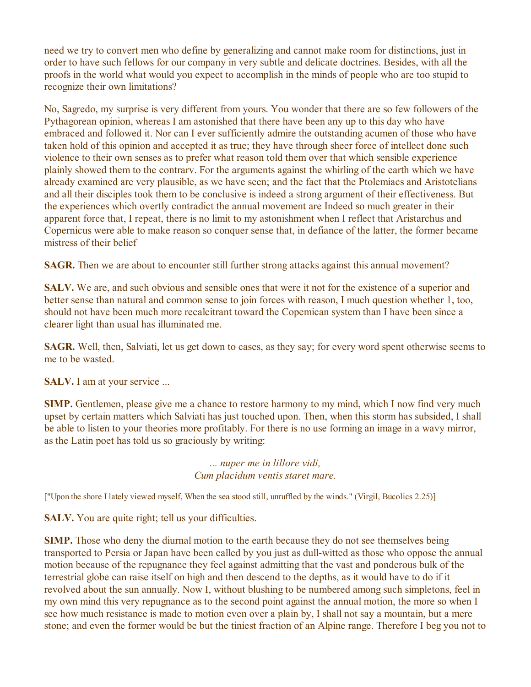need we try to convert men who define by generalizing and cannot make room for distinctions, just in order to have such fellows for our company in very subtle and delicate doctrines. Besides, with all the proofs in the world what would you expect to accomplish in the minds of people who are too stupid to recognize their own limitations?

No, Sagredo, my surprise is very different from yours. You wonder that there are so few followers of the Pythagorean opinion, whereas I am astonished that there have been any up to this day who have embraced and followed it. Nor can I ever sufficiently admire the outstanding acumen of those who have taken hold of this opinion and accepted it as true; they have through sheer force of intellect done such violence to their own senses as to prefer what reason told them over that which sensible experience plainly showed them to the contrarv. For the arguments against the whirling of the earth which we have already examined are very plausible, as we have seen; and the fact that the Ptolemiacs and Aristotelians and all their disciples took them to be conclusive is indeed a strong argument of their effectiveness. But the experiences which overtly contradict the annual movement are Indeed so much greater in their apparent force that, I repeat, there is no limit to my astonishment when I reflect that Aristarchus and Copernicus were able to make reason so conquer sense that, in defiance of the latter, the former became mistress of their belief

**SAGR.** Then we are about to encounter still further strong attacks against this annual movement?

SALV. We are, and such obvious and sensible ones that were it not for the existence of a superior and better sense than natural and common sense to join forces with reason, I much question whether 1, too, should not have been much more recalcitrant toward the Copemican system than I have been since a clearer light than usual has illuminated me.

SAGR. Well, then, Salviati, let us get down to cases, as they say; for every word spent otherwise seems to me to be wasted.

SALV. I am at your service ...

SIMP. Gentlemen, please give me a chance to restore harmony to my mind, which I now find very much upset by certain matters which Salviati has just touched upon. Then, when this storm has subsided, I shall be able to listen to your theories more profitably. For there is no use forming an image in a wavy mirror, as the Latin poet has told us so graciously by writing:

> ... nuper me in lillore vidi, Cum placidum ventis staret mare.

["Upon the shore I lately viewed myself, When the sea stood still, unruffled by the winds." (Virgil, Bucolics 2.25)]

SALV. You are quite right; tell us your difficulties.

SIMP. Those who deny the diurnal motion to the earth because they do not see themselves being transported to Persia or Japan have been called by you just as dull-witted as those who oppose the annual motion because of the repugnance they feel against admitting that the vast and ponderous bulk of the terrestrial globe can raise itself on high and then descend to the depths, as it would have to do if it revolved about the sun annually. Now I, without blushing to be numbered among such simpletons, feel in my own mind this very repugnance as to the second point against the annual motion, the more so when I see how much resistance is made to motion even over a plain by, I shall not say a mountain, but a mere stone; and even the former would be but the tiniest fraction of an Alpine range. Therefore I beg you not to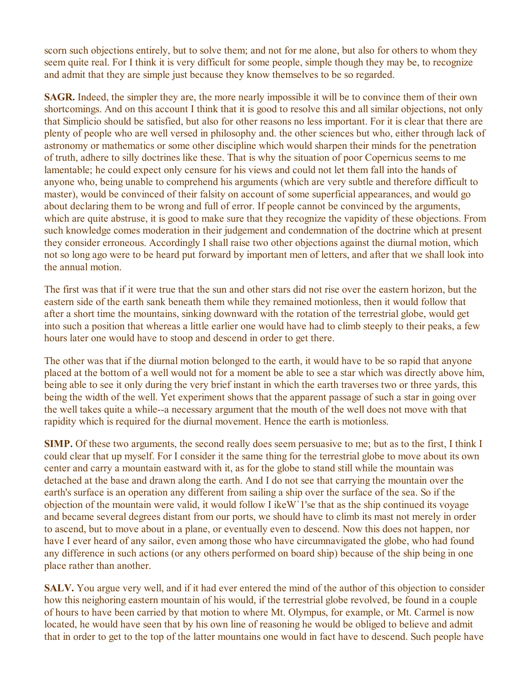scorn such objections entirely, but to solve them; and not for me alone, but also for others to whom they seem quite real. For I think it is very difficult for some people, simple though they may be, to recognize and admit that they are simple just because they know themselves to be so regarded.

**SAGR.** Indeed, the simpler they are, the more nearly impossible it will be to convince them of their own shortcomings. And on this account I think that it is good to resolve this and all similar objections, not only that Simplicio should be satisfied, but also for other reasons no less important. For it is clear that there are plenty of people who are well versed in philosophy and. the other sciences but who, either through lack of astronomy or mathematics or some other discipline which would sharpen their minds for the penetration of truth, adhere to silly doctrines like these. That is why the situation of poor Copernicus seems to me lamentable; he could expect only censure for his views and could not let them fall into the hands of anyone who, being unable to comprehend his arguments (which are very subtle and therefore difficult to master), would be convinced of their falsity on account of some superficial appearances, and would go about declaring them to be wrong and full of error. If people cannot be convinced by the arguments, which are quite abstruse, it is good to make sure that they recognize the vapidity of these objections. From such knowledge comes moderation in their judgement and condemnation of the doctrine which at present they consider erroneous. Accordingly I shall raise two other objections against the diurnal motion, which not so long ago were to be heard put forward by important men of letters, and after that we shall look into the annual motion.

The first was that if it were true that the sun and other stars did not rise over the eastern horizon, but the eastern side of the earth sank beneath them while they remained motionless, then it would follow that after a short time the mountains, sinking downward with the rotation of the terrestrial globe, would get into such a position that whereas a little earlier one would have had to climb steeply to their peaks, a few hours later one would have to stoop and descend in order to get there.

The other was that if the diurnal motion belonged to the earth, it would have to be so rapid that anyone placed at the bottom of a well would not for a moment be able to see a star which was directly above him, being able to see it only during the very brief instant in which the earth traverses two or three yards, this being the width of the well. Yet experiment shows that the apparent passage of such a star in going over the well takes quite a while--a necessary argument that the mouth of the well does not move with that rapidity which is required for the diurnal movement. Hence the earth is motionless.

SIMP. Of these two arguments, the second really does seem persuasive to me; but as to the first, I think I could clear that up myself. For I consider it the same thing for the terrestrial globe to move about its own center and carry a mountain eastward with it, as for the globe to stand still while the mountain was detached at the base and drawn along the earth. And I do not see that carrying the mountain over the earth's surface is an operation any different from sailing a ship over the surface of the sea. So if the objection of the mountain were valid, it would follow I ikeW`1'se that as the ship continued its voyage and became several degrees distant from our ports, we should have to climb its mast not merely in order to ascend, but to move about in a plane, or eventually even to descend. Now this does not happen, nor have I ever heard of any sailor, even among those who have circumnavigated the globe, who had found any difference in such actions (or any others performed on board ship) because of the ship being in one place rather than another.

SALV. You argue very well, and if it had ever entered the mind of the author of this objection to consider how this neighoring eastern mountain of his would, if the terrestrial globe revolved, be found in a couple of hours to have been carried by that motion to where Mt. Olympus, for example, or Mt. Carmel is now located, he would have seen that by his own line of reasoning he would be obliged to believe and admit that in order to get to the top of the latter mountains one would in fact have to descend. Such people have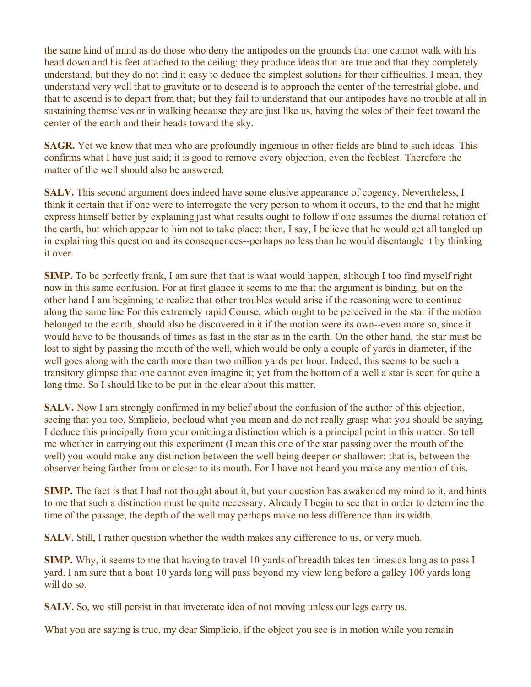the same kind of mind as do those who deny the antipodes on the grounds that one cannot walk with his head down and his feet attached to the ceiling; they produce ideas that are true and that they completely understand, but they do not find it easy to deduce the simplest solutions for their difficulties. I mean, they understand very well that to gravitate or to descend is to approach the center of the terrestrial globe, and that to ascend is to depart from that; but they fail to understand that our antipodes have no trouble at all in sustaining themselves or in walking because they are just like us, having the soles of their feet toward the center of the earth and their heads toward the sky.

**SAGR.** Yet we know that men who are profoundly ingenious in other fields are blind to such ideas. This confirms what I have just said; it is good to remove every objection, even the feeblest. Therefore the matter of the well should also be answered.

SALV. This second argument does indeed have some elusive appearance of cogency. Nevertheless, I think it certain that if one were to interrogate the very person to whom it occurs, to the end that he might express himself better by explaining just what results ought to follow if one assumes the diurnal rotation of the earth, but which appear to him not to take place; then, I say, I believe that he would get all tangled up in explaining this question and its consequences--perhaps no less than he would disentangle it by thinking it over.

SIMP. To be perfectly frank, I am sure that that is what would happen, although I too find myself right now in this same confusion. For at first glance it seems to me that the argument is binding, but on the other hand I am beginning to realize that other troubles would arise if the reasoning were to continue along the same line For this extremely rapid Course, which ought to be perceived in the star if the motion belonged to the earth, should also be discovered in it if the motion were its own--even more so, since it would have to be thousands of times as fast in the star as in the earth. On the other hand, the star must be lost to sight by passing the mouth of the well, which would be only a couple of yards in diameter, if the well goes along with the earth more than two million yards per hour. Indeed, this seems to be such a transitory glimpse that one cannot even imagine it; yet from the bottom of a well a star is seen for quite a long time. So I should like to be put in the clear about this matter.

SALV. Now I am strongly confirmed in my belief about the confusion of the author of this objection, seeing that you too, Simplicio, becloud what you mean and do not really grasp what you should be saying. I deduce this principally from your omitting a distinction which is a principal point in this matter. So tell me whether in carrying out this experiment (I mean this one of the star passing over the mouth of the well) you would make any distinction between the well being deeper or shallower; that is, between the observer being farther from or closer to its mouth. For I have not heard you make any mention of this.

SIMP. The fact is that I had not thought about it, but your question has awakened my mind to it, and hints to me that such a distinction must be quite necessary. Already I begin to see that in order to determine the time of the passage, the depth of the well may perhaps make no less difference than its width.

SALV. Still, I rather question whether the width makes any difference to us, or very much.

SIMP. Why, it seems to me that having to travel 10 yards of breadth takes ten times as long as to pass I yard. I am sure that a boat 10 yards long will pass beyond my view long before a galley 100 yards long will do so.

SALV. So, we still persist in that inveterate idea of not moving unless our legs carry us.

What you are saying is true, my dear Simplicio, if the object you see is in motion while you remain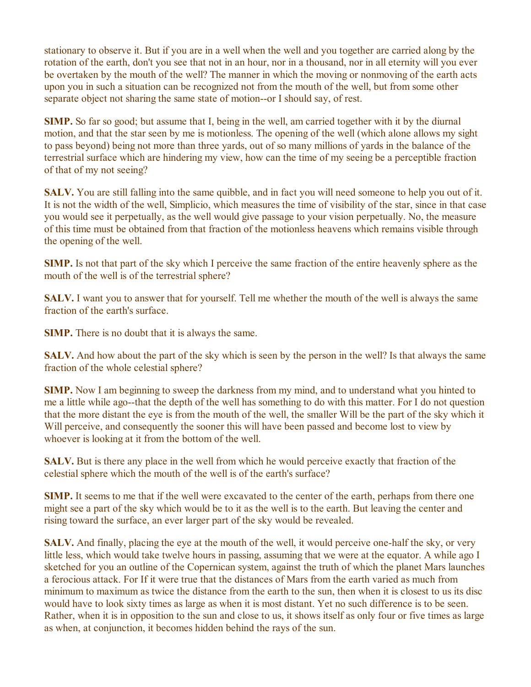stationary to observe it. But if you are in a well when the well and you together are carried along by the rotation of the earth, don't you see that not in an hour, nor in a thousand, nor in all eternity will you ever be overtaken by the mouth of the well? The manner in which the moving or nonmoving of the earth acts upon you in such a situation can be recognized not from the mouth of the well, but from some other separate object not sharing the same state of motion--or I should say, of rest.

SIMP. So far so good; but assume that I, being in the well, am carried together with it by the diurnal motion, and that the star seen by me is motionless. The opening of the well (which alone allows my sight to pass beyond) being not more than three yards, out of so many millions of yards in the balance of the terrestrial surface which are hindering my view, how can the time of my seeing be a perceptible fraction of that of my not seeing?

SALV. You are still falling into the same quibble, and in fact you will need someone to help you out of it. It is not the width of the well, Simplicio, which measures the time of visibility of the star, since in that case you would see it perpetually, as the well would give passage to your vision perpetually. No, the measure of this time must be obtained from that fraction of the motionless heavens which remains visible through the opening of the well.

SIMP. Is not that part of the sky which I perceive the same fraction of the entire heavenly sphere as the mouth of the well is of the terrestrial sphere?

SALV. I want you to answer that for yourself. Tell me whether the mouth of the well is always the same fraction of the earth's surface.

SIMP. There is no doubt that it is always the same.

SALV. And how about the part of the sky which is seen by the person in the well? Is that always the same fraction of the whole celestial sphere?

SIMP. Now I am beginning to sweep the darkness from my mind, and to understand what you hinted to me a little while ago--that the depth of the well has something to do with this matter. For I do not question that the more distant the eye is from the mouth of the well, the smaller Will be the part of the sky which it Will perceive, and consequently the sooner this will have been passed and become lost to view by whoever is looking at it from the bottom of the well.

SALV. But is there any place in the well from which he would perceive exactly that fraction of the celestial sphere which the mouth of the well is of the earth's surface?

SIMP. It seems to me that if the well were excavated to the center of the earth, perhaps from there one might see a part of the sky which would be to it as the well is to the earth. But leaving the center and rising toward the surface, an ever larger part of the sky would be revealed.

SALV. And finally, placing the eye at the mouth of the well, it would perceive one-half the sky, or very little less, which would take twelve hours in passing, assuming that we were at the equator. A while ago I sketched for you an outline of the Copernican system, against the truth of which the planet Mars launches a ferocious attack. For If it were true that the distances of Mars from the earth varied as much from minimum to maximum as twice the distance from the earth to the sun, then when it is closest to us its disc would have to look sixty times as large as when it is most distant. Yet no such difference is to be seen. Rather, when it is in opposition to the sun and close to us, it shows itself as only four or five times as large as when, at conjunction, it becomes hidden behind the rays of the sun.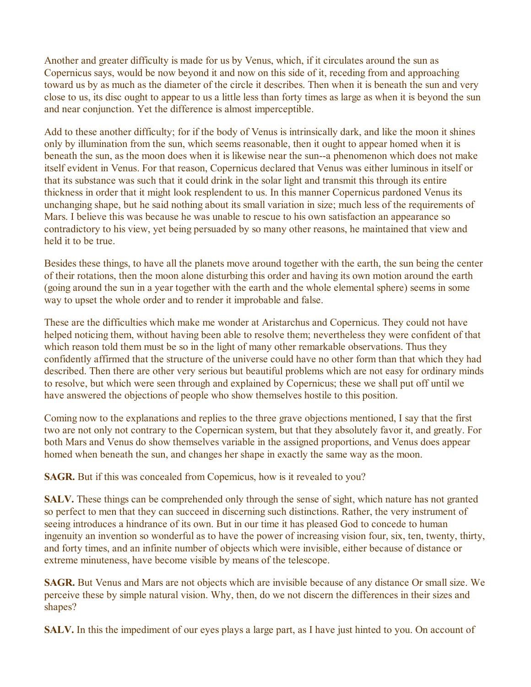Another and greater difficulty is made for us by Venus, which, if it circulates around the sun as Copernicus says, would be now beyond it and now on this side of it, receding from and approaching toward us by as much as the diameter of the circle it describes. Then when it is beneath the sun and very close to us, its disc ought to appear to us a little less than forty times as large as when it is beyond the sun and near conjunction. Yet the difference is almost imperceptible.

Add to these another difficulty; for if the body of Venus is intrinsically dark, and like the moon it shines only by illumination from the sun, which seems reasonable, then it ought to appear homed when it is beneath the sun, as the moon does when it is likewise near the sun--a phenomenon which does not make itself evident in Venus. For that reason, Copernicus declared that Venus was either luminous in itself or that its substance was such that it could drink in the solar light and transmit this through its entire thickness in order that it might look resplendent to us. In this manner Copernicus pardoned Venus its unchanging shape, but he said nothing about its small variation in size; much less of the requirements of Mars. I believe this was because he was unable to rescue to his own satisfaction an appearance so contradictory to his view, yet being persuaded by so many other reasons, he maintained that view and held it to be true.

Besides these things, to have all the planets move around together with the earth, the sun being the center of their rotations, then the moon alone disturbing this order and having its own motion around the earth (going around the sun in a year together with the earth and the whole elemental sphere) seems in some way to upset the whole order and to render it improbable and false.

These are the difficulties which make me wonder at Aristarchus and Copernicus. They could not have helped noticing them, without having been able to resolve them; nevertheless they were confident of that which reason told them must be so in the light of many other remarkable observations. Thus they confidently affirmed that the structure of the universe could have no other form than that which they had described. Then there are other very serious but beautiful problems which are not easy for ordinary minds to resolve, but which were seen through and explained by Copernicus; these we shall put off until we have answered the objections of people who show themselves hostile to this position.

Coming now to the explanations and replies to the three grave objections mentioned, I say that the first two are not only not contrary to the Copernican system, but that they absolutely favor it, and greatly. For both Mars and Venus do show themselves variable in the assigned proportions, and Venus does appear homed when beneath the sun, and changes her shape in exactly the same way as the moon.

SAGR. But if this was concealed from Copemicus, how is it revealed to you?

SALV. These things can be comprehended only through the sense of sight, which nature has not granted so perfect to men that they can succeed in discerning such distinctions. Rather, the very instrument of seeing introduces a hindrance of its own. But in our time it has pleased God to concede to human ingenuity an invention so wonderful as to have the power of increasing vision four, six, ten, twenty, thirty, and forty times, and an infinite number of objects which were invisible, either because of distance or extreme minuteness, have become visible by means of the telescope.

SAGR. But Venus and Mars are not objects which are invisible because of any distance Or small size. We perceive these by simple natural vision. Why, then, do we not discern the differences in their sizes and shapes?

SALV. In this the impediment of our eyes plays a large part, as I have just hinted to you. On account of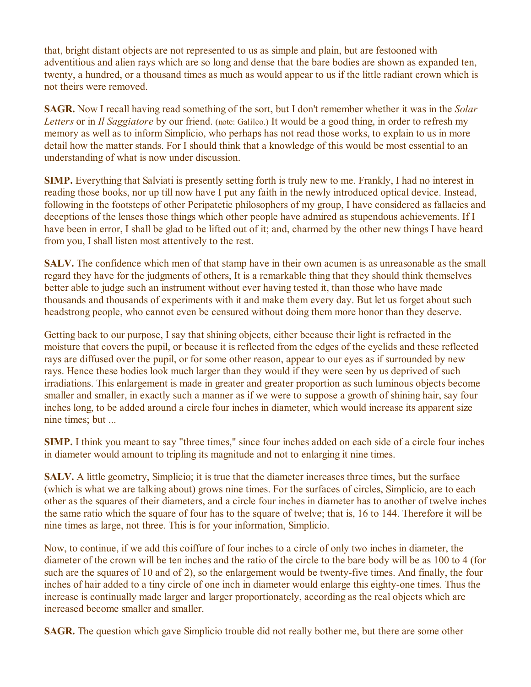that, bright distant objects are not represented to us as simple and plain, but are festooned with adventitious and alien rays which are so long and dense that the bare bodies are shown as expanded ten, twenty, a hundred, or a thousand times as much as would appear to us if the little radiant crown which is not theirs were removed.

SAGR. Now I recall having read something of the sort, but I don't remember whether it was in the Solar Letters or in Il Saggiatore by our friend. (note: Galileo.) It would be a good thing, in order to refresh my memory as well as to inform Simplicio, who perhaps has not read those works, to explain to us in more detail how the matter stands. For I should think that a knowledge of this would be most essential to an understanding of what is now under discussion.

SIMP. Everything that Salviati is presently setting forth is truly new to me. Frankly, I had no interest in reading those books, nor up till now have I put any faith in the newly introduced optical device. Instead, following in the footsteps of other Peripatetic philosophers of my group, I have considered as fallacies and deceptions of the lenses those things which other people have admired as stupendous achievements. If I have been in error, I shall be glad to be lifted out of it; and, charmed by the other new things I have heard from you, I shall listen most attentively to the rest.

SALV. The confidence which men of that stamp have in their own acumen is as unreasonable as the small regard they have for the judgments of others, It is a remarkable thing that they should think themselves better able to judge such an instrument without ever having tested it, than those who have made thousands and thousands of experiments with it and make them every day. But let us forget about such headstrong people, who cannot even be censured without doing them more honor than they deserve.

Getting back to our purpose, I say that shining objects, either because their light is refracted in the moisture that covers the pupil, or because it is reflected from the edges of the eyelids and these reflected rays are diffused over the pupil, or for some other reason, appear to our eyes as if surrounded by new rays. Hence these bodies look much larger than they would if they were seen by us deprived of such irradiations. This enlargement is made in greater and greater proportion as such luminous objects become smaller and smaller, in exactly such a manner as if we were to suppose a growth of shining hair, say four inches long, to be added around a circle four inches in diameter, which would increase its apparent size nine times; but ...

SIMP. I think you meant to say "three times," since four inches added on each side of a circle four inches in diameter would amount to tripling its magnitude and not to enlarging it nine times.

SALV. A little geometry, Simplicio; it is true that the diameter increases three times, but the surface (which is what we are talking about) grows nine times. For the surfaces of circles, Simplicio, are to each other as the squares of their diameters, and a circle four inches in diameter has to another of twelve inches the same ratio which the square of four has to the square of twelve; that is, 16 to 144. Therefore it will be nine times as large, not three. This is for your information, Simplicio.

Now, to continue, if we add this coiffure of four inches to a circle of only two inches in diameter, the diameter of the crown will be ten inches and the ratio of the circle to the bare body will be as 100 to 4 (for such are the squares of 10 and of 2), so the enlargement would be twenty-five times. And finally, the four inches of hair added to a tiny circle of one inch in diameter would enlarge this eighty-one times. Thus the increase is continually made larger and larger proportionately, according as the real objects which are increased become smaller and smaller.

SAGR. The question which gave Simplicio trouble did not really bother me, but there are some other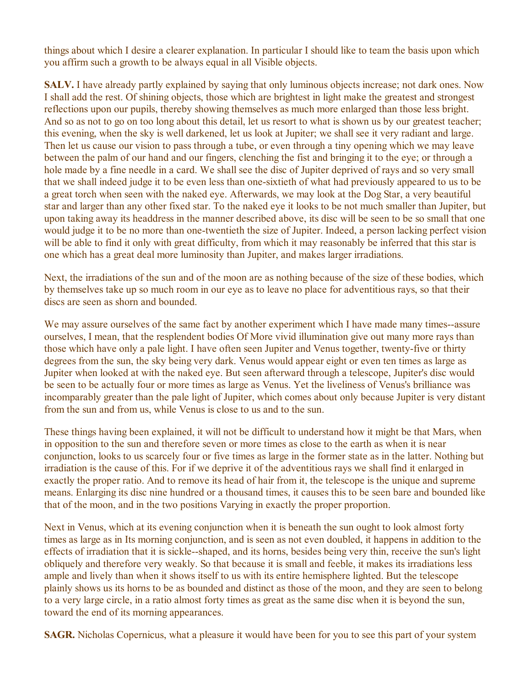things about which I desire a clearer explanation. In particular I should like to team the basis upon which you affirm such a growth to be always equal in all Visible objects.

SALV. I have already partly explained by saying that only luminous objects increase; not dark ones. Now I shall add the rest. Of shining objects, those which are brightest in light make the greatest and strongest reflections upon our pupils, thereby showing themselves as much more enlarged than those less bright. And so as not to go on too long about this detail, let us resort to what is shown us by our greatest teacher; this evening, when the sky is well darkened, let us look at Jupiter; we shall see it very radiant and large. Then let us cause our vision to pass through a tube, or even through a tiny opening which we may leave between the palm of our hand and our fingers, clenching the fist and bringing it to the eye; or through a hole made by a fine needle in a card. We shall see the disc of Jupiter deprived of rays and so very small that we shall indeed judge it to be even less than one-sixtieth of what had previously appeared to us to be a great torch when seen with the naked eye. Afterwards, we may look at the Dog Star, a very beautiful star and larger than any other fixed star. To the naked eye it looks to be not much smaller than Jupiter, but upon taking away its headdress in the manner described above, its disc will be seen to be so small that one would judge it to be no more than one-twentieth the size of Jupiter. Indeed, a person lacking perfect vision will be able to find it only with great difficulty, from which it may reasonably be inferred that this star is one which has a great deal more luminosity than Jupiter, and makes larger irradiations.

Next, the irradiations of the sun and of the moon are as nothing because of the size of these bodies, which by themselves take up so much room in our eye as to leave no place for adventitious rays, so that their discs are seen as shorn and bounded.

We may assure ourselves of the same fact by another experiment which I have made many times--assure ourselves, I mean, that the resplendent bodies Of More vivid illumination give out many more rays than those which have only a pale light. I have often seen Jupiter and Venus together, twenty-five or thirty degrees from the sun, the sky being very dark. Venus would appear eight or even ten times as large as Jupiter when looked at with the naked eye. But seen afterward through a telescope, Jupiter's disc would be seen to be actually four or more times as large as Venus. Yet the liveliness of Venus's brilliance was incomparably greater than the pale light of Jupiter, which comes about only because Jupiter is very distant from the sun and from us, while Venus is close to us and to the sun.

These things having been explained, it will not be difficult to understand how it might be that Mars, when in opposition to the sun and therefore seven or more times as close to the earth as when it is near conjunction, looks to us scarcely four or five times as large in the former state as in the latter. Nothing but irradiation is the cause of this. For if we deprive it of the adventitious rays we shall find it enlarged in exactly the proper ratio. And to remove its head of hair from it, the telescope is the unique and supreme means. Enlarging its disc nine hundred or a thousand times, it causes this to be seen bare and bounded like that of the moon, and in the two positions Varying in exactly the proper proportion.

Next in Venus, which at its evening conjunction when it is beneath the sun ought to look almost forty times as large as in Its morning conjunction, and is seen as not even doubled, it happens in addition to the effects of irradiation that it is sickle--shaped, and its horns, besides being very thin, receive the sun's light obliquely and therefore very weakly. So that because it is small and feeble, it makes its irradiations less ample and lively than when it shows itself to us with its entire hemisphere lighted. But the telescope plainly shows us its horns to be as bounded and distinct as those of the moon, and they are seen to belong to a very large circle, in a ratio almost forty times as great as the same disc when it is beyond the sun, toward the end of its morning appearances.

**SAGR.** Nicholas Copernicus, what a pleasure it would have been for you to see this part of your system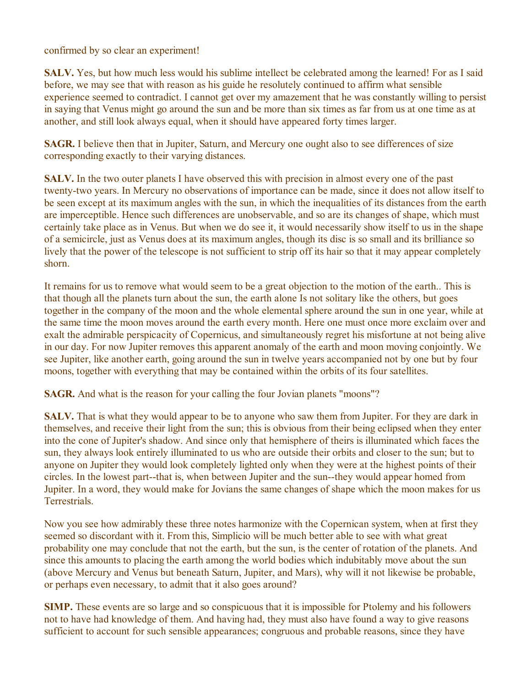confirmed by so clear an experiment!

SALV. Yes, but how much less would his sublime intellect be celebrated among the learned! For as I said before, we may see that with reason as his guide he resolutely continued to affirm what sensible experience seemed to contradict. I cannot get over my amazement that he was constantly willing to persist in saying that Venus might go around the sun and be more than six times as far from us at one time as at another, and still look always equal, when it should have appeared forty times larger.

SAGR. I believe then that in Jupiter, Saturn, and Mercury one ought also to see differences of size corresponding exactly to their varying distances.

SALV. In the two outer planets I have observed this with precision in almost every one of the past twenty-two years. In Mercury no observations of importance can be made, since it does not allow itself to be seen except at its maximum angles with the sun, in which the inequalities of its distances from the earth are imperceptible. Hence such differences are unobservable, and so are its changes of shape, which must certainly take place as in Venus. But when we do see it, it would necessarily show itself to us in the shape of a semicircle, just as Venus does at its maximum angles, though its disc is so small and its brilliance so lively that the power of the telescope is not sufficient to strip off its hair so that it may appear completely shorn.

It remains for us to remove what would seem to be a great objection to the motion of the earth.. This is that though all the planets turn about the sun, the earth alone Is not solitary like the others, but goes together in the company of the moon and the whole elemental sphere around the sun in one year, while at the same time the moon moves around the earth every month. Here one must once more exclaim over and exalt the admirable perspicacity of Copernicus, and simultaneously regret his misfortune at not being alive in our day. For now Jupiter removes this apparent anomaly of the earth and moon moving conjointly. We see Jupiter, like another earth, going around the sun in twelve years accompanied not by one but by four moons, together with everything that may be contained within the orbits of its four satellites.

SAGR. And what is the reason for your calling the four Jovian planets "moons"?

SALV. That is what they would appear to be to anyone who saw them from Jupiter. For they are dark in themselves, and receive their light from the sun; this is obvious from their being eclipsed when they enter into the cone of Jupiter's shadow. And since only that hemisphere of theirs is illuminated which faces the sun, they always look entirely illuminated to us who are outside their orbits and closer to the sun; but to anyone on Jupiter they would look completely lighted only when they were at the highest points of their circles. In the lowest part--that is, when between Jupiter and the sun--they would appear homed from Jupiter. In a word, they would make for Jovians the same changes of shape which the moon makes for us Terrestrials.

Now you see how admirably these three notes harmonize with the Copernican system, when at first they seemed so discordant with it. From this, Simplicio will be much better able to see with what great probability one may conclude that not the earth, but the sun, is the center of rotation of the planets. And since this amounts to placing the earth among the world bodies which indubitably move about the sun (above Mercury and Venus but beneath Saturn, Jupiter, and Mars), why will it not likewise be probable, or perhaps even necessary, to admit that it also goes around?

SIMP. These events are so large and so conspicuous that it is impossible for Ptolemy and his followers not to have had knowledge of them. And having had, they must also have found a way to give reasons sufficient to account for such sensible appearances; congruous and probable reasons, since they have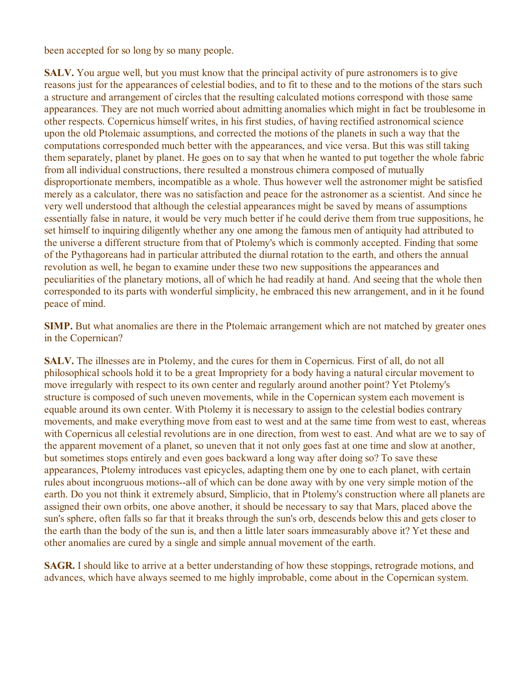been accepted for so long by so many people.

SALV. You argue well, but you must know that the principal activity of pure astronomers is to give reasons just for the appearances of celestial bodies, and to fit to these and to the motions of the stars such a structure and arrangement of circles that the resulting calculated motions correspond with those same appearances. They are not much worried about admitting anomalies which might in fact be troublesome in other respects. Copernicus himself writes, in his first studies, of having rectified astronomical science upon the old Ptolemaic assumptions, and corrected the motions of the planets in such a way that the computations corresponded much better with the appearances, and vice versa. But this was still taking them separately, planet by planet. He goes on to say that when he wanted to put together the whole fabric from all individual constructions, there resulted a monstrous chimera composed of mutually disproportionate members, incompatible as a whole. Thus however well the astronomer might be satisfied merely as a calculator, there was no satisfaction and peace for the astronomer as a scientist. And since he very well understood that although the celestial appearances might be saved by means of assumptions essentially false in nature, it would be very much better if he could derive them from true suppositions, he set himself to inquiring diligently whether any one among the famous men of antiquity had attributed to the universe a different structure from that of Ptolemy's which is commonly accepted. Finding that some of the Pythagoreans had in particular attributed the diurnal rotation to the earth, and others the annual revolution as well, he began to examine under these two new suppositions the appearances and peculiarities of the planetary motions, all of which he had readily at hand. And seeing that the whole then corresponded to its parts with wonderful simplicity, he embraced this new arrangement, and in it he found peace of mind.

SIMP. But what anomalies are there in the Ptolemaic arrangement which are not matched by greater ones in the Copernican?

SALV. The illnesses are in Ptolemy, and the cures for them in Copernicus. First of all, do not all philosophical schools hold it to be a great Impropriety for a body having a natural circular movement to move irregularly with respect to its own center and regularly around another point? Yet Ptolemy's structure is composed of such uneven movements, while in the Copernican system each movement is equable around its own center. With Ptolemy it is necessary to assign to the celestial bodies contrary movements, and make everything move from east to west and at the same time from west to east, whereas with Copernicus all celestial revolutions are in one direction, from west to east. And what are we to say of the apparent movement of a planet, so uneven that it not only goes fast at one time and slow at another, but sometimes stops entirely and even goes backward a long way after doing so? To save these appearances, Ptolemy introduces vast epicycles, adapting them one by one to each planet, with certain rules about incongruous motions--all of which can be done away with by one very simple motion of the earth. Do you not think it extremely absurd, Simplicio, that in Ptolemy's construction where all planets are assigned their own orbits, one above another, it should be necessary to say that Mars, placed above the sun's sphere, often falls so far that it breaks through the sun's orb, descends below this and gets closer to the earth than the body of the sun is, and then a little later soars immeasurably above it? Yet these and other anomalies are cured by a single and simple annual movement of the earth.

SAGR. I should like to arrive at a better understanding of how these stoppings, retrograde motions, and advances, which have always seemed to me highly improbable, come about in the Copernican system.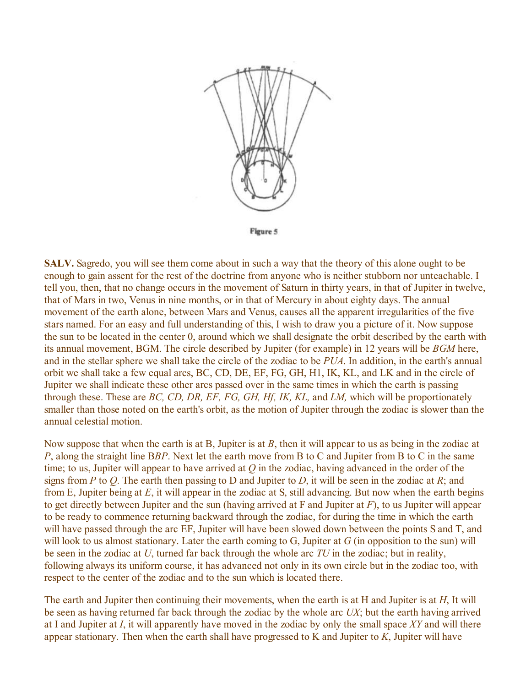

Figure 5

SALV. Sagredo, you will see them come about in such a way that the theory of this alone ought to be enough to gain assent for the rest of the doctrine from anyone who is neither stubborn nor unteachable. I tell you, then, that no change occurs in the movement of Saturn in thirty years, in that of Jupiter in twelve, that of Mars in two, Venus in nine months, or in that of Mercury in about eighty days. The annual movement of the earth alone, between Mars and Venus, causes all the apparent irregularities of the five stars named. For an easy and full understanding of this, I wish to draw you a picture of it. Now suppose the sun to be located in the center 0, around which we shall designate the orbit described by the earth with its annual movement, BGM. The circle described by Jupiter (for example) in 12 years will be BGM here, and in the stellar sphere we shall take the circle of the zodiac to be PUA. In addition, in the earth's annual orbit we shall take a few equal arcs, BC, CD, DE, EF, FG, GH, H1, IK, KL, and LK and in the circle of Jupiter we shall indicate these other arcs passed over in the same times in which the earth is passing through these. These are  $BC$ ,  $CD$ ,  $DR$ ,  $EF$ ,  $FG$ ,  $GH$ ,  $Hf$ ,  $IK$ ,  $KL$ , and  $LM$ , which will be proportionately smaller than those noted on the earth's orbit, as the motion of Jupiter through the zodiac is slower than the annual celestial motion.

Now suppose that when the earth is at B, Jupiter is at B, then it will appear to us as being in the zodiac at P, along the straight line BBP. Next let the earth move from B to C and Jupiter from B to C in the same time; to us, Jupiter will appear to have arrived at  $O$  in the zodiac, having advanced in the order of the signs from P to Q. The earth then passing to D and Jupiter to D, it will be seen in the zodiac at R; and from E, Jupiter being at  $E$ , it will appear in the zodiac at S, still advancing. But now when the earth begins to get directly between Jupiter and the sun (having arrived at F and Jupiter at  $F$ ), to us Jupiter will appear to be ready to commence returning backward through the zodiac, for during the time in which the earth will have passed through the arc EF, Jupiter will have been slowed down between the points S and T, and will look to us almost stationary. Later the earth coming to  $G$ , Jupiter at  $G$  (in opposition to the sun) will be seen in the zodiac at U, turned far back through the whole arc  $TU$  in the zodiac; but in reality, following always its uniform course, it has advanced not only in its own circle but in the zodiac too, with respect to the center of the zodiac and to the sun which is located there.

The earth and Jupiter then continuing their movements, when the earth is at H and Jupiter is at  $H$ , It will be seen as having returned far back through the zodiac by the whole arc UX; but the earth having arrived at I and Jupiter at I, it will apparently have moved in the zodiac by only the small space XY and will there appear stationary. Then when the earth shall have progressed to K and Jupiter to  $K$ , Jupiter will have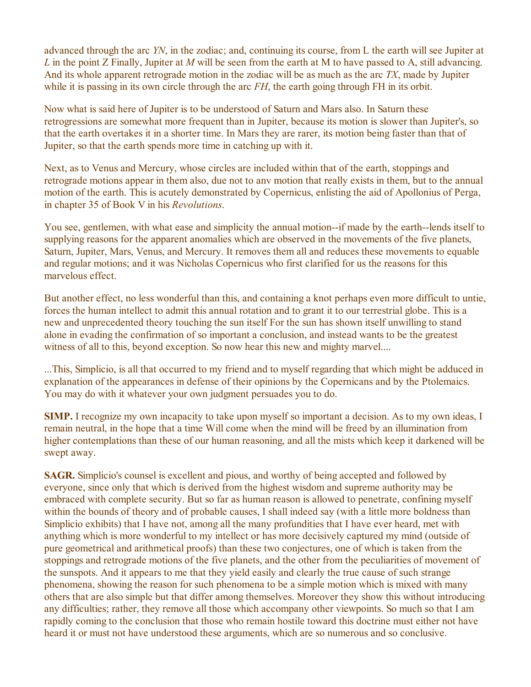advanced through the arc YN, in the zodiac; and, continuing its course, from L the earth will see Jupiter at L in the point Z Finally, Jupiter at M will be seen from the earth at M to have passed to A, still advancing. And its whole apparent retrograde motion in the zodiac will be as much as the arc TX, made by Jupiter while it is passing in its own circle through the arc  $FH$ , the earth going through  $FH$  in its orbit.

Now what is said here of Jupiter is to be understood of Saturn and Mars also. In Saturn these retrogressions are somewhat more frequent than in Jupiter, because its motion is slower than Jupiter's, so that the earth overtakes it in a shorter time. In Mars they are rarer, its motion being faster than that of Jupiter, so that the earth spends more time in catching up with it.

Next, as to Venus and Mercury, whose circles are included within that of the earth, stoppings and retrograde motions appear in them also, due not to anv motion that really exists in them, but to the annual motion of the earth. This is acutely demonstrated by Copernicus, enlisting the aid of Apollonius of Perga, in chapter 35 of Book V in his Revolutions.

You see, gentlemen, with what ease and simplicity the annual motion--if made by the earth--lends itself to supplying reasons for the apparent anomalies which are observed in the movements of the five planets, Saturn, Jupiter, Mars, Venus, and Mercury. It removes them all and reduces these movements to equable and regular motions; and it was Nicholas Copernicus who first clarified for us the reasons for this marvelous effect.

But another effect, no less wonderful than this, and containing a knot perhaps even more difficult to untie, forces the human intellect to admit this annual rotation and to grant it to our terrestrial globe. This is a new and unprecedented theory touching the sun itself For the sun has shown itself unwilling to stand alone in evading the confirmation of so important a conclusion, and instead wants to be the greatest witness of all to this, beyond exception. So now hear this new and mighty marvel....

...This, Simplicio, is all that occurred to my friend and to myself regarding that which might be adduced in explanation of the appearances in defense of their opinions by the Copernicans and by the Ptolemaics. You may do with it whatever your own judgment persuades you to do.

SIMP. I recognize my own incapacity to take upon myself so important a decision. As to my own ideas, I remain neutral, in the hope that a time Will come when the mind will be freed by an illumination from higher contemplations than these of our human reasoning, and all the mists which keep it darkened will be swept away.

SAGR. Simplicio's counsel is excellent and pious, and worthy of being accepted and followed by everyone, since only that which is derived from the highest wisdom and supreme authority may be embraced with complete security. But so far as human reason is allowed to penetrate, confining myself within the bounds of theory and of probable causes, I shall indeed say (with a little more boldness than Simplicio exhibits) that I have not, among all the many profundities that I have ever heard, met with anything which is more wonderful to my intellect or has more decisively captured my mind (outside of pure geometrical and arithmetical proofs) than these two conjectures, one of which is taken from the stoppings and retrograde motions of the five planets, and the other from the peculiarities of movement of the sunspots. And it appears to me that they yield easily and clearly the true cause of such strange phenomena, showing the reason for such phenomena to be a simple motion which is mixed with many others that are also simple but that differ among themselves. Moreover they show this without introducing any difficulties; rather, they remove all those which accompany other viewpoints. So much so that I am rapidly coming to the conclusion that those who remain hostile toward this doctrine must either not have heard it or must not have understood these arguments, which are so numerous and so conclusive.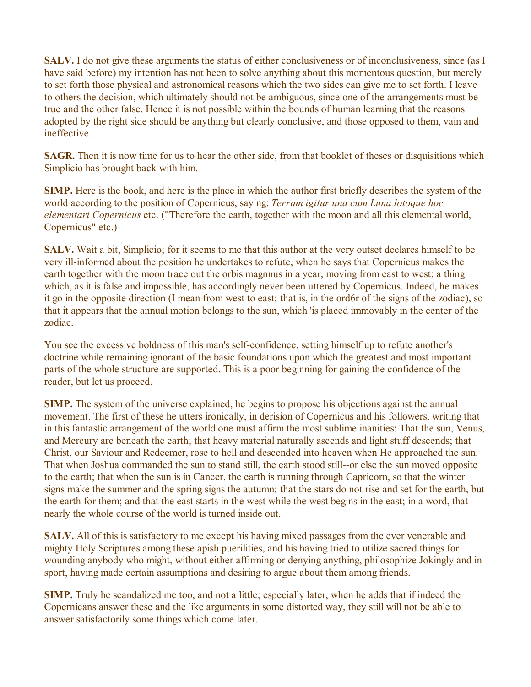SALV. I do not give these arguments the status of either conclusiveness or of inconclusiveness, since (as I have said before) my intention has not been to solve anything about this momentous question, but merely to set forth those physical and astronomical reasons which the two sides can give me to set forth. I leave to others the decision, which ultimately should not be ambiguous, since one of the arrangements must be true and the other false. Hence it is not possible within the bounds of human learning that the reasons adopted by the right side should be anything but clearly conclusive, and those opposed to them, vain and ineffective.

SAGR. Then it is now time for us to hear the other side, from that booklet of theses or disquisitions which Simplicio has brought back with him.

SIMP. Here is the book, and here is the place in which the author first briefly describes the system of the world according to the position of Copernicus, saying: Terram igitur una cum Luna lotoque hoc elementari Copernicus etc. ("Therefore the earth, together with the moon and all this elemental world, Copernicus" etc.)

SALV. Wait a bit, Simplicio; for it seems to me that this author at the very outset declares himself to be very ill-informed about the position he undertakes to refute, when he says that Copernicus makes the earth together with the moon trace out the orbis magnnus in a year, moving from east to west; a thing which, as it is false and impossible, has accordingly never been uttered by Copernicus. Indeed, he makes it go in the opposite direction (I mean from west to east; that is, in the ord6r of the signs of the zodiac), so that it appears that the annual motion belongs to the sun, which 'is placed immovably in the center of the zodiac.

You see the excessive boldness of this man's self-confidence, setting himself up to refute another's doctrine while remaining ignorant of the basic foundations upon which the greatest and most important parts of the whole structure are supported. This is a poor beginning for gaining the confidence of the reader, but let us proceed.

SIMP. The system of the universe explained, he begins to propose his objections against the annual movement. The first of these he utters ironically, in derision of Copernicus and his followers, writing that in this fantastic arrangement of the world one must affirm the most sublime inanities: That the sun, Venus, and Mercury are beneath the earth; that heavy material naturally ascends and light stuff descends; that Christ, our Saviour and Redeemer, rose to hell and descended into heaven when He approached the sun. That when Joshua commanded the sun to stand still, the earth stood still--or else the sun moved opposite to the earth; that when the sun is in Cancer, the earth is running through Capricorn, so that the winter signs make the summer and the spring signs the autumn; that the stars do not rise and set for the earth, but the earth for them; and that the east starts in the west while the west begins in the east; in a word, that nearly the whole course of the world is turned inside out.

SALV. All of this is satisfactory to me except his having mixed passages from the ever venerable and mighty Holy Scriptures among these apish puerilities, and his having tried to utilize sacred things for wounding anybody who might, without either affirming or denying anything, philosophize Jokingly and in sport, having made certain assumptions and desiring to argue about them among friends.

SIMP. Truly he scandalized me too, and not a little; especially later, when he adds that if indeed the Copernicans answer these and the like arguments in some distorted way, they still will not be able to answer satisfactorily some things which come later.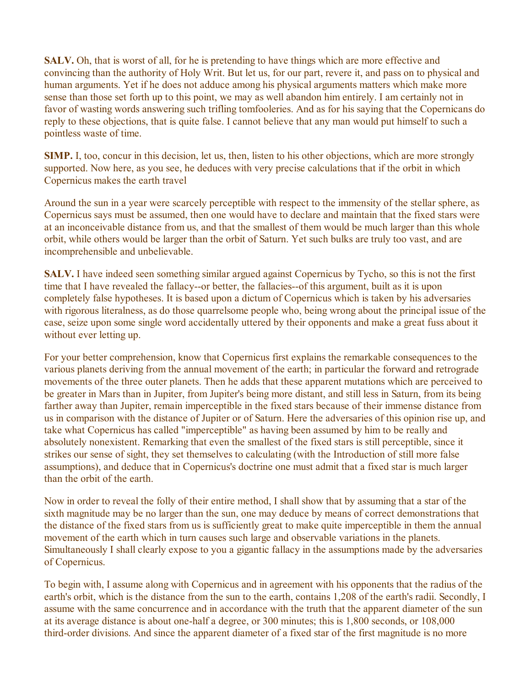SALV. Oh, that is worst of all, for he is pretending to have things which are more effective and convincing than the authority of Holy Writ. But let us, for our part, revere it, and pass on to physical and human arguments. Yet if he does not adduce among his physical arguments matters which make more sense than those set forth up to this point, we may as well abandon him entirely. I am certainly not in favor of wasting words answering such trifling tomfooleries. And as for his saying that the Copernicans do reply to these objections, that is quite false. I cannot believe that any man would put himself to such a pointless waste of time.

SIMP. I, too, concur in this decision, let us, then, listen to his other objections, which are more strongly supported. Now here, as you see, he deduces with very precise calculations that if the orbit in which Copernicus makes the earth travel

Around the sun in a year were scarcely perceptible with respect to the immensity of the stellar sphere, as Copernicus says must be assumed, then one would have to declare and maintain that the fixed stars were at an inconceivable distance from us, and that the smallest of them would be much larger than this whole orbit, while others would be larger than the orbit of Saturn. Yet such bulks are truly too vast, and are incomprehensible and unbelievable.

SALV. I have indeed seen something similar argued against Copernicus by Tycho, so this is not the first time that I have revealed the fallacy--or better, the fallacies--of this argument, built as it is upon completely false hypotheses. It is based upon a dictum of Copernicus which is taken by his adversaries with rigorous literalness, as do those quarrelsome people who, being wrong about the principal issue of the case, seize upon some single word accidentally uttered by their opponents and make a great fuss about it without ever letting up.

For your better comprehension, know that Copernicus first explains the remarkable consequences to the various planets deriving from the annual movement of the earth; in particular the forward and retrograde movements of the three outer planets. Then he adds that these apparent mutations which are perceived to be greater in Mars than in Jupiter, from Jupiter's being more distant, and still less in Saturn, from its being farther away than Jupiter, remain imperceptible in the fixed stars because of their immense distance from us in comparison with the distance of Jupiter or of Saturn. Here the adversaries of this opinion rise up, and take what Copernicus has called "imperceptible" as having been assumed by him to be really and absolutely nonexistent. Remarking that even the smallest of the fixed stars is still perceptible, since it strikes our sense of sight, they set themselves to calculating (with the Introduction of still more false assumptions), and deduce that in Copernicus's doctrine one must admit that a fixed star is much larger than the orbit of the earth.

Now in order to reveal the folly of their entire method, I shall show that by assuming that a star of the sixth magnitude may be no larger than the sun, one may deduce by means of correct demonstrations that the distance of the fixed stars from us is sufficiently great to make quite imperceptible in them the annual movement of the earth which in turn causes such large and observable variations in the planets. Simultaneously I shall clearly expose to you a gigantic fallacy in the assumptions made by the adversaries of Copernicus.

To begin with, I assume along with Copernicus and in agreement with his opponents that the radius of the earth's orbit, which is the distance from the sun to the earth, contains 1,208 of the earth's radii. Secondly, I assume with the same concurrence and in accordance with the truth that the apparent diameter of the sun at its average distance is about one-half a degree, or 300 minutes; this is 1,800 seconds, or 108,000 third-order divisions. And since the apparent diameter of a fixed star of the first magnitude is no more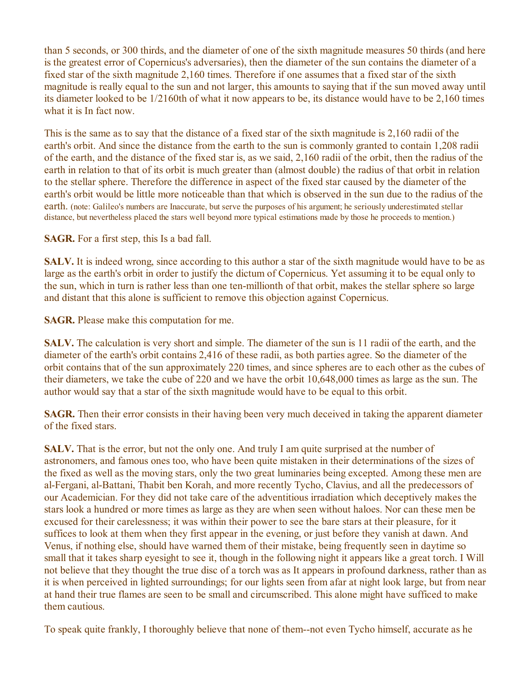than 5 seconds, or 300 thirds, and the diameter of one of the sixth magnitude measures 50 thirds (and here is the greatest error of Copernicus's adversaries), then the diameter of the sun contains the diameter of a fixed star of the sixth magnitude 2,160 times. Therefore if one assumes that a fixed star of the sixth magnitude is really equal to the sun and not larger, this amounts to saying that if the sun moved away until its diameter looked to be 1/2160th of what it now appears to be, its distance would have to be 2,160 times what it is In fact now.

This is the same as to say that the distance of a fixed star of the sixth magnitude is 2,160 radii of the earth's orbit. And since the distance from the earth to the sun is commonly granted to contain 1,208 radii of the earth, and the distance of the fixed star is, as we said, 2,160 radii of the orbit, then the radius of the earth in relation to that of its orbit is much greater than (almost double) the radius of that orbit in relation to the stellar sphere. Therefore the difference in aspect of the fixed star caused by the diameter of the earth's orbit would be little more noticeable than that which is observed in the sun due to the radius of the earth. (note: Galileo's numbers are Inaccurate, but serve the purposes of his argument; he seriously underestimated stellar distance, but nevertheless placed the stars well beyond more typical estimations made by those he proceeds to mention.)

SAGR. For a first step, this Is a bad fall.

SALV. It is indeed wrong, since according to this author a star of the sixth magnitude would have to be as large as the earth's orbit in order to justify the dictum of Copernicus. Yet assuming it to be equal only to the sun, which in turn is rather less than one ten-millionth of that orbit, makes the stellar sphere so large and distant that this alone is sufficient to remove this objection against Copernicus.

SAGR. Please make this computation for me.

SALV. The calculation is very short and simple. The diameter of the sun is 11 radii of the earth, and the diameter of the earth's orbit contains 2,416 of these radii, as both parties agree. So the diameter of the orbit contains that of the sun approximately 220 times, and since spheres are to each other as the cubes of their diameters, we take the cube of 220 and we have the orbit 10,648,000 times as large as the sun. The author would say that a star of the sixth magnitude would have to be equal to this orbit.

SAGR. Then their error consists in their having been very much deceived in taking the apparent diameter of the fixed stars.

SALV. That is the error, but not the only one. And truly I am quite surprised at the number of astronomers, and famous ones too, who have been quite mistaken in their determinations of the sizes of the fixed as well as the moving stars, only the two great luminaries being excepted. Among these men are al-Fergani, al-Battani, Thabit ben Korah, and more recently Tycho, Clavius, and all the predecessors of our Academician. For they did not take care of the adventitious irradiation which deceptively makes the stars look a hundred or more times as large as they are when seen without haloes. Nor can these men be excused for their carelessness; it was within their power to see the bare stars at their pleasure, for it suffices to look at them when they first appear in the evening, or just before they vanish at dawn. And Venus, if nothing else, should have warned them of their mistake, being frequently seen in daytime so small that it takes sharp eyesight to see it, though in the following night it appears like a great torch. I Will not believe that they thought the true disc of a torch was as It appears in profound darkness, rather than as it is when perceived in lighted surroundings; for our lights seen from afar at night look large, but from near at hand their true flames are seen to be small and circumscribed. This alone might have sufficed to make them cautious.

To speak quite frankly, I thoroughly believe that none of them--not even Tycho himself, accurate as he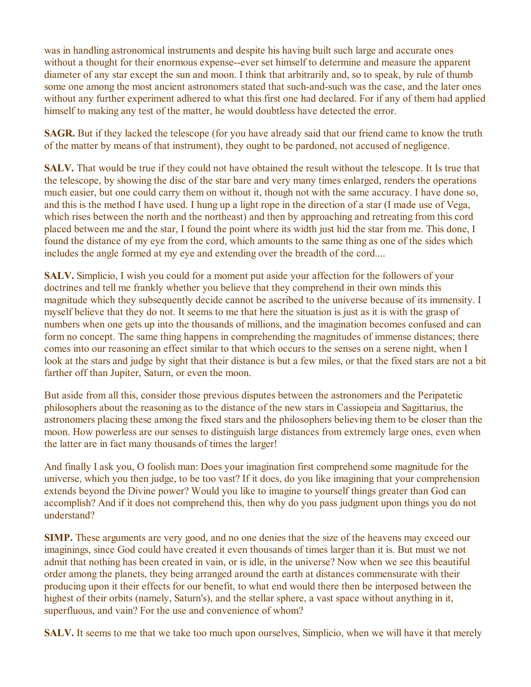was in handling astronomical instruments and despite his having built such large and accurate ones without a thought for their enormous expense--ever set himself to determine and measure the apparent diameter of any star except the sun and moon. I think that arbitrarily and, so to speak, by rule of thumb some one among the most ancient astronomers stated that such-and-such was the case, and the later ones without any further experiment adhered to what this first one had declared. For if any of them had applied himself to making any test of the matter, he would doubtless have detected the error.

SAGR. But if they lacked the telescope (for you have already said that our friend came to know the truth of the matter by means of that instrument), they ought to be pardoned, not accused of negligence.

SALV. That would be true if they could not have obtained the result without the telescope. It Is true that the telescope, by showing the disc of the star bare and very many times enlarged, renders the operations much easier, but one could carry them on without it, though not with the same accuracy. I have done so, and this is the method I have used. I hung up a light rope in the direction of a star (I made use of Vega, which rises between the north and the northeast) and then by approaching and retreating from this cord placed between me and the star, I found the point where its width just hid the star from me. This done, I found the distance of my eye from the cord, which amounts to the same thing as one of the sides which includes the angle formed at my eye and extending over the breadth of the cord....

SALV. Simplicio, I wish you could for a moment put aside your affection for the followers of your doctrines and tell me frankly whether you believe that they comprehend in their own minds this magnitude which they subsequently decide cannot be ascribed to the universe because of its immensity. I myself believe that they do not. It seems to me that here the situation is just as it is with the grasp of numbers when one gets up into the thousands of millions, and the imagination becomes confused and can form no concept. The same thing happens in comprehending the magnitudes of immense distances; there comes into our reasoning an effect similar to that which occurs to the senses on a serene night, when I look at the stars and judge by sight that their distance is but a few miles, or that the fixed stars are not a bit farther off than Jupiter, Saturn, or even the moon.

But aside from all this, consider those previous disputes between the astronomers and the Peripatetic philosophers about the reasoning as to the distance of the new stars in Cassiopeia and Sagittarius, the astronomers placing these among the fixed stars and the philosophers believing them to be closer than the moon. How powerless are our senses to distinguish large distances from extremely large ones, even when the latter are in fact many thousands of times the larger!

And finally I ask you, O foolish man: Does your imagination first comprehend some magnitude for the universe, which you then judge, to be too vast? If it does, do you like imagining that your comprehension extends beyond the Divine power? Would you like to imagine to yourself things greater than God can accomplish? And if it does not comprehend this, then why do you pass judgment upon things you do not understand?

SIMP. These arguments are very good, and no one denies that the size of the heavens may exceed our imaginings, since God could have created it even thousands of times larger than it is. But must we not admit that nothing has been created in vain, or is idle, in the universe? Now when we see this beautiful order among the planets, they being arranged around the earth at distances commensurate with their producing upon it their effects for our benefit, to what end would there then be interposed between the highest of their orbits (namely, Saturn's), and the stellar sphere, a vast space without anything in it, superfluous, and vain? For the use and convenience of whom?

SALV. It seems to me that we take too much upon ourselves, Simplicio, when we will have it that merely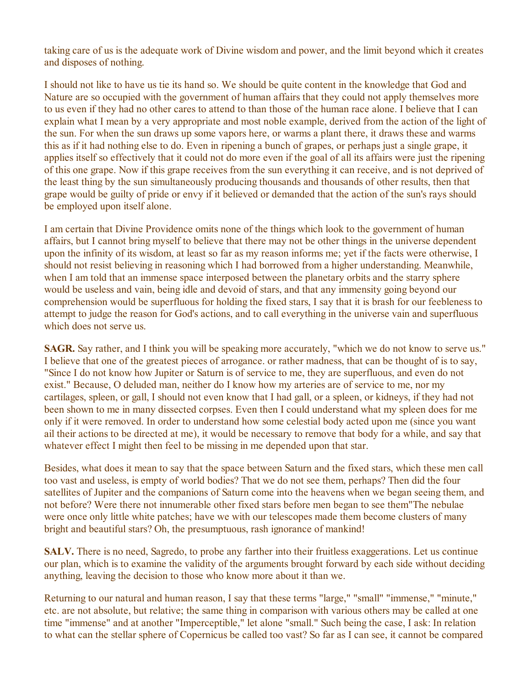taking care of us is the adequate work of Divine wisdom and power, and the limit beyond which it creates and disposes of nothing.

I should not like to have us tie its hand so. We should be quite content in the knowledge that God and Nature are so occupied with the government of human affairs that they could not apply themselves more to us even if they had no other cares to attend to than those of the human race alone. I believe that I can explain what I mean by a very appropriate and most noble example, derived from the action of the light of the sun. For when the sun draws up some vapors here, or warms a plant there, it draws these and warms this as if it had nothing else to do. Even in ripening a bunch of grapes, or perhaps just a single grape, it applies itself so effectively that it could not do more even if the goal of all its affairs were just the ripening of this one grape. Now if this grape receives from the sun everything it can receive, and is not deprived of the least thing by the sun simultaneously producing thousands and thousands of other results, then that grape would be guilty of pride or envy if it believed or demanded that the action of the sun's rays should be employed upon itself alone.

I am certain that Divine Providence omits none of the things which look to the government of human affairs, but I cannot bring myself to believe that there may not be other things in the universe dependent upon the infinity of its wisdom, at least so far as my reason informs me; yet if the facts were otherwise, I should not resist believing in reasoning which I had borrowed from a higher understanding. Meanwhile, when I am told that an immense space interposed between the planetary orbits and the starry sphere would be useless and vain, being idle and devoid of stars, and that any immensity going beyond our comprehension would be superfluous for holding the fixed stars, I say that it is brash for our feebleness to attempt to judge the reason for God's actions, and to call everything in the universe vain and superfluous which does not serve us.

SAGR. Say rather, and I think you will be speaking more accurately, "which we do not know to serve us." I believe that one of the greatest pieces of arrogance. or rather madness, that can be thought of is to say, "Since I do not know how Jupiter or Saturn is of service to me, they are superfluous, and even do not exist." Because, O deluded man, neither do I know how my arteries are of service to me, nor my cartilages, spleen, or gall, I should not even know that I had gall, or a spleen, or kidneys, if they had not been shown to me in many dissected corpses. Even then I could understand what my spleen does for me only if it were removed. In order to understand how some celestial body acted upon me (since you want ail their actions to be directed at me), it would be necessary to remove that body for a while, and say that whatever effect I might then feel to be missing in me depended upon that star.

Besides, what does it mean to say that the space between Saturn and the fixed stars, which these men call too vast and useless, is empty of world bodies? That we do not see them, perhaps? Then did the four satellites of Jupiter and the companions of Saturn come into the heavens when we began seeing them, and not before? Were there not innumerable other fixed stars before men began to see them"The nebulae were once only little white patches; have we with our telescopes made them become clusters of many bright and beautiful stars? Oh, the presumptuous, rash ignorance of mankind!

SALV. There is no need, Sagredo, to probe any farther into their fruitless exaggerations. Let us continue our plan, which is to examine the validity of the arguments brought forward by each side without deciding anything, leaving the decision to those who know more about it than we.

Returning to our natural and human reason, I say that these terms "large," "small" "immense," "minute," etc. are not absolute, but relative; the same thing in comparison with various others may be called at one time "immense" and at another "Imperceptible," let alone "small." Such being the case, I ask: In relation to what can the stellar sphere of Copernicus be called too vast? So far as I can see, it cannot be compared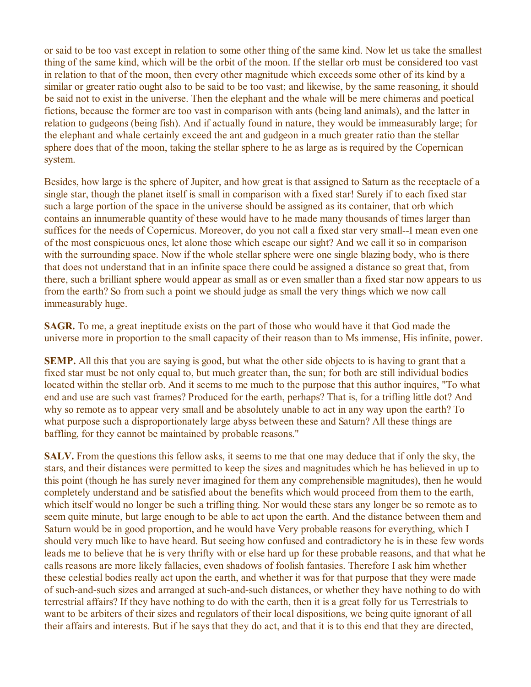or said to be too vast except in relation to some other thing of the same kind. Now let us take the smallest thing of the same kind, which will be the orbit of the moon. If the stellar orb must be considered too vast in relation to that of the moon, then every other magnitude which exceeds some other of its kind by a similar or greater ratio ought also to be said to be too vast; and likewise, by the same reasoning, it should be said not to exist in the universe. Then the elephant and the whale will be mere chimeras and poetical fictions, because the former are too vast in comparison with ants (being land animals), and the latter in relation to gudgeons (being fish). And if actually found in nature, they would be immeasurably large; for the elephant and whale certainly exceed the ant and gudgeon in a much greater ratio than the stellar sphere does that of the moon, taking the stellar sphere to he as large as is required by the Copernican system.

Besides, how large is the sphere of Jupiter, and how great is that assigned to Saturn as the receptacle of a single star, though the planet itself is small in comparison with a fixed star! Surely if to each fixed star such a large portion of the space in the universe should be assigned as its container, that orb which contains an innumerable quantity of these would have to he made many thousands of times larger than suffices for the needs of Copernicus. Moreover, do you not call a fixed star very small--I mean even one of the most conspicuous ones, let alone those which escape our sight? And we call it so in comparison with the surrounding space. Now if the whole stellar sphere were one single blazing body, who is there that does not understand that in an infinite space there could be assigned a distance so great that, from there, such a brilliant sphere would appear as small as or even smaller than a fixed star now appears to us from the earth? So from such a point we should judge as small the very things which we now call immeasurably huge.

**SAGR.** To me, a great ineptitude exists on the part of those who would have it that God made the universe more in proportion to the small capacity of their reason than to Ms immense, His infinite, power.

**SEMP.** All this that you are saying is good, but what the other side objects to is having to grant that a fixed star must be not only equal to, but much greater than, the sun; for both are still individual bodies located within the stellar orb. And it seems to me much to the purpose that this author inquires, "To what end and use are such vast frames? Produced for the earth, perhaps? That is, for a trifling little dot? And why so remote as to appear very small and be absolutely unable to act in any way upon the earth? To what purpose such a disproportionately large abyss between these and Saturn? All these things are baffling, for they cannot be maintained by probable reasons."

SALV. From the questions this fellow asks, it seems to me that one may deduce that if only the sky, the stars, and their distances were permitted to keep the sizes and magnitudes which he has believed in up to this point (though he has surely never imagined for them any comprehensible magnitudes), then he would completely understand and be satisfied about the benefits which would proceed from them to the earth, which itself would no longer be such a trifling thing. Nor would these stars any longer be so remote as to seem quite minute, but large enough to be able to act upon the earth. And the distance between them and Saturn would be in good proportion, and he would have Very probable reasons for everything, which I should very much like to have heard. But seeing how confused and contradictory he is in these few words leads me to believe that he is very thrifty with or else hard up for these probable reasons, and that what he calls reasons are more likely fallacies, even shadows of foolish fantasies. Therefore I ask him whether these celestial bodies really act upon the earth, and whether it was for that purpose that they were made of such-and-such sizes and arranged at such-and-such distances, or whether they have nothing to do with terrestrial affairs? If they have nothing to do with the earth, then it is a great folly for us Terrestrials to want to be arbiters of their sizes and regulators of their local dispositions, we being quite ignorant of all their affairs and interests. But if he says that they do act, and that it is to this end that they are directed,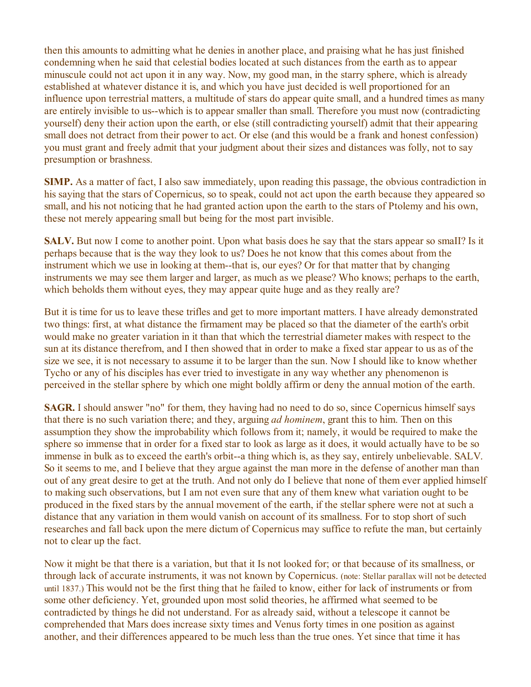then this amounts to admitting what he denies in another place, and praising what he has just finished condemning when he said that celestial bodies located at such distances from the earth as to appear minuscule could not act upon it in any way. Now, my good man, in the starry sphere, which is already established at whatever distance it is, and which you have just decided is well proportioned for an influence upon terrestrial matters, a multitude of stars do appear quite small, and a hundred times as many are entirely invisible to us--which is to appear smaller than small. Therefore you must now (contradicting yourself) deny their action upon the earth, or else (still contradicting yourself) admit that their appearing small does not detract from their power to act. Or else (and this would be a frank and honest confession) you must grant and freely admit that your judgment about their sizes and distances was folly, not to say presumption or brashness.

SIMP. As a matter of fact, I also saw immediately, upon reading this passage, the obvious contradiction in his saying that the stars of Copernicus, so to speak, could not act upon the earth because they appeared so small, and his not noticing that he had granted action upon the earth to the stars of Ptolemy and his own, these not merely appearing small but being for the most part invisible.

SALV. But now I come to another point. Upon what basis does he say that the stars appear so smaII? Is it perhaps because that is the way they look to us? Does he not know that this comes about from the instrument which we use in looking at them--that is, our eyes? Or for that matter that by changing instruments we may see them larger and larger, as much as we please? Who knows; perhaps to the earth, which beholds them without eyes, they may appear quite huge and as they really are?

But it is time for us to leave these trifles and get to more important matters. I have already demonstrated two things: first, at what distance the firmament may be placed so that the diameter of the earth's orbit would make no greater variation in it than that which the terrestrial diameter makes with respect to the sun at its distance therefrom, and I then showed that in order to make a fixed star appear to us as of the size we see, it is not necessary to assume it to be larger than the sun. Now I should like to know whether Tycho or any of his disciples has ever tried to investigate in any way whether any phenomenon is perceived in the stellar sphere by which one might boldly affirm or deny the annual motion of the earth.

SAGR. I should answer "no" for them, they having had no need to do so, since Copernicus himself says that there is no such variation there; and they, arguing *ad hominem*, grant this to him. Then on this assumption they show the improbability which follows from it; namely, it would be required to make the sphere so immense that in order for a fixed star to look as large as it does, it would actually have to be so immense in bulk as to exceed the earth's orbit--a thing which is, as they say, entirely unbelievable. SALV. So it seems to me, and I believe that they argue against the man more in the defense of another man than out of any great desire to get at the truth. And not only do I believe that none of them ever applied himself to making such observations, but I am not even sure that any of them knew what variation ought to be produced in the fixed stars by the annual movement of the earth, if the stellar sphere were not at such a distance that any variation in them would vanish on account of its smallness. For to stop short of such researches and fall back upon the mere dictum of Copernicus may suffice to refute the man, but certainly not to clear up the fact.

Now it might be that there is a variation, but that it Is not looked for; or that because of its smallness, or through lack of accurate instruments, it was not known by Copernicus. (note: Stellar parallax will not be detected until 1837.) This would not be the first thing that he failed to know, either for lack of instruments or from some other deficiency. Yet, grounded upon most solid theories, he affirmed what seemed to be contradicted by things he did not understand. For as already said, without a telescope it cannot be comprehended that Mars does increase sixty times and Venus forty times in one position as against another, and their differences appeared to be much less than the true ones. Yet since that time it has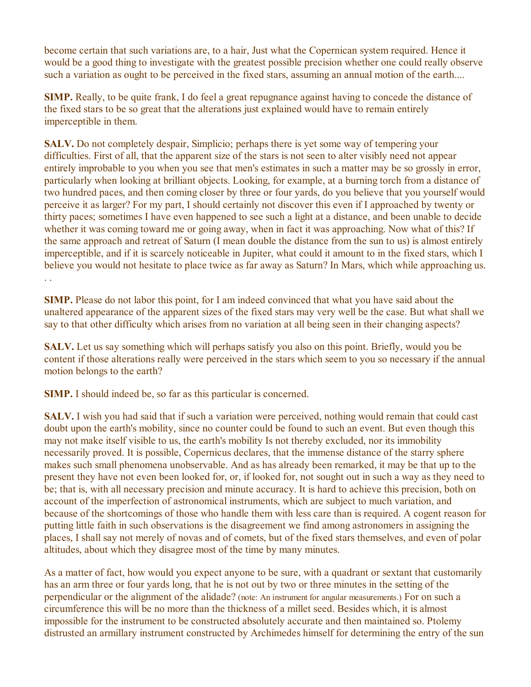become certain that such variations are, to a hair, Just what the Copernican system required. Hence it would be a good thing to investigate with the greatest possible precision whether one could really observe such a variation as ought to be perceived in the fixed stars, assuming an annual motion of the earth....

SIMP. Really, to be quite frank, I do feel a great repugnance against having to concede the distance of the fixed stars to be so great that the alterations just explained would have to remain entirely imperceptible in them.

SALV. Do not completely despair, Simplicio; perhaps there is yet some way of tempering your difficulties. First of all, that the apparent size of the stars is not seen to alter visibly need not appear entirely improbable to you when you see that men's estimates in such a matter may be so grossly in error, particularly when looking at brilliant objects. Looking, for example, at a burning torch from a distance of two hundred paces, and then coming closer by three or four yards, do you believe that you yourself would perceive it as larger? For my part, I should certainly not discover this even if I approached by twenty or thirty paces; sometimes I have even happened to see such a light at a distance, and been unable to decide whether it was coming toward me or going away, when in fact it was approaching. Now what of this? If the same approach and retreat of Saturn (I mean double the distance from the sun to us) is almost entirely imperceptible, and if it is scarcely noticeable in Jupiter, what could it amount to in the fixed stars, which I believe you would not hesitate to place twice as far away as Saturn? In Mars, which while approaching us. . .

SIMP. Please do not labor this point, for I am indeed convinced that what you have said about the unaltered appearance of the apparent sizes of the fixed stars may very well be the case. But what shall we say to that other difficulty which arises from no variation at all being seen in their changing aspects?

SALV. Let us say something which will perhaps satisfy you also on this point. Briefly, would you be content if those alterations really were perceived in the stars which seem to you so necessary if the annual motion belongs to the earth?

SIMP. I should indeed be, so far as this particular is concerned.

SALV. I wish you had said that if such a variation were perceived, nothing would remain that could cast doubt upon the earth's mobility, since no counter could be found to such an event. But even though this may not make itself visible to us, the earth's mobility Is not thereby excluded, nor its immobility necessarily proved. It is possible, Copernicus declares, that the immense distance of the starry sphere makes such small phenomena unobservable. And as has already been remarked, it may be that up to the present they have not even been looked for, or, if looked for, not sought out in such a way as they need to be; that is, with all necessary precision and minute accuracy. It is hard to achieve this precision, both on account of the imperfection of astronomical instruments, which are subject to much variation, and because of the shortcomings of those who handle them with less care than is required. A cogent reason for putting little faith in such observations is the disagreement we find among astronomers in assigning the places, I shall say not merely of novas and of comets, but of the fixed stars themselves, and even of polar altitudes, about which they disagree most of the time by many minutes.

As a matter of fact, how would you expect anyone to be sure, with a quadrant or sextant that customarily has an arm three or four yards long, that he is not out by two or three minutes in the setting of the perpendicular or the alignment of the alidade? (note: An instrument for angular measurements.) For on such a circumference this will be no more than the thickness of a millet seed. Besides which, it is almost impossible for the instrument to be constructed absolutely accurate and then maintained so. Ptolemy distrusted an armillary instrument constructed by Archimedes himself for determining the entry of the sun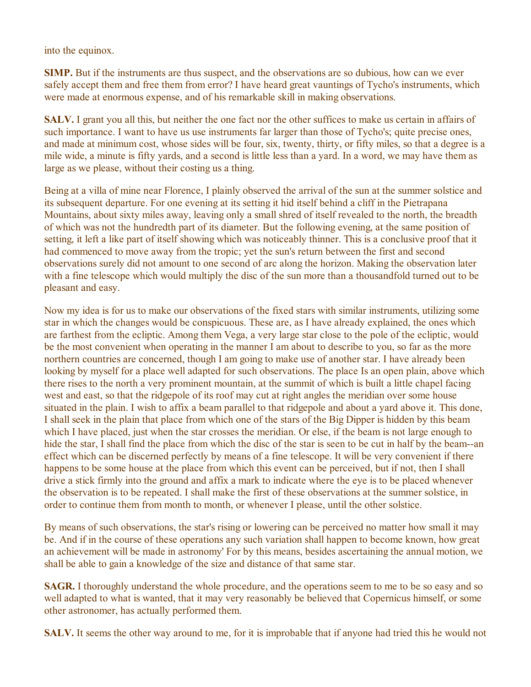into the equinox.

SIMP. But if the instruments are thus suspect, and the observations are so dubious, how can we ever safely accept them and free them from error? I have heard great vauntings of Tycho's instruments, which were made at enormous expense, and of his remarkable skill in making observations.

SALV. I grant you all this, but neither the one fact nor the other suffices to make us certain in affairs of such importance. I want to have us use instruments far larger than those of Tycho's; quite precise ones, and made at minimum cost, whose sides will be four, six, twenty, thirty, or fifty miles, so that a degree is a mile wide, a minute is fifty yards, and a second is little less than a yard. In a word, we may have them as large as we please, without their costing us a thing.

Being at a villa of mine near Florence, I plainly observed the arrival of the sun at the summer solstice and its subsequent departure. For one evening at its setting it hid itself behind a cliff in the Pietrapana Mountains, about sixty miles away, leaving only a small shred of itself revealed to the north, the breadth of which was not the hundredth part of its diameter. But the following evening, at the same position of setting, it left a like part of itself showing which was noticeably thinner. This is a conclusive proof that it had commenced to move away from the tropic; yet the sun's return between the first and second observations surely did not amount to one second of arc along the horizon. Making the observation later with a fine telescope which would multiply the disc of the sun more than a thousandfold turned out to be pleasant and easy.

Now my idea is for us to make our observations of the fixed stars with similar instruments, utilizing some star in which the changes would be conspicuous. These are, as I have already explained, the ones which are farthest from the ecliptic. Among them Vega, a very large star close to the pole of the ecliptic, would be the most convenient when operating in the manner I am about to describe to you, so far as the more northern countries are concerned, though I am going to make use of another star. I have already been looking by myself for a place well adapted for such observations. The place Is an open plain, above which there rises to the north a very prominent mountain, at the summit of which is built a little chapel facing west and east, so that the ridgepole of its roof may cut at right angles the meridian over some house situated in the plain. I wish to affix a beam parallel to that ridgepole and about a yard above it. This done, I shall seek in the plain that place from which one of the stars of the Big Dipper is hidden by this beam which I have placed, just when the star crosses the meridian. Or else, if the beam is not large enough to hide the star, I shall find the place from which the disc of the star is seen to be cut in half by the beam--an effect which can be discerned perfectly by means of a fine telescope. It will be very convenient if there happens to be some house at the place from which this event can be perceived, but if not, then I shall drive a stick firmly into the ground and affix a mark to indicate where the eye is to be placed whenever the observation is to be repeated. I shall make the first of these observations at the summer solstice, in order to continue them from month to month, or whenever I please, until the other solstice.

By means of such observations, the star's rising or lowering can be perceived no matter how small it may be. And if in the course of these operations any such variation shall happen to become known, how great an achievement will be made in astronomy' For by this means, besides ascertaining the annual motion, we shall be able to gain a knowledge of the size and distance of that same star.

SAGR. I thoroughly understand the whole procedure, and the operations seem to me to be so easy and so well adapted to what is wanted, that it may very reasonably be believed that Copernicus himself, or some other astronomer, has actually performed them.

SALV. It seems the other way around to me, for it is improbable that if anyone had tried this he would not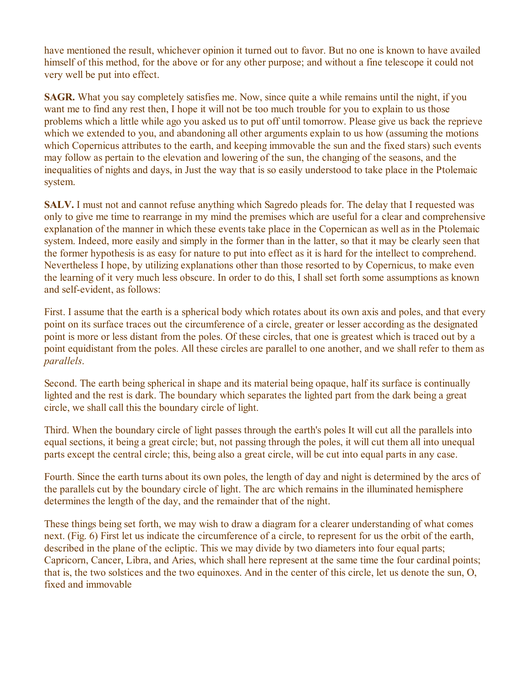have mentioned the result, whichever opinion it turned out to favor. But no one is known to have availed himself of this method, for the above or for any other purpose; and without a fine telescope it could not very well be put into effect.

SAGR. What you say completely satisfies me. Now, since quite a while remains until the night, if you want me to find any rest then, I hope it will not be too much trouble for you to explain to us those problems which a little while ago you asked us to put off until tomorrow. Please give us back the reprieve which we extended to you, and abandoning all other arguments explain to us how (assuming the motions which Copernicus attributes to the earth, and keeping immovable the sun and the fixed stars) such events may follow as pertain to the elevation and lowering of the sun, the changing of the seasons, and the inequalities of nights and days, in Just the way that is so easily understood to take place in the Ptolemaic system.

SALV. I must not and cannot refuse anything which Sagredo pleads for. The delay that I requested was only to give me time to rearrange in my mind the premises which are useful for a clear and comprehensive explanation of the manner in which these events take place in the Copernican as well as in the Ptolemaic system. Indeed, more easily and simply in the former than in the latter, so that it may be clearly seen that the former hypothesis is as easy for nature to put into effect as it is hard for the intellect to comprehend. Nevertheless I hope, by utilizing explanations other than those resorted to by Copernicus, to make even the learning of it very much less obscure. In order to do this, I shall set forth some assumptions as known and self-evident, as follows:

First. I assume that the earth is a spherical body which rotates about its own axis and poles, and that every point on its surface traces out the circumference of a circle, greater or lesser according as the designated point is more or less distant from the poles. Of these circles, that one is greatest which is traced out by a point equidistant from the poles. All these circles are parallel to one another, and we shall refer to them as parallels.

Second. The earth being spherical in shape and its material being opaque, half its surface is continually lighted and the rest is dark. The boundary which separates the lighted part from the dark being a great circle, we shall call this the boundary circle of light.

Third. When the boundary circle of light passes through the earth's poles It will cut all the parallels into equal sections, it being a great circle; but, not passing through the poles, it will cut them all into unequal parts except the central circle; this, being also a great circle, will be cut into equal parts in any case.

Fourth. Since the earth turns about its own poles, the length of day and night is determined by the arcs of the parallels cut by the boundary circle of light. The arc which remains in the illuminated hemisphere determines the length of the day, and the remainder that of the night.

These things being set forth, we may wish to draw a diagram for a clearer understanding of what comes next. (Fig. 6) First let us indicate the circumference of a circle, to represent for us the orbit of the earth, described in the plane of the ecliptic. This we may divide by two diameters into four equal parts; Capricorn, Cancer, Libra, and Aries, which shall here represent at the same time the four cardinal points; that is, the two solstices and the two equinoxes. And in the center of this circle, let us denote the sun, O, fixed and immovable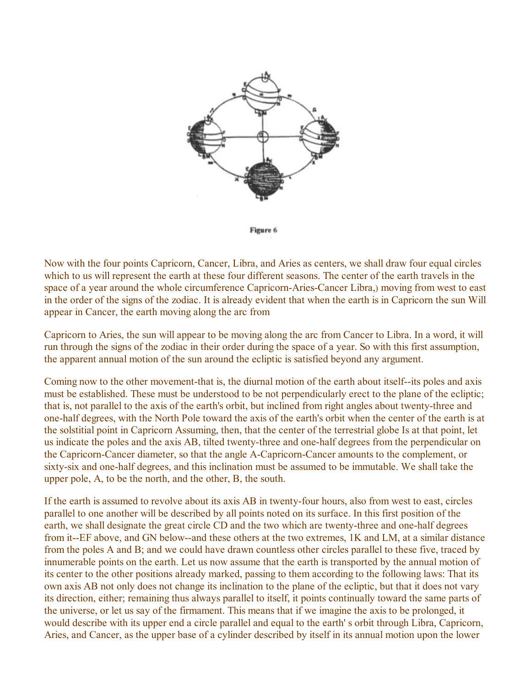

Figure 6

Now with the four points Capricorn, Cancer, Libra, and Aries as centers, we shall draw four equal circles which to us will represent the earth at these four different seasons. The center of the earth travels in the space of a year around the whole circumference Capricorn-Aries-Cancer Libra,) moving from west to east in the order of the signs of the zodiac. It is already evident that when the earth is in Capricorn the sun Will appear in Cancer, the earth moving along the arc from

Capricorn to Aries, the sun will appear to be moving along the arc from Cancer to Libra. In a word, it will run through the signs of the zodiac in their order during the space of a year. So with this first assumption, the apparent annual motion of the sun around the ecliptic is satisfied beyond any argument.

Coming now to the other movement-that is, the diurnal motion of the earth about itself--its poles and axis must be established. These must be understood to be not perpendicularly erect to the plane of the ecliptic; that is, not parallel to the axis of the earth's orbit, but inclined from right angles about twenty-three and one-half degrees, with the North Pole toward the axis of the earth's orbit when the center of the earth is at the solstitial point in Capricorn Assuming, then, that the center of the terrestrial globe Is at that point, let us indicate the poles and the axis AB, tilted twenty-three and one-half degrees from the perpendicular on the Capricorn-Cancer diameter, so that the angle A-Capricorn-Cancer amounts to the complement, or sixty-six and one-half degrees, and this inclination must be assumed to be immutable. We shall take the upper pole, A, to be the north, and the other, B, the south.

If the earth is assumed to revolve about its axis AB in twenty-four hours, also from west to east, circles parallel to one another will be described by all points noted on its surface. In this first position of the earth, we shall designate the great circle CD and the two which are twenty-three and one-half degrees from it--EF above, and GN below--and these others at the two extremes, 1K and LM, at a similar distance from the poles A and B; and we could have drawn countless other circles parallel to these five, traced by innumerable points on the earth. Let us now assume that the earth is transported by the annual motion of its center to the other positions already marked, passing to them according to the following laws: That its own axis AB not only does not change its inclination to the plane of the ecliptic, but that it does not vary its direction, either; remaining thus always parallel to itself, it points continually toward the same parts of the universe, or let us say of the firmament. This means that if we imagine the axis to be prolonged, it would describe with its upper end a circle parallel and equal to the earth' s orbit through Libra, Capricorn, Aries, and Cancer, as the upper base of a cylinder described by itself in its annual motion upon the lower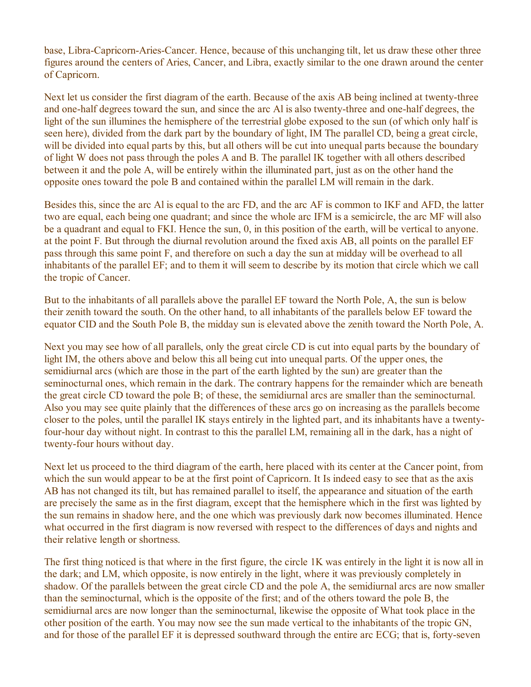base, Libra-Capricorn-Aries-Cancer. Hence, because of this unchanging tilt, let us draw these other three figures around the centers of Aries, Cancer, and Libra, exactly similar to the one drawn around the center of Capricorn.

Next let us consider the first diagram of the earth. Because of the axis AB being inclined at twenty-three and one-half degrees toward the sun, and since the arc Al is also twenty-three and one-half degrees, the light of the sun illumines the hemisphere of the terrestrial globe exposed to the sun (of which only half is seen here), divided from the dark part by the boundary of light, IM The parallel CD, being a great circle, will be divided into equal parts by this, but all others will be cut into unequal parts because the boundary of light W does not pass through the poles A and B. The parallel IK together with all others described between it and the pole A, will be entirely within the illuminated part, just as on the other hand the opposite ones toward the pole B and contained within the parallel LM will remain in the dark.

Besides this, since the arc Al is equal to the arc FD, and the arc AF is common to IKF and AFD, the latter two are equal, each being one quadrant; and since the whole arc IFM is a semicircle, the arc MF will also be a quadrant and equal to FKI. Hence the sun, 0, in this position of the earth, will be vertical to anyone. at the point F. But through the diurnal revolution around the fixed axis AB, all points on the parallel EF pass through this same point F, and therefore on such a day the sun at midday will be overhead to all inhabitants of the parallel EF; and to them it will seem to describe by its motion that circle which we call the tropic of Cancer.

But to the inhabitants of all parallels above the parallel EF toward the North Pole, A, the sun is below their zenith toward the south. On the other hand, to all inhabitants of the parallels below EF toward the equator CID and the South Pole B, the midday sun is elevated above the zenith toward the North Pole, A.

Next you may see how of all parallels, only the great circle CD is cut into equal parts by the boundary of light IM, the others above and below this all being cut into unequal parts. Of the upper ones, the semidiurnal arcs (which are those in the part of the earth lighted by the sun) are greater than the seminocturnal ones, which remain in the dark. The contrary happens for the remainder which are beneath the great circle CD toward the pole B; of these, the semidiurnal arcs are smaller than the seminocturnal. Also you may see quite plainly that the differences of these arcs go on increasing as the parallels become closer to the poles, until the parallel IK stays entirely in the lighted part, and its inhabitants have a twentyfour-hour day without night. In contrast to this the parallel LM, remaining all in the dark, has a night of twenty-four hours without day.

Next let us proceed to the third diagram of the earth, here placed with its center at the Cancer point, from which the sun would appear to be at the first point of Capricorn. It Is indeed easy to see that as the axis AB has not changed its tilt, but has remained parallel to itself, the appearance and situation of the earth are precisely the same as in the first diagram, except that the hemisphere which in the first was lighted by the sun remains in shadow here, and the one which was previously dark now becomes illuminated. Hence what occurred in the first diagram is now reversed with respect to the differences of days and nights and their relative length or shortness.

The first thing noticed is that where in the first figure, the circle 1K was entirely in the light it is now all in the dark; and LM, which opposite, is now entirely in the light, where it was previously completely in shadow. Of the parallels between the great circle CD and the pole A, the semidiurnal arcs are now smaller than the seminocturnal, which is the opposite of the first; and of the others toward the pole B, the semidiurnal arcs are now longer than the seminocturnal, likewise the opposite of What took place in the other position of the earth. You may now see the sun made vertical to the inhabitants of the tropic GN, and for those of the parallel EF it is depressed southward through the entire arc ECG; that is, forty-seven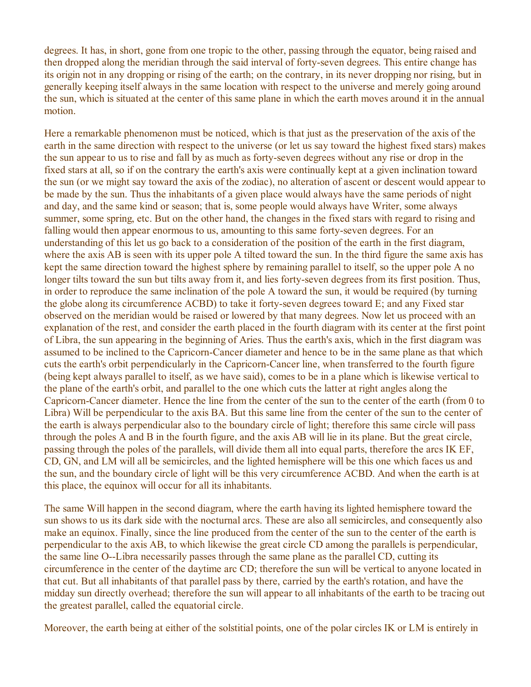degrees. It has, in short, gone from one tropic to the other, passing through the equator, being raised and then dropped along the meridian through the said interval of forty-seven degrees. This entire change has its origin not in any dropping or rising of the earth; on the contrary, in its never dropping nor rising, but in generally keeping itself always in the same location with respect to the universe and merely going around the sun, which is situated at the center of this same plane in which the earth moves around it in the annual motion.

Here a remarkable phenomenon must be noticed, which is that just as the preservation of the axis of the earth in the same direction with respect to the universe (or let us say toward the highest fixed stars) makes the sun appear to us to rise and fall by as much as forty-seven degrees without any rise or drop in the fixed stars at all, so if on the contrary the earth's axis were continually kept at a given inclination toward the sun (or we might say toward the axis of the zodiac), no alteration of ascent or descent would appear to be made by the sun. Thus the inhabitants of a given place would always have the same periods of night and day, and the same kind or season; that is, some people would always have Writer, some always summer, some spring, etc. But on the other hand, the changes in the fixed stars with regard to rising and falling would then appear enormous to us, amounting to this same forty-seven degrees. For an understanding of this let us go back to a consideration of the position of the earth in the first diagram, where the axis AB is seen with its upper pole A tilted toward the sun. In the third figure the same axis has kept the same direction toward the highest sphere by remaining parallel to itself, so the upper pole A no longer tilts toward the sun but tilts away from it, and lies forty-seven degrees from its first position. Thus, in order to reproduce the same inclination of the pole A toward the sun, it would be required (by turning the globe along its circumference ACBD) to take it forty-seven degrees toward E; and any Fixed star observed on the meridian would be raised or lowered by that many degrees. Now let us proceed with an explanation of the rest, and consider the earth placed in the fourth diagram with its center at the first point of Libra, the sun appearing in the beginning of Aries. Thus the earth's axis, which in the first diagram was assumed to be inclined to the Capricorn-Cancer diameter and hence to be in the same plane as that which cuts the earth's orbit perpendicularly in the Capricorn-Cancer line, when transferred to the fourth figure (being kept always parallel to itself, as we have said), comes to be in a plane which is likewise vertical to the plane of the earth's orbit, and parallel to the one which cuts the latter at right angles along the Capricorn-Cancer diameter. Hence the line from the center of the sun to the center of the earth (from 0 to Libra) Will be perpendicular to the axis BA. But this same line from the center of the sun to the center of the earth is always perpendicular also to the boundary circle of light; therefore this same circle will pass through the poles A and B in the fourth figure, and the axis AB will lie in its plane. But the great circle, passing through the poles of the parallels, will divide them all into equal parts, therefore the arcs IK EF, CD, GN, and LM will all be semicircles, and the lighted hemisphere will be this one which faces us and the sun, and the boundary circle of light will be this very circumference ACBD. And when the earth is at this place, the equinox will occur for all its inhabitants.

The same Will happen in the second diagram, where the earth having its lighted hemisphere toward the sun shows to us its dark side with the nocturnal arcs. These are also all semicircles, and consequently also make an equinox. Finally, since the line produced from the center of the sun to the center of the earth is perpendicular to the axis AB, to which likewise the great circle CD among the parallels is perpendicular, the same line O--Libra necessarily passes through the same plane as the parallel CD, cutting its circumference in the center of the daytime arc CD; therefore the sun will be vertical to anyone located in that cut. But all inhabitants of that parallel pass by there, carried by the earth's rotation, and have the midday sun directly overhead; therefore the sun will appear to all inhabitants of the earth to be tracing out the greatest parallel, called the equatorial circle.

Moreover, the earth being at either of the solstitial points, one of the polar circles IK or LM is entirely in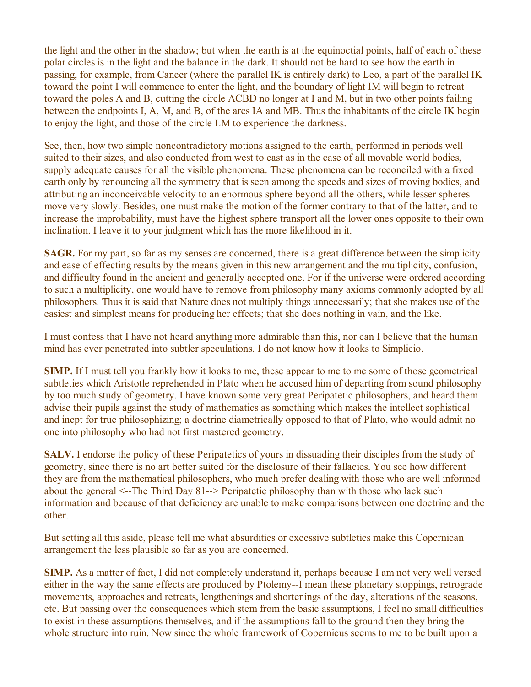the light and the other in the shadow; but when the earth is at the equinoctial points, half of each of these polar circles is in the light and the balance in the dark. It should not be hard to see how the earth in passing, for example, from Cancer (where the parallel IK is entirely dark) to Leo, a part of the parallel IK toward the point I will commence to enter the light, and the boundary of light IM will begin to retreat toward the poles A and B, cutting the circle ACBD no longer at I and M, but in two other points failing between the endpoints I, A, M, and B, of the arcs IA and MB. Thus the inhabitants of the circle IK begin to enjoy the light, and those of the circle LM to experience the darkness.

See, then, how two simple noncontradictory motions assigned to the earth, performed in periods well suited to their sizes, and also conducted from west to east as in the case of all movable world bodies, supply adequate causes for all the visible phenomena. These phenomena can be reconciled with a fixed earth only by renouncing all the symmetry that is seen among the speeds and sizes of moving bodies, and attributing an inconceivable velocity to an enormous sphere beyond all the others, while lesser spheres move very slowly. Besides, one must make the motion of the former contrary to that of the latter, and to increase the improbability, must have the highest sphere transport all the lower ones opposite to their own inclination. I leave it to your judgment which has the more likelihood in it.

SAGR. For my part, so far as my senses are concerned, there is a great difference between the simplicity and ease of effecting results by the means given in this new arrangement and the multiplicity, confusion, and difficulty found in the ancient and generally accepted one. For if the universe were ordered according to such a multiplicity, one would have to remove from philosophy many axioms commonly adopted by all philosophers. Thus it is said that Nature does not multiply things unnecessarily; that she makes use of the easiest and simplest means for producing her effects; that she does nothing in vain, and the like.

I must confess that I have not heard anything more admirable than this, nor can I believe that the human mind has ever penetrated into subtler speculations. I do not know how it looks to Simplicio.

SIMP. If I must tell you frankly how it looks to me, these appear to me to me some of those geometrical subtleties which Aristotle reprehended in Plato when he accused him of departing from sound philosophy by too much study of geometry. I have known some very great Peripatetic philosophers, and heard them advise their pupils against the study of mathematics as something which makes the intellect sophistical and inept for true philosophizing; a doctrine diametrically opposed to that of Plato, who would admit no one into philosophy who had not first mastered geometry.

SALV. I endorse the policy of these Peripatetics of yours in dissuading their disciples from the study of geometry, since there is no art better suited for the disclosure of their fallacies. You see how different they are from the mathematical philosophers, who much prefer dealing with those who are well informed about the general <--The Third Day 81--> Peripatetic philosophy than with those who lack such information and because of that deficiency are unable to make comparisons between one doctrine and the other.

But setting all this aside, please tell me what absurdities or excessive subtleties make this Copernican arrangement the less plausible so far as you are concerned.

SIMP. As a matter of fact, I did not completely understand it, perhaps because I am not very well versed either in the way the same effects are produced by Ptolemy--I mean these planetary stoppings, retrograde movements, approaches and retreats, lengthenings and shortenings of the day, alterations of the seasons, etc. But passing over the consequences which stem from the basic assumptions, I feel no small difficulties to exist in these assumptions themselves, and if the assumptions fall to the ground then they bring the whole structure into ruin. Now since the whole framework of Copernicus seems to me to be built upon a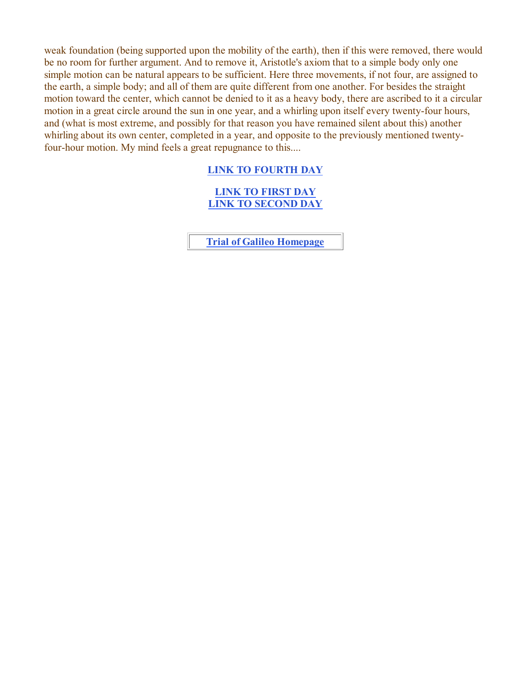weak foundation (being supported upon the mobility of the earth), then if this were removed, there would be no room for further argument. And to remove it, Aristotle's axiom that to a simple body only one simple motion can be natural appears to be sufficient. Here three movements, if not four, are assigned to the earth, a simple body; and all of them are quite different from one another. For besides the straight motion toward the center, which cannot be denied to it as a heavy body, there are ascribed to it a circular motion in a great circle around the sun in one year, and a whirling upon itself every twenty-four hours, and (what is most extreme, and possibly for that reason you have remained silent about this) another whirling about its own center, completed in a year, and opposite to the previously mentioned twentyfour-hour motion. My mind feels a great repugnance to this....

## LINK TO FOURTH DAY

## LINK TO FIRST DAY LINK TO SECOND DAY

Trial of Galileo Homepage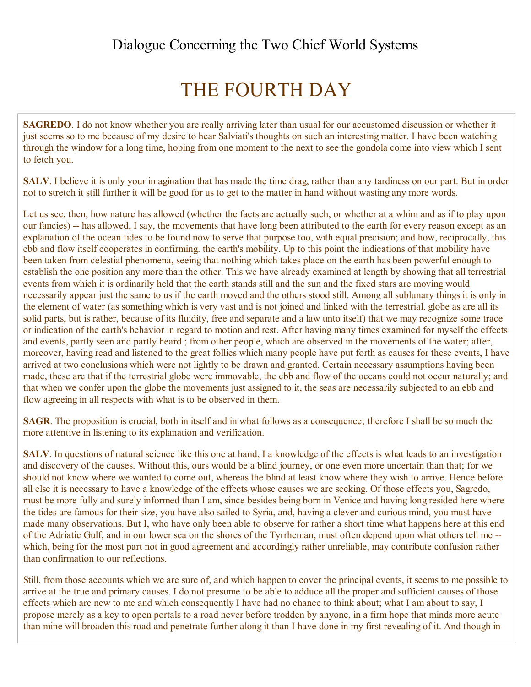## THE FOURTH DAY

SAGREDO. I do not know whether you are really arriving later than usual for our accustomed discussion or whether it just seems so to me because of my desire to hear Salviati's thoughts on such an interesting matter. I have been watching through the window for a long time, hoping from one moment to the next to see the gondola come into view which I sent to fetch you.

SALV. I believe it is only your imagination that has made the time drag, rather than any tardiness on our part. But in order not to stretch it still further it will be good for us to get to the matter in hand without wasting any more words.

Let us see, then, how nature has allowed (whether the facts are actually such, or whether at a whim and as if to play upon our fancies) -- has allowed, I say, the movements that have long been attributed to the earth for every reason except as an explanation of the ocean tides to be found now to serve that purpose too, with equal precision; and how, reciprocally, this ebb and flow itself cooperates in confirming. the earth's mobility. Up to this point the indications of that mobility have been taken from celestial phenomena, seeing that nothing which takes place on the earth has been powerful enough to establish the one position any more than the other. This we have already examined at length by showing that all terrestrial events from which it is ordinarily held that the earth stands still and the sun and the fixed stars are moving would necessarily appear just the same to us if the earth moved and the others stood still. Among all sublunary things it is only in the element of water (as something which is very vast and is not joined and linked with the terrestrial. globe as are all its solid parts, but is rather, because of its fluidity, free and separate and a law unto itself) that we may recognize some trace or indication of the earth's behavior in regard to motion and rest. After having many times examined for myself the effects and events, partly seen and partly heard ; from other people, which are observed in the movements of the water; after, moreover, having read and listened to the great follies which many people have put forth as causes for these events, I have arrived at two conclusions which were not lightly to be drawn and granted. Certain necessary assumptions having been made, these are that if the terrestrial globe were immovable, the ebb and flow of the oceans could not occur naturally; and that when we confer upon the globe the movements just assigned to it, the seas are necessarily subjected to an ebb and flow agreeing in all respects with what is to be observed in them.

SAGR. The proposition is crucial, both in itself and in what follows as a consequence; therefore I shall be so much the more attentive in listening to its explanation and verification.

SALV. In questions of natural science like this one at hand, I a knowledge of the effects is what leads to an investigation and discovery of the causes. Without this, ours would be a blind journey, or one even more uncertain than that; for we should not know where we wanted to come out, whereas the blind at least know where they wish to arrive. Hence before all else it is necessary to have a knowledge of the effects whose causes we are seeking. Of those effects you, Sagredo, must be more fully and surely informed than I am, since besides being born in Venice and having long resided here where the tides are famous for their size, you have also sailed to Syria, and, having a clever and curious mind, you must have made many observations. But I, who have only been able to observe for rather a short time what happens here at this end of the Adriatic Gulf, and in our lower sea on the shores of the Tyrrhenian, must often depend upon what others tell me - which, being for the most part not in good agreement and accordingly rather unreliable, may contribute confusion rather than confirmation to our reflections.

Still, from those accounts which we are sure of, and which happen to cover the principal events, it seems to me possible to arrive at the true and primary causes. I do not presume to be able to adduce all the proper and sufficient causes of those effects which are new to me and which consequently I have had no chance to think about; what I am about to say, I propose merely as a key to open portals to a road never before trodden by anyone, in a firm hope that minds more acute than mine will broaden this road and penetrate further along it than I have done in my first revealing of it. And though in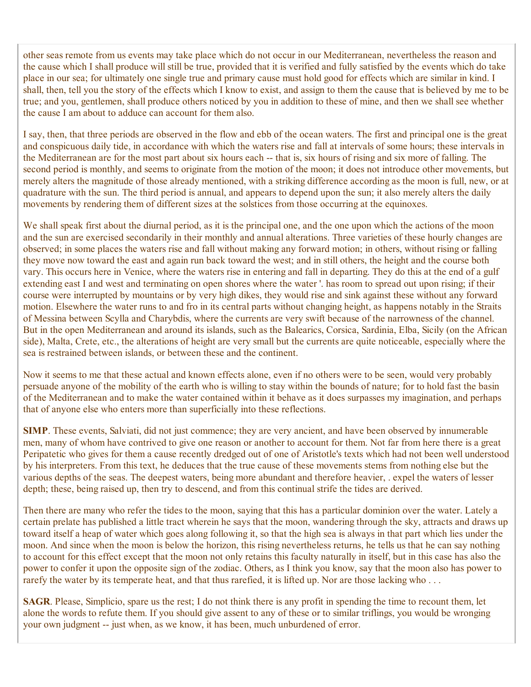other seas remote from us events may take place which do not occur in our Mediterranean, nevertheless the reason and the cause which I shall produce will still be true, provided that it is verified and fully satisfied by the events which do take place in our sea; for ultimately one single true and primary cause must hold good for effects which are similar in kind. I shall, then, tell you the story of the effects which I know to exist, and assign to them the cause that is believed by me to be true; and you, gentlemen, shall produce others noticed by you in addition to these of mine, and then we shall see whether the cause I am about to adduce can account for them also.

I say, then, that three periods are observed in the flow and ebb of the ocean waters. The first and principal one is the great and conspicuous daily tide, in accordance with which the waters rise and fall at intervals of some hours; these intervals in the Mediterranean are for the most part about six hours each -- that is, six hours of rising and six more of falling. The second period is monthly, and seems to originate from the motion of the moon; it does not introduce other movements, but merely alters the magnitude of those already mentioned, with a striking difference according as the moon is full, new, or at quadrature with the sun. The third period is annual, and appears to depend upon the sun; it also merely alters the daily movements by rendering them of different sizes at the solstices from those occurring at the equinoxes.

We shall speak first about the diurnal period, as it is the principal one, and the one upon which the actions of the moon and the sun are exercised secondarily in their monthly and annual alterations. Three varieties of these hourly changes are observed; in some places the waters rise and fall without making any forward motion; in others, without rising or falling they move now toward the east and again run back toward the west; and in still others, the height and the course both vary. This occurs here in Venice, where the waters rise in entering and fall in departing. They do this at the end of a gulf extending east I and west and terminating on open shores where the water '. has room to spread out upon rising; if their course were interrupted by mountains or by very high dikes, they would rise and sink against these without any forward motion. Elsewhere the water runs to and fro in its central parts without changing height, as happens notably in the Straits of Messina between Scylla and Charybdis, where the currents are very swift because of the narrowness of the channel. But in the open Mediterranean and around its islands, such as the Balearics, Corsica, Sardinia, Elba, Sicily (on the African side), Malta, Crete, etc., the alterations of height are very small but the currents are quite noticeable, especially where the sea is restrained between islands, or between these and the continent.

Now it seems to me that these actual and known effects alone, even if no others were to be seen, would very probably persuade anyone of the mobility of the earth who is willing to stay within the bounds of nature; for to hold fast the basin of the Mediterranean and to make the water contained within it behave as it does surpasses my imagination, and perhaps that of anyone else who enters more than superficially into these reflections.

SIMP. These events, Salviati, did not just commence; they are very ancient, and have been observed by innumerable men, many of whom have contrived to give one reason or another to account for them. Not far from here there is a great Peripatetic who gives for them a cause recently dredged out of one of Aristotle's texts which had not been well understood by his interpreters. From this text, he deduces that the true cause of these movements stems from nothing else but the various depths of the seas. The deepest waters, being more abundant and therefore heavier, . expel the waters of lesser depth; these, being raised up, then try to descend, and from this continual strife the tides are derived.

Then there are many who refer the tides to the moon, saying that this has a particular dominion over the water. Lately a certain prelate has published a little tract wherein he says that the moon, wandering through the sky, attracts and draws up toward itself a heap of water which goes along following it, so that the high sea is always in that part which lies under the moon. And since when the moon is below the horizon, this rising nevertheless returns, he tells us that he can say nothing to account for this effect except that the moon not only retains this faculty naturally in itself, but in this case has also the power to confer it upon the opposite sign of the zodiac. Others, as I think you know, say that the moon also has power to rarefy the water by its temperate heat, and that thus rarefied, it is lifted up. Nor are those lacking who . . .

SAGR. Please, Simplicio, spare us the rest; I do not think there is any profit in spending the time to recount them, let alone the words to refute them. If you should give assent to any of these or to similar triflings, you would be wronging your own judgment -- just when, as we know, it has been, much unburdened of error.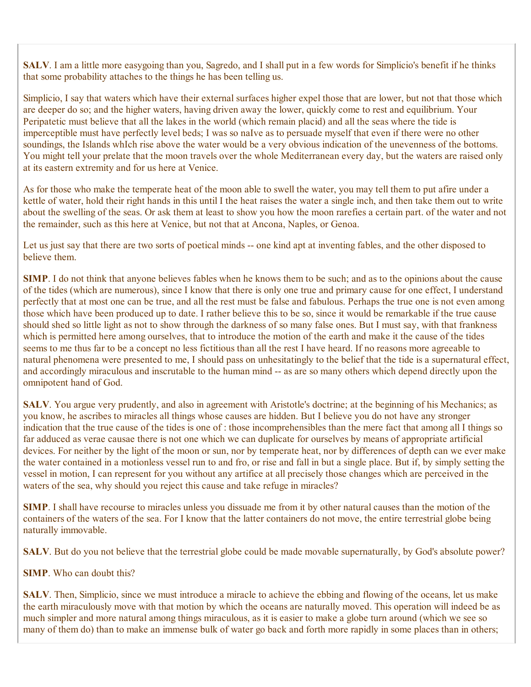SALV. I am a little more easygoing than you, Sagredo, and I shall put in a few words for Simplicio's benefit if he thinks that some probability attaches to the things he has been telling us.

Simplicio, I say that waters which have their external surfaces higher expel those that are lower, but not that those which are deeper do so; and the higher waters, having driven away the lower, quickly come to rest and equilibrium. Your Peripatetic must believe that all the lakes in the world (which remain placid) and all the seas where the tide is imperceptible must have perfectly level beds; I was so naIve as to persuade myself that even if there were no other soundings, the Islands whIch rise above the water would be a very obvious indication of the unevenness of the bottoms. You might tell your prelate that the moon travels over the whole Mediterranean every day, but the waters are raised only at its eastern extremity and for us here at Venice.

As for those who make the temperate heat of the moon able to swell the water, you may tell them to put afire under a kettle of water, hold their right hands in this until I the heat raises the water a single inch, and then take them out to write about the swelling of the seas. Or ask them at least to show you how the moon rarefies a certain part. of the water and not the remainder, such as this here at Venice, but not that at Ancona, Naples, or Genoa.

Let us just say that there are two sorts of poetical minds -- one kind apt at inventing fables, and the other disposed to believe them.

SIMP. I do not think that anyone believes fables when he knows them to be such; and as to the opinions about the cause of the tides (which are numerous), since I know that there is only one true and primary cause for one effect, I understand perfectly that at most one can be true, and all the rest must be false and fabulous. Perhaps the true one is not even among those which have been produced up to date. I rather believe this to be so, since it would be remarkable if the true cause should shed so little light as not to show through the darkness of so many false ones. But I must say, with that frankness which is permitted here among ourselves, that to introduce the motion of the earth and make it the cause of the tides seems to me thus far to be a concept no less fictitious than all the rest I have heard. If no reasons more agreeable to natural phenomena were presented to me, I should pass on unhesitatingly to the belief that the tide is a supernatural effect, and accordingly miraculous and inscrutable to the human mind -- as are so many others which depend directly upon the omnipotent hand of God.

SALV. You argue very prudently, and also in agreement with Aristotle's doctrine; at the beginning of his Mechanics; as you know, he ascribes to miracles all things whose causes are hidden. But I believe you do not have any stronger indication that the true cause of the tides is one of : those incomprehensibles than the mere fact that among all I things so far adduced as verae causae there is not one which we can duplicate for ourselves by means of appropriate artificial devices. For neither by the light of the moon or sun, nor by temperate heat, nor by differences of depth can we ever make the water contained in a motionless vessel run to and fro, or rise and fall in but a single place. But if, by simply setting the vessel in motion, I can represent for you without any artifice at all precisely those changes which are perceived in the waters of the sea, why should you reject this cause and take refuge in miracles?

SIMP. I shall have recourse to miracles unless you dissuade me from it by other natural causes than the motion of the containers of the waters of the sea. For I know that the latter containers do not move, the entire terrestrial globe being naturally immovable.

SALV. But do you not believe that the terrestrial globe could be made movable supernaturally, by God's absolute power?

SIMP. Who can doubt this?

SALV. Then, Simplicio, since we must introduce a miracle to achieve the ebbing and flowing of the oceans, let us make the earth miraculously move with that motion by which the oceans are naturally moved. This operation will indeed be as much simpler and more natural among things miraculous, as it is easier to make a globe turn around (which we see so many of them do) than to make an immense bulk of water go back and forth more rapidly in some places than in others;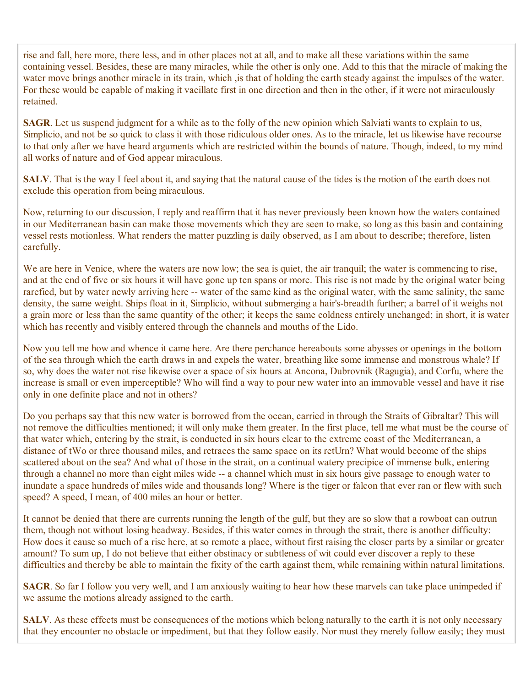rise and fall, here more, there less, and in other places not at all, and to make all these variations within the same containing vessel. Besides, these are many miracles, while the other is only one. Add to this that the miracle of making the water move brings another miracle in its train, which , is that of holding the earth steady against the impulses of the water. For these would be capable of making it vacillate first in one direction and then in the other, if it were not miraculously retained.

SAGR. Let us suspend judgment for a while as to the folly of the new opinion which Salviati wants to explain to us, Simplicio, and not be so quick to class it with those ridiculous older ones. As to the miracle, let us likewise have recourse to that only after we have heard arguments which are restricted within the bounds of nature. Though, indeed, to my mind all works of nature and of God appear miraculous.

SALV. That is the way I feel about it, and saying that the natural cause of the tides is the motion of the earth does not exclude this operation from being miraculous.

Now, returning to our discussion, I reply and reaffirm that it has never previously been known how the waters contained in our Mediterranean basin can make those movements which they are seen to make, so long as this basin and containing vessel rests motionless. What renders the matter puzzling is daily observed, as I am about to describe; therefore, listen carefully.

We are here in Venice, where the waters are now low; the sea is quiet, the air tranquil; the water is commencing to rise, and at the end of five or six hours it will have gone up ten spans or more. This rise is not made by the original water being rarefied, but by water newly arriving here -- water of the same kind as the original water, with the same salinity, the same density, the same weight. Ships float in it, Simplicio, without submerging a hair's-breadth further; a barrel of it weighs not a grain more or less than the same quantity of the other; it keeps the same coldness entirely unchanged; in short, it is water which has recently and visibly entered through the channels and mouths of the Lido.

Now you tell me how and whence it came here. Are there perchance hereabouts some abysses or openings in the bottom of the sea through which the earth draws in and expels the water, breathing like some immense and monstrous whale? If so, why does the water not rise likewise over a space of six hours at Ancona, Dubrovnik (Ragugia), and Corfu, where the increase is small or even imperceptible? Who will find a way to pour new water into an immovable vessel and have it rise only in one definite place and not in others?

Do you perhaps say that this new water is borrowed from the ocean, carried in through the Straits of Gibraltar? This will not remove the difficulties mentioned; it will only make them greater. In the first place, tell me what must be the course of that water which, entering by the strait, is conducted in six hours clear to the extreme coast of the Mediterranean, a distance of tWo or three thousand miles, and retraces the same space on its retUrn? What would become of the ships scattered about on the sea? And what of those in the strait, on a continual watery precipice of immense bulk, entering through a channel no more than eight miles wide -- a channel which must in six hours give passage to enough water to inundate a space hundreds of miles wide and thousands long? Where is the tiger or falcon that ever ran or flew with such speed? A speed, I mean, of 400 miles an hour or better.

It cannot be denied that there are currents running the length of the gulf, but they are so slow that a rowboat can outrun them, though not without losing headway. Besides, if this water comes in through the strait, there is another difficulty: How does it cause so much of a rise here, at so remote a place, without first raising the closer parts by a similar or greater amount? To sum up, I do not believe that either obstinacy or subtleness of wit could ever discover a reply to these difficulties and thereby be able to maintain the fixity of the earth against them, while remaining within natural limitations.

SAGR. So far I follow you very well, and I am anxiously waiting to hear how these marvels can take place unimpeded if we assume the motions already assigned to the earth.

SALV. As these effects must be consequences of the motions which belong naturally to the earth it is not only necessary that they encounter no obstacle or impediment, but that they follow easily. Nor must they merely follow easily; they must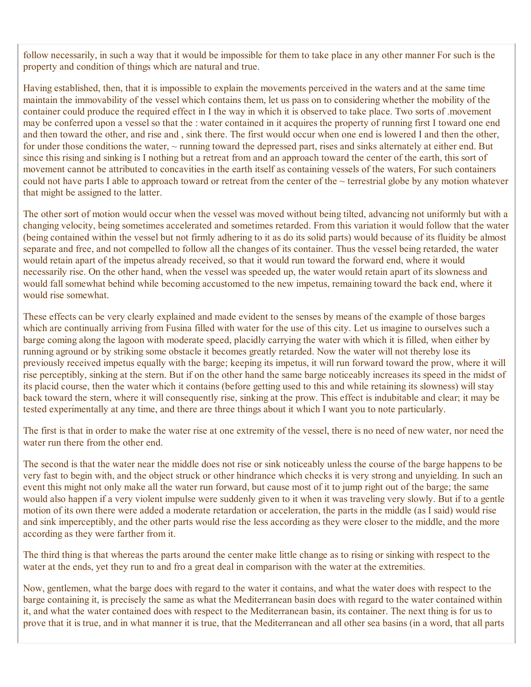follow necessarily, in such a way that it would be impossible for them to take place in any other manner For such is the property and condition of things which are natural and true.

Having established, then, that it is impossible to explain the movements perceived in the waters and at the same time maintain the immovability of the vessel which contains them, let us pass on to considering whether the mobility of the container could produce the required effect in I the way in which it is observed to take place. Two sorts of .movement may be conferred upon a vessel so that the : water contained in it acquires the property of running first I toward one end and then toward the other, and rise and , sink there. The first would occur when one end is lowered I and then the other, for under those conditions the water,  $\sim$  running toward the depressed part, rises and sinks alternately at either end. But since this rising and sinking is I nothing but a retreat from and an approach toward the center of the earth, this sort of movement cannot be attributed to concavities in the earth itself as containing vessels of the waters, For such containers could not have parts I able to approach toward or retreat from the center of the  $\sim$  terrestrial globe by any motion whatever that might be assigned to the latter.

The other sort of motion would occur when the vessel was moved without being tilted, advancing not uniformly but with a changing velocity, being sometimes accelerated and sometimes retarded. From this variation it would follow that the water (being contained within the vessel but not firmly adhering to it as do its solid parts) would because of its fluidity be almost separate and free, and not compelled to follow all the changes of its container. Thus the vessel being retarded, the water would retain apart of the impetus already received, so that it would run toward the forward end, where it would necessarily rise. On the other hand, when the vessel was speeded up, the water would retain apart of its slowness and would fall somewhat behind while becoming accustomed to the new impetus, remaining toward the back end, where it would rise somewhat.

These effects can be very clearly explained and made evident to the senses by means of the example of those barges which are continually arriving from Fusina filled with water for the use of this city. Let us imagine to ourselves such a barge coming along the lagoon with moderate speed, placidly carrying the water with which it is filled, when either by running aground or by striking some obstacle it becomes greatly retarded. Now the water will not thereby lose its previously received impetus equally with the barge; keeping its impetus, it will run forward toward the prow, where it will rise perceptibly, sinking at the stern. But if on the other hand the same barge noticeably increases its speed in the midst of its placid course, then the water which it contains (before getting used to this and while retaining its slowness) will stay back toward the stern, where it will consequently rise, sinking at the prow. This effect is indubitable and clear; it may be tested experimentally at any time, and there are three things about it which I want you to note particularly.

The first is that in order to make the water rise at one extremity of the vessel, there is no need of new water, nor need the water run there from the other end.

The second is that the water near the middle does not rise or sink noticeably unless the course of the barge happens to be very fast to begin with, and the object struck or other hindrance which checks it is very strong and unyielding. In such an event this might not only make all the water run forward, but cause most of it to jump right out of the barge; the same would also happen if a very violent impulse were suddenly given to it when it was traveling very slowly. But if to a gentle motion of its own there were added a moderate retardation or acceleration, the parts in the middle (as I said) would rise and sink imperceptibly, and the other parts would rise the less according as they were closer to the middle, and the more according as they were farther from it.

The third thing is that whereas the parts around the center make little change as to rising or sinking with respect to the water at the ends, yet they run to and fro a great deal in comparison with the water at the extremities.

Now, gentlemen, what the barge does with regard to the water it contains, and what the water does with respect to the barge containing it, is precisely the same as what the Mediterranean basin does with regard to the water contained within it, and what the water contained does with respect to the Mediterranean basin, its container. The next thing is for us to prove that it is true, and in what manner it is true, that the Mediterranean and all other sea basins (in a word, that all parts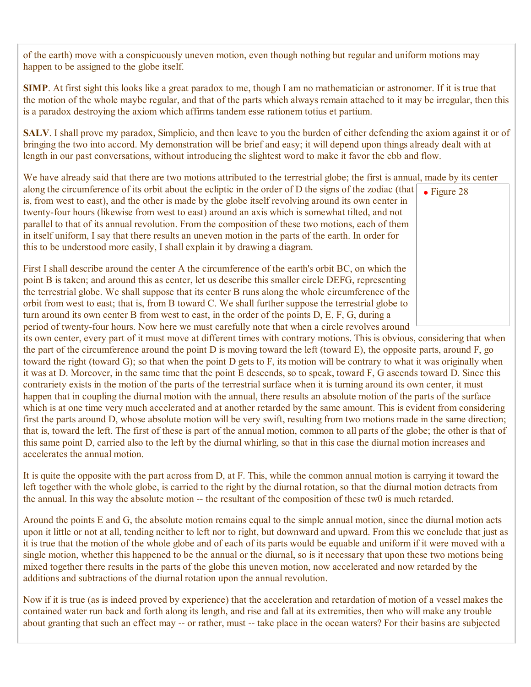of the earth) move with a conspicuously uneven motion, even though nothing but regular and uniform motions may happen to be assigned to the globe itself.

SIMP. At first sight this looks like a great paradox to me, though I am no mathematician or astronomer. If it is true that the motion of the whole maybe regular, and that of the parts which always remain attached to it may be irregular, then this is a paradox destroying the axiom which affirms tandem esse rationem totius et partium.

SALV. I shall prove my paradox, Simplicio, and then leave to you the burden of either defending the axiom against it or of bringing the two into accord. My demonstration will be brief and easy; it will depend upon things already dealt with at length in our past conversations, without introducing the slightest word to make it favor the ebb and flow.

We have already said that there are two motions attributed to the terrestrial globe; the first is annual, made by its center

• Figure 28

along the circumference of its orbit about the ecliptic in the order of D the signs of the zodiac (that is, from west to east), and the other is made by the globe itself revolving around its own center in twenty-four hours (likewise from west to east) around an axis which is somewhat tilted, and not parallel to that of its annual revolution. From the composition of these two motions, each of them in itself uniform, I say that there results an uneven motion in the parts of the earth. In order for this to be understood more easily, I shall explain it by drawing a diagram.

First I shall describe around the center A the circumference of the earth's orbit BC, on which the point B is taken; and around this as center, let us describe this smaller circle DEFG, representing the terrestrial globe. We shall suppose that its center B runs along the whole circumference of the orbit from west to east; that is, from B toward C. We shall further suppose the terrestrial globe to turn around its own center B from west to east, in the order of the points D, E, F, G, during a period of twenty-four hours. Now here we must carefully note that when a circle revolves around

its own center, every part of it must move at different times with contrary motions. This is obvious, considering that when the part of the circumference around the point D is moving toward the left (toward E), the opposite parts, around F, go toward the right (toward G); so that when the point D gets to F, its motion will be contrary to what it was originally when it was at D. Moreover, in the same time that the point E descends, so to speak, toward F, G ascends toward D. Since this contrariety exists in the motion of the parts of the terrestrial surface when it is turning around its own center, it must happen that in coupling the diurnal motion with the annual, there results an absolute motion of the parts of the surface which is at one time very much accelerated and at another retarded by the same amount. This is evident from considering first the parts around D, whose absolute motion will be very swift, resulting from two motions made in the same direction; that is, toward the left. The first of these is part of the annual motion, common to all parts of the globe; the other is that of this same point D, carried also to the left by the diurnal whirling, so that in this case the diurnal motion increases and accelerates the annual motion.

It is quite the opposite with the part across from D, at F. This, while the common annual motion is carrying it toward the left together with the whole globe, is carried to the right by the diurnal rotation, so that the diurnal motion detracts from the annual. In this way the absolute motion -- the resultant of the composition of these tw0 is much retarded.

Around the points E and G, the absolute motion remains equal to the simple annual motion, since the diurnal motion acts upon it little or not at all, tending neither to left nor to right, but downward and upward. From this we conclude that just as it is true that the motion of the whole globe and of each of its parts would be equable and uniform if it were moved with a single motion, whether this happened to be the annual or the diurnal, so is it necessary that upon these two motions being mixed together there results in the parts of the globe this uneven motion, now accelerated and now retarded by the additions and subtractions of the diurnal rotation upon the annual revolution.

Now if it is true (as is indeed proved by experience) that the acceleration and retardation of motion of a vessel makes the contained water run back and forth along its length, and rise and fall at its extremities, then who will make any trouble about granting that such an effect may -- or rather, must -- take place in the ocean waters? For their basins are subjected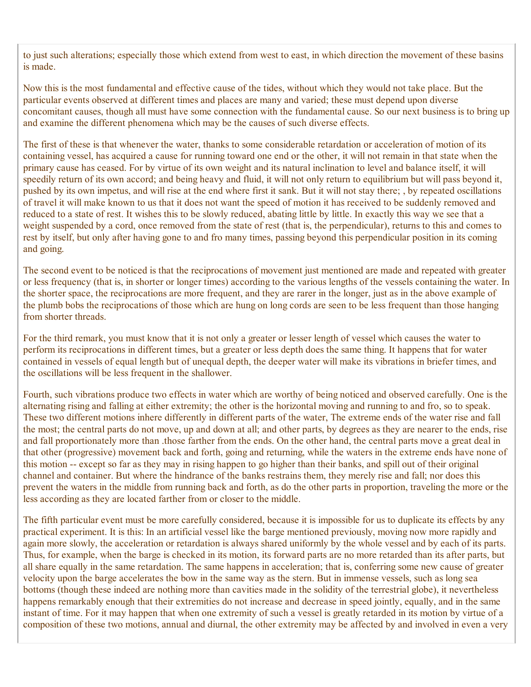to just such alterations; especially those which extend from west to east, in which direction the movement of these basins is made.

Now this is the most fundamental and effective cause of the tides, without which they would not take place. But the particular events observed at different times and places are many and varied; these must depend upon diverse concomitant causes, though all must have some connection with the fundamental cause. So our next business is to bring up and examine the different phenomena which may be the causes of such diverse effects.

The first of these is that whenever the water, thanks to some considerable retardation or acceleration of motion of its containing vessel, has acquired a cause for running toward one end or the other, it will not remain in that state when the primary cause has ceased. For by virtue of its own weight and its natural inclination to level and balance itself, it will speedily return of its own accord; and being heavy and fluid, it will not only return to equilibrium but will pass beyond it, pushed by its own impetus, and will rise at the end where first it sank. But it will not stay there; , by repeated oscillations of travel it will make known to us that it does not want the speed of motion it has received to be suddenly removed and reduced to a state of rest. It wishes this to be slowly reduced, abating little by little. In exactly this way we see that a weight suspended by a cord, once removed from the state of rest (that is, the perpendicular), returns to this and comes to rest by itself, but only after having gone to and fro many times, passing beyond this perpendicular position in its coming and going.

The second event to be noticed is that the reciprocations of movement just mentioned are made and repeated with greater or less frequency (that is, in shorter or longer times) according to the various lengths of the vessels containing the water. In the shorter space, the reciprocations are more frequent, and they are rarer in the longer, just as in the above example of the plumb bobs the reciprocations of those which are hung on long cords are seen to be less frequent than those hanging from shorter threads.

For the third remark, you must know that it is not only a greater or lesser length of vessel which causes the water to perform its reciprocations in different times, but a greater or less depth does the same thing. It happens that for water contained in vessels of equal length but of unequal depth, the deeper water will make its vibrations in briefer times, and the oscillations will be less frequent in the shallower.

Fourth, such vibrations produce two effects in water which are worthy of being noticed and observed carefully. One is the alternating rising and falling at either extremity; the other is the horizontal moving and running to and fro, so to speak. These two different motions inhere differently in different parts of the water. The extreme ends of the water rise and fall the most; the central parts do not move, up and down at all; and other parts, by degrees as they are nearer to the ends, rise and fall proportionately more than .those farther from the ends. On the other hand, the central parts move a great deal in that other (progressive) movement back and forth, going and returning, while the waters in the extreme ends have none of this motion -- except so far as they may in rising happen to go higher than their banks, and spill out of their original channel and container. But where the hindrance of the banks restrains them, they merely rise and fall; nor does this prevent the waters in the middle from running back and forth, as do the other parts in proportion, traveling the more or the less according as they are located farther from or closer to the middle.

The fifth particular event must be more carefully considered, because it is impossible for us to duplicate its effects by any practical experiment. It is this: In an artificial vessel like the barge mentioned previously, moving now more rapidly and again more slowly, the acceleration or retardation is always shared uniformly by the whole vessel and by each of its parts. Thus, for example, when the barge is checked in its motion, its forward parts are no more retarded than its after parts, but all share equally in the same retardation. The same happens in acceleration; that is, conferring some new cause of greater velocity upon the barge accelerates the bow in the same way as the stern. But in immense vessels, such as long sea bottoms (though these indeed are nothing more than cavities made in the solidity of the terrestrial globe), it nevertheless happens remarkably enough that their extremities do not increase and decrease in speed jointly, equally, and in the same instant of time. For it may happen that when one extremity of such a vessel is greatly retarded in its motion by virtue of a composition of these two motions, annual and diurnal, the other extremity may be affected by and involved in even a very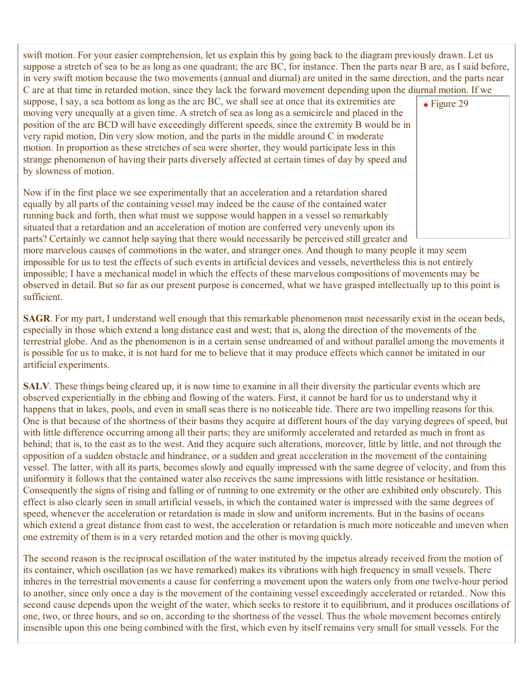swift motion. For your easier comprehension, let us explain this by going back to the diagram previously drawn. Let us suppose a stretch of sea to be as long as one quadrant; the arc BC, for instance. Then the parts near B are, as I said before, in very swift motion because the two movements (annual and diurnal) are united in the same direction, and the parts near C are at that time in retarded motion, since they lack the forward movement depending upon the diurnal motion. If we

suppose, I say, a sea bottom as long as the arc BC, we shall see at once that its extremities are moving very unequally at a given time. A stretch of sea as long as a semicircle and placed in the position of the arc BCD will have exceedingly different speeds, since the extremity B would be in very rapid motion, Din very slow motion, and the parts in the middle around C in moderate motion. In proportion as these stretches of sea were shorter, they would participate less in this strange phenomenon of having their parts diversely affected at certain times of day by speed and by slowness of motion.

Now if in the first place we see experimentally that an acceleration and a retardation shared equally by all parts of the containing vessel may indeed be the cause of the contained water running back and forth, then what must we suppose would happen in a vessel so remarkably situated that a retardation and an acceleration of motion are conferred very unevenly upon its parts? Certainly we cannot help saying that there would necessarily be perceived still greater and

more marvelous causes of commotions in the water, and stranger ones. And though to many people it may seem impossible for us to test the effects of such events in artificial devices and vessels, nevertheless this is not entirely impossible; I have a mechanical model in which the effects of these marvelous compositions of movements may be observed in detail. But so far as our present purpose is concerned, what we have grasped intellectually up to this point is sufficient.

SAGR. For my part, I understand well enough that this remarkable phenomenon must necessarily exist in the ocean beds, especially in those which extend a long distance east and west; that is, along the direction of the movements of the terrestrial globe. And as the phenomenon is in a certain sense undreamed of and without parallel among the movements it is possible for us to make, it is not hard for me to believe that it may produce effects which cannot be imitated in our artificial experiments.

SALV. These things being cleared up, it is now time to examine in all their diversity the particular events which are observed experientially in the ebbing and flowing of the waters. First, it cannot be hard for us to understand why it happens that in lakes, pools, and even in small seas there is no noticeable tide. There are two impelling reasons for this. One is that because of the shortness of their basins they acquire at different hours of the day varying degrees of speed, but with little difference occurring among all their parts; they are uniformly accelerated and retarded as much in front as behind; that is, to the east as to the west. And they acquire such alterations, moreover, little by little, and not through the opposition of a sudden obstacle and hindrance, or a sudden and great acceleration in the movement of the containing vessel. The latter, with all its parts, becomes slowly and equally impressed with the same degree of velocity, and from this uniformity it follows that the contained water also receives the same impressions with little resistance or hesitation. Consequently the signs of rising and falling or of running to one extremity or the other are exhibited only obscurely. This effect is also clearly seen in small artificial vessels, in which the contained water is impressed with the same degrees of speed, whenever the acceleration or retardation is made in slow and uniform increments. But in the basins of oceans which extend a great distance from east to west, the acceleration or retardation is much more noticeable and uneven when one extremity of them is in a very retarded motion and the other is moving quickly.

The second reason is the reciprocal oscillation of the water instituted by the impetus already received from the motion of its container, which oscillation (as we have remarked) makes its vibrations with high frequency in small vessels. There inheres in the terrestrial movements a cause for conferring a movement upon the waters only from one twelve-hour period to another, since only once a day is the movement of the containing vessel exceedingly accelerated or retarded.. Now this second cause depends upon the weight of the water, which seeks to restore it to equilibrium, and it produces oscillations of one, two, or three hours, and so on, according to the shortness of the vessel. Thus the whole movement becomes entirely insensible upon this one being combined with the first, which even by itself remains very small for small vessels. For the

• Figure 29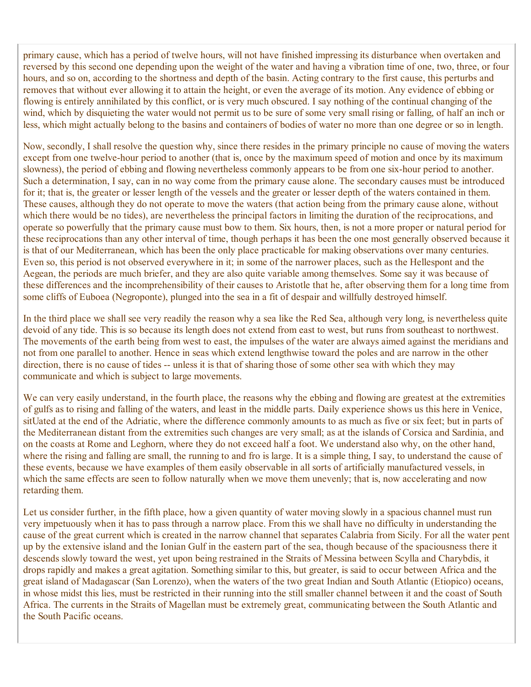primary cause, which has a period of twelve hours, will not have finished impressing its disturbance when overtaken and reversed by this second one depending upon the weight of the water and having a vibration time of one, two, three, or four hours, and so on, according to the shortness and depth of the basin. Acting contrary to the first cause, this perturbs and removes that without ever allowing it to attain the height, or even the average of its motion. Any evidence of ebbing or flowing is entirely annihilated by this conflict, or is very much obscured. I say nothing of the continual changing of the wind, which by disquieting the water would not permit us to be sure of some very small rising or falling, of half an inch or less, which might actually belong to the basins and containers of bodies of water no more than one degree or so in length.

Now, secondly, I shall resolve the question why, since there resides in the primary principle no cause of moving the waters except from one twelve-hour period to another (that is, once by the maximum speed of motion and once by its maximum slowness), the period of ebbing and flowing nevertheless commonly appears to be from one six-hour period to another. Such a determination, I say, can in no way come from the primary cause alone. The secondary causes must be introduced for it; that is, the greater or lesser length of the vessels and the greater or lesser depth of the waters contained in them. These causes, although they do not operate to move the waters (that action being from the primary cause alone, without which there would be no tides), are nevertheless the principal factors in limiting the duration of the reciprocations, and operate so powerfully that the primary cause must bow to them. Six hours, then, is not a more proper or natural period for these reciprocations than any other interval of time, though perhaps it has been the one most generally observed because it is that of our Mediterranean, which has been the only place practicable for making observations over many centuries. Even so, this period is not observed everywhere in it; in some of the narrower places, such as the Hellespont and the Aegean, the periods are much briefer, and they are also quite variable among themselves. Some say it was because of these differences and the incomprehensibility of their causes to Aristotle that he, after observing them for a long time from some cliffs of Euboea (Negroponte), plunged into the sea in a fit of despair and willfully destroyed himself.

In the third place we shall see very readily the reason why a sea like the Red Sea, although very long, is nevertheless quite devoid of any tide. This is so because its length does not extend from east to west, but runs from southeast to northwest. The movements of the earth being from west to east, the impulses of the water are always aimed against the meridians and not from one parallel to another. Hence in seas which extend lengthwise toward the poles and are narrow in the other direction, there is no cause of tides -- unless it is that of sharing those of some other sea with which they may communicate and which is subject to large movements.

We can very easily understand, in the fourth place, the reasons why the ebbing and flowing are greatest at the extremities of gulfs as to rising and falling of the waters, and least in the middle parts. Daily experience shows us this here in Venice, sitUated at the end of the Adriatic, where the difference commonly amounts to as much as five or six feet; but in parts of the Mediterranean distant from the extremities such changes are very small; as at the islands of Corsica and Sardinia, and on the coasts at Rome and Leghorn, where they do not exceed half a foot. We understand also why, on the other hand, where the rising and falling are small, the running to and fro is large. It is a simple thing, I say, to understand the cause of these events, because we have examples of them easily observable in all sorts of artificially manufactured vessels, in which the same effects are seen to follow naturally when we move them unevenly; that is, now accelerating and now retarding them.

Let us consider further, in the fifth place, how a given quantity of water moving slowly in a spacious channel must run very impetuously when it has to pass through a narrow place. From this we shall have no difficulty in understanding the cause of the great current which is created in the narrow channel that separates Calabria from Sicily. For all the water pent up by the extensive island and the Ionian Gulf in the eastern part of the sea, though because of the spaciousness there it descends slowly toward the west, yet upon being restrained in the Straits of Messina between Scylla and Charybdis, it drops rapidly and makes a great agitation. Something similar to this, but greater, is said to occur between Africa and the great island of Madagascar (San Lorenzo), when the waters of the two great Indian and South Atlantic (Etiopico) oceans, in whose midst this lies, must be restricted in their running into the still smaller channel between it and the coast of South Africa. The currents in the Straits of Magellan must be extremely great, communicating between the South Atlantic and the South Pacific oceans.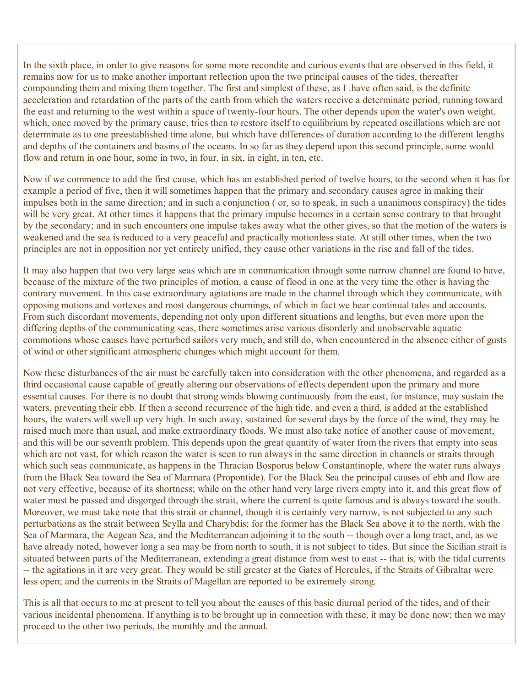In the sixth place, in order to give reasons for some more recondite and curious events that are observed in this field, it remains now for us to make another important reflection upon the two principal causes of the tides, thereafter compounding them and mixing them together. The first and simplest of these, as I .have often said, is the definite acceleration and retardation of the parts of the earth from which the waters receive a determinate period, running toward the east and returning to the west within a space of twenty-four hours. The other depends upon the water's own weight, which, once moved by the primary cause, tries then to restore itself to equilibrium by repeated oscillations which are not determinate as to one preestablished time alone, but which have differences of duration according to the different lengths and depths of the containers and basins of the oceans. In so far as they depend upon this second principle, some would flow and return in one hour, some in two, in four, in six, in eight, in ten, etc.

Now if we commence to add the first cause, which has an established period of twelve hours, to the second when it has for example a period of five, then it will sometimes happen that the primary and secondary causes agree in making their impulses both in the same direction; and in such a conjunction ( or, so to speak, in such a unanimous conspiracy) the tides will be very great. At other times it happens that the primary impulse becomes in a certain sense contrary to that brought by the secondary; and in such encounters one impulse takes away what the other gives, so that the motion of the waters is weakened and the sea is reduced to a very peaceful and practically motionless state. At still other times, when the two principles are not in opposition nor yet entirely unified, they cause other variations in the rise and fall of the tides.

It may also happen that two very large seas which are in communication through some narrow channel are found to have, because of the mixture of the two principles of motion, a cause of flood in one at the very time the other is having the contrary movement. In this case extraordinary agitations are made in the channel through which they communicate, with opposing motions and vortexes and most dangerous churnings, of which in fact we hear continual tales and accounts. From such discordant movements, depending not only upon different situations and lengths, but even more upon the differing depths of the communicating seas, there sometimes arise various disorderly and unobservable aquatic commotions whose causes have perturbed sailors very much, and still do, when encountered in the absence either of gusts of wind or other significant atmospheric changes which might account for them.

Now these disturbances of the air must be carefully taken into consideration with the other phenomena, and regarded as a third occasional cause capable of greatly altering our observations of effects dependent upon the primary and more essential causes. For there is no doubt that strong winds blowing continuously from the east, for instance, may sustain the waters, preventing their ebb. If then a second recurrence of the high tide, and even a third, is added at the established hours, the waters will swell up very high. In such away, sustained for several days by the force of the wind, they may be raised much more than usual, and make extraordinary floods. We must also take notice of another cause of movement, and this will be our seventh problem. This depends upon the great quantity of water from the rivers that empty into seas which are not vast, for which reason the water is seen to run always in the same direction in channels or straits through which such seas communicate, as happens in the Thracian Bosporus below Constantinople, where the water runs always from the Black Sea toward the Sea of Marmara (Propontide). For the Black Sea the principal causes of ebb and flow are not very effective, because of its shortness; while on the other hand very large rivers empty into it, and this great flow of water must be passed and disgorged through the strait, where the current is quite famous and is always toward the south. Moreover, we must take note that this strait or channel, though it is certainly very narrow, is not subjected to any such perturbations as the strait between Scylla and Charybdis; for the former has the Black Sea above it to the north, with the Sea of Marmara, the Aegean Sea, and the Mediterranean adjoining it to the south -- though over a long tract, and, as we have already noted, however long a sea may be from north to south, it is not subject to tides. But since the Sicilian strait is situated between parts of the Mediterranean, extending a great distance from west to east -- that is, with the tidal currents -- the agitations in it are very great. They would be still greater at the Gates of Hercules, if the Straits of Gibraltar were less open; and the currents in the Straits of Magellan are reported to be extremely strong.

This is all that occurs to me at present to tell you about the causes of this basic diurnal period of the tides, and of their various incidental phenomena. If anything is to be brought up in connection with these, it may be done now; then we may proceed to the other two periods, the monthly and the annual.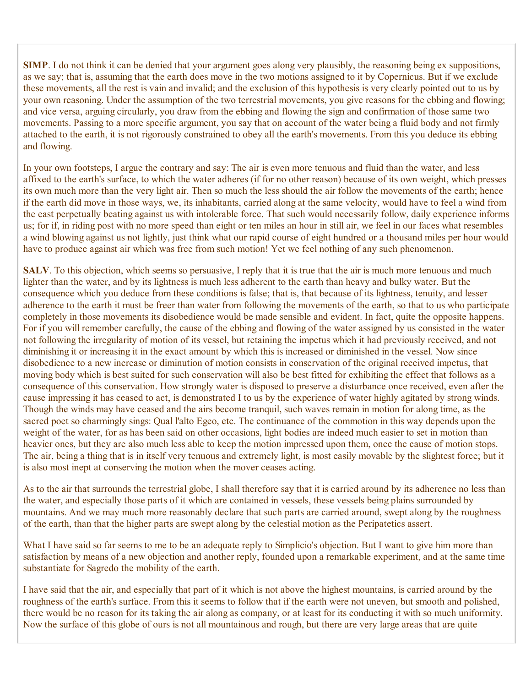SIMP. I do not think it can be denied that your argument goes along very plausibly, the reasoning being ex suppositions, as we say; that is, assuming that the earth does move in the two motions assigned to it by Copernicus. But if we exclude these movements, all the rest is vain and invalid; and the exclusion of this hypothesis is very clearly pointed out to us by your own reasoning. Under the assumption of the two terrestrial movements, you give reasons for the ebbing and flowing; and vice versa, arguing circularly, you draw from the ebbing and flowing the sign and confirmation of those same two movements. Passing to a more specific argument, you say that on account of the water being a fluid body and not firmly attached to the earth, it is not rigorously constrained to obey all the earth's movements. From this you deduce its ebbing and flowing.

In your own footsteps, I argue the contrary and say: The air is even more tenuous and fluid than the water, and less affixed to the earth's surface, to which the water adheres (if for no other reason) because of its own weight, which presses its own much more than the very light air. Then so much the less should the air follow the movements of the earth; hence if the earth did move in those ways, we, its inhabitants, carried along at the same velocity, would have to feel a wind from the east perpetually beating against us with intolerable force. That such would necessarily follow, daily experience informs us; for if, in riding post with no more speed than eight or ten miles an hour in still air, we feel in our faces what resembles a wind blowing against us not lightly, just think what our rapid course of eight hundred or a thousand miles per hour would have to produce against air which was free from such motion! Yet we feel nothing of any such phenomenon.

SALV. To this objection, which seems so persuasive, I reply that it is true that the air is much more tenuous and much lighter than the water, and by its lightness is much less adherent to the earth than heavy and bulky water. But the consequence which you deduce from these conditions is false; that is, that because of its lightness, tenuity, and lesser adherence to the earth it must be freer than water from following the movements of the earth, so that to us who participate completely in those movements its disobedience would be made sensible and evident. In fact, quite the opposite happens. For if you will remember carefully, the cause of the ebbing and flowing of the water assigned by us consisted in the water not following the irregularity of motion of its vessel, but retaining the impetus which it had previously received, and not diminishing it or increasing it in the exact amount by which this is increased or diminished in the vessel. Now since disobedience to a new increase or diminution of motion consists in conservation of the original received impetus, that moving body which is best suited for such conservation will also be best fitted for exhibiting the effect that follows as a consequence of this conservation. How strongly water is disposed to preserve a disturbance once received, even after the cause impressing it has ceased to act, is demonstrated I to us by the experience of water highly agitated by strong winds. Though the winds may have ceased and the airs become tranquil, such waves remain in motion for along time, as the sacred poet so charmingly sings: Qual l'alto Egeo, etc. The continuance of the commotion in this way depends upon the weight of the water, for as has been said on other occasions, light bodies are indeed much easier to set in motion than heavier ones, but they are also much less able to keep the motion impressed upon them, once the cause of motion stops. The air, being a thing that is in itself very tenuous and extremely light, is most easily movable by the slightest force; but it is also most inept at conserving the motion when the mover ceases acting.

As to the air that surrounds the terrestrial globe, I shall therefore say that it is carried around by its adherence no less than the water, and especially those parts of it which are contained in vessels, these vessels being plains surrounded by mountains. And we may much more reasonably declare that such parts are carried around, swept along by the roughness of the earth, than that the higher parts are swept along by the celestial motion as the Peripatetics assert.

What I have said so far seems to me to be an adequate reply to Simplicio's objection. But I want to give him more than satisfaction by means of a new objection and another reply, founded upon a remarkable experiment, and at the same time substantiate for Sagredo the mobility of the earth.

I have said that the air, and especially that part of it which is not above the highest mountains, is carried around by the roughness of the earth's surface. From this it seems to follow that if the earth were not uneven, but smooth and polished, there would be no reason for its taking the air along as company, or at least for its conducting it with so much uniformity. Now the surface of this globe of ours is not all mountainous and rough, but there are very large areas that are quite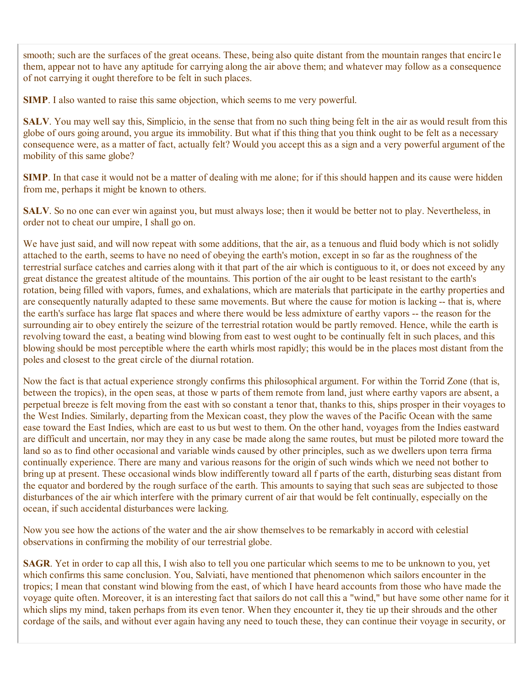smooth; such are the surfaces of the great oceans. These, being also quite distant from the mountain ranges that encirc1e them, appear not to have any aptitude for carrying along the air above them; and whatever may follow as a consequence of not carrying it ought therefore to be felt in such places.

SIMP. I also wanted to raise this same objection, which seems to me very powerful.

SALV. You may well say this, Simplicio, in the sense that from no such thing being felt in the air as would result from this globe of ours going around, you argue its immobility. But what if this thing that you think ought to be felt as a necessary consequence were, as a matter of fact, actually felt? Would you accept this as a sign and a very powerful argument of the mobility of this same globe?

SIMP. In that case it would not be a matter of dealing with me alone; for if this should happen and its cause were hidden from me, perhaps it might be known to others.

SALV. So no one can ever win against you, but must always lose; then it would be better not to play. Nevertheless, in order not to cheat our umpire, I shall go on.

We have just said, and will now repeat with some additions, that the air, as a tenuous and fluid body which is not solidly attached to the earth, seems to have no need of obeying the earth's motion, except in so far as the roughness of the terrestrial surface catches and carries along with it that part of the air which is contiguous to it, or does not exceed by any great distance the greatest altitude of the mountains. This portion of the air ought to be least resistant to the earth's rotation, being filled with vapors, fumes, and exhalations, which are materials that participate in the earthy properties and are consequently naturally adapted to these same movements. But where the cause for motion is lacking -- that is, where the earth's surface has large flat spaces and where there would be less admixture of earthy vapors -- the reason for the surrounding air to obey entirely the seizure of the terrestrial rotation would be partly removed. Hence, while the earth is revolving toward the east, a beating wind blowing from east to west ought to be continually felt in such places, and this blowing should be most perceptible where the earth whirls most rapidly; this would be in the places most distant from the poles and closest to the great circle of the diurnal rotation.

Now the fact is that actual experience strongly confirms this philosophical argument. For within the Torrid Zone (that is, between the tropics), in the open seas, at those w parts of them remote from land, just where earthy vapors are absent, a perpetual breeze is felt moving from the east with so constant a tenor that, thanks to this, ships prosper in their voyages to the West Indies. Similarly, departing from the Mexican coast, they plow the waves of the Pacific Ocean with the same ease toward the East Indies, which are east to us but west to them. On the other hand, voyages from the Indies eastward are difficult and uncertain, nor may they in any case be made along the same routes, but must be piloted more toward the land so as to find other occasional and variable winds caused by other principles, such as we dwellers upon terra firma continually experience. There are many and various reasons for the origin of such winds which we need not bother to bring up at present. These occasional winds blow indifferently toward all f parts of the earth, disturbing seas distant from the equator and bordered by the rough surface of the earth. This amounts to saying that such seas are subjected to those disturbances of the air which interfere with the primary current of air that would be felt continually, especially on the ocean, if such accidental disturbances were lacking.

Now you see how the actions of the water and the air show themselves to be remarkably in accord with celestial observations in confirming the mobility of our terrestrial globe.

SAGR. Yet in order to cap all this, I wish also to tell you one particular which seems to me to be unknown to you, yet which confirms this same conclusion. You, Salviati, have mentioned that phenomenon which sailors encounter in the tropics; I mean that constant wind blowing from the east, of which I have heard accounts from those who have made the voyage quite often. Moreover, it is an interesting fact that sailors do not call this a "wind," but have some other name for it which slips my mind, taken perhaps from its even tenor. When they encounter it, they tie up their shrouds and the other cordage of the sails, and without ever again having any need to touch these, they can continue their voyage in security, or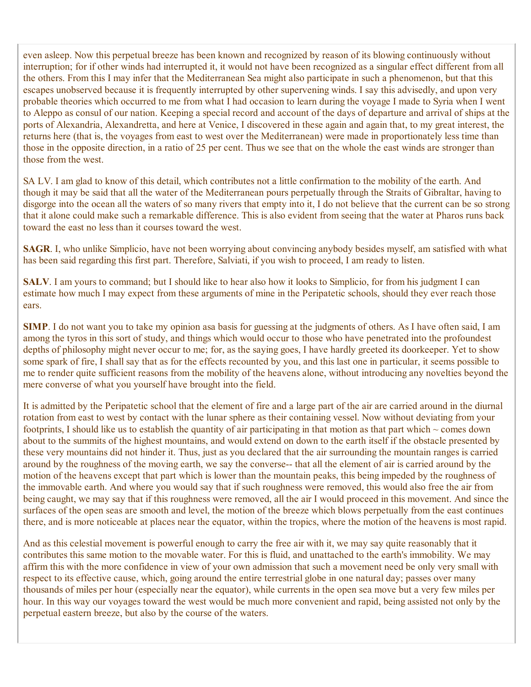even asleep. Now this perpetual breeze has been known and recognized by reason of its blowing continuously without interruption; for if other winds had interrupted it, it would not have been recognized as a singular effect different from all the others. From this I may infer that the Mediterranean Sea might also participate in such a phenomenon, but that this escapes unobserved because it is frequently interrupted by other supervening winds. I say this advisedly, and upon very probable theories which occurred to me from what I had occasion to learn during the voyage I made to Syria when I went to Aleppo as consul of our nation. Keeping a special record and account of the days of departure and arrival of ships at the ports of Alexandria, Alexandretta, and here at Venice, I discovered in these again and again that, to my great interest, the returns here (that is, the voyages from east to west over the Mediterranean) were made in proportionately less time than those in the opposite direction, in a ratio of 25 per cent. Thus we see that on the whole the east winds are stronger than those from the west.

SA LV. I am glad to know of this detail, which contributes not a little confirmation to the mobility of the earth. And though it may be said that all the water of the Mediterranean pours perpetually through the Straits of Gibraltar, having to disgorge into the ocean all the waters of so many rivers that empty into it, I do not believe that the current can be so strong that it alone could make such a remarkable difference. This is also evident from seeing that the water at Pharos runs back toward the east no less than it courses toward the west.

SAGR. I, who unlike Simplicio, have not been worrying about convincing anybody besides myself, am satisfied with what has been said regarding this first part. Therefore, Salviati, if you wish to proceed, I am ready to listen.

SALV. I am yours to command; but I should like to hear also how it looks to Simplicio, for from his judgment I can estimate how much I may expect from these arguments of mine in the Peripatetic schools, should they ever reach those ears.

SIMP. I do not want you to take my opinion asa basis for guessing at the judgments of others. As I have often said, I am among the tyros in this sort of study, and things which would occur to those who have penetrated into the profoundest depths of philosophy might never occur to me; for, as the saying goes, I have hardly greeted its doorkeeper. Yet to show some spark of fire, I shall say that as for the effects recounted by you, and this last one in particular, it seems possible to me to render quite sufficient reasons from the mobility of the heavens alone, without introducing any novelties beyond the mere converse of what you yourself have brought into the field.

It is admitted by the Peripatetic school that the element of fire and a large part of the air are carried around in the diurnal rotation from east to west by contact with the lunar sphere as their containing vessel. Now without deviating from your footprints, I should like us to establish the quantity of air participating in that motion as that part which  $\sim$  comes down about to the summits of the highest mountains, and would extend on down to the earth itself if the obstacle presented by these very mountains did not hinder it. Thus, just as you declared that the air surrounding the mountain ranges is carried around by the roughness of the moving earth, we say the converse-- that all the element of air is carried around by the motion of the heavens except that part which is lower than the mountain peaks, this being impeded by the roughness of the immovable earth. And where you would say that if such roughness were removed, this would also free the air from being caught, we may say that if this roughness were removed, all the air I would proceed in this movement. And since the surfaces of the open seas are smooth and level, the motion of the breeze which blows perpetually from the east continues there, and is more noticeable at places near the equator, within the tropics, where the motion of the heavens is most rapid.

And as this celestial movement is powerful enough to carry the free air with it, we may say quite reasonably that it contributes this same motion to the movable water. For this is fluid, and unattached to the earth's immobility. We may affirm this with the more confidence in view of your own admission that such a movement need be only very small with respect to its effective cause, which, going around the entire terrestrial globe in one natural day; passes over many thousands of miles per hour (especially near the equator), while currents in the open sea move but a very few miles per hour. In this way our voyages toward the west would be much more convenient and rapid, being assisted not only by the perpetual eastern breeze, but also by the course of the waters.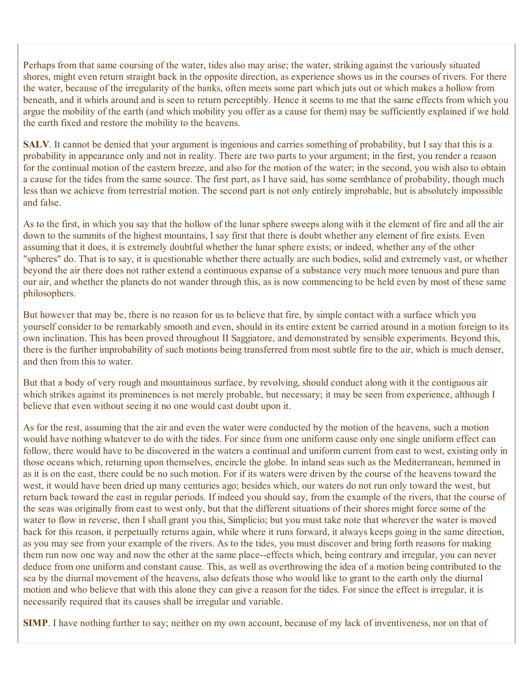Perhaps from that same coursing of the water, tides also may arise; the water, striking against the variously situated shores, might even return straight back in the opposite direction, as experience shows us in the courses of rivers. For there the water, because of the irregularity of the banks, often meets some part which juts out or which makes a hollow from beneath, and it whirls around and is seen to return perceptibly. Hence it seems to me that the same effects from which you argue the mobility of the earth (and which mobility you offer as a cause for them) may be sufficiently explained if we hold the earth fixed and restore the mobility to the heavens.

SALV. It cannot be denied that your argument is ingenious and carries something of probability, but I say that this is a probability in appearance only and not in reality. There are two parts to your argument; in the first, you render a reason for the continual motion of the eastern breeze, and also for the motion of the water; in the second, you wish also to obtain a cause for the tides from the same source. The first part, as I have said, has some semblance of probability, though much less than we achieve from terrestrial motion. The second part is not only entirely improbable, but is absolutely impossible and false.

As to the first, in which you say that the hollow of the lunar sphere sweeps along with it the element of fire and all the air down to the summits of the highest mountains, I say first that there is doubt whether any element of fire exists. Even assuming that it does, it is extremely doubtful whether the lunar sphere exists; or indeed, whether any of the other "spheres" do. That is to say, it is questionable whether there actually are such bodies, solid and extremely vast, or whether beyond the air there does not rather extend a continuous expanse of a substance very much more tenuous and pure than our air, and whether the planets do not wander through this, as is now commencing to be held even by most of these same philosophers.

But however that may be, there is no reason for us to believe that fire, by simple contact with a surface which you yourself consider to be remarkably smooth and even, should in its entire extent be carried around in a motion foreign to its own inclination. This has been proved throughout II Saggiatore, and demonstrated by sensible experiments. Beyond this, there is the further improbability of such motions being transferred from most subtle fire to the air, which is much denser, and then from this to water.

But that a body of very rough and mountainous surface, by revolving, should conduct along with it the contiguous air which strikes against its prominences is not merely probable, but necessary; it may be seen from experience, although I believe that even without seeing it no one would cast doubt upon it.

As for the rest, assuming that the air and even the water were conducted by the motion of the heavens, such a motion would have nothing whatever to do with the tides. For since from one uniform cause only one single uniform effect can follow, there would have to be discovered in the waters a continual and uniform current from east to west, existing only in those oceans which, returning upon themselves, encircle the globe. In inland seas such as the Mediterranean, hemmed in as it is on the east, there could be no such motion. For if its waters were driven by the course of the heavens toward the west, it would have been dried up many centuries ago; besides which, our waters do not run only toward the west, but return back toward the east in regular periods. If indeed you should say, from the example of the rivers, that the course of the seas was originally from east to west only, but that the different situations of their shores might force some of the water to flow in reverse, then I shall grant you this, Simplicio; but you must take note that wherever the water is moved back for this reason, it perpetually returns again, while where it runs forward, it always keeps going in the same direction, as you may see from your example of the rivers. As to the tides, you must discover and bring forth reasons for making them run now one way and now the other at the same place--effects which, being contrary and irregular, you can never deduce from one uniform and constant cause. This, as well as overthrowing the idea of a motion being contributed to the sea by the diurnal movement of the heavens, also defeats those who would like to grant to the earth only the diurnal motion and who believe that with this alone they can give a reason for the tides. For since the effect is irregular, it is necessarily required that its causes shall be irregular and variable.

SIMP. I have nothing further to say; neither on my own account, because of my lack of inventiveness, nor on that of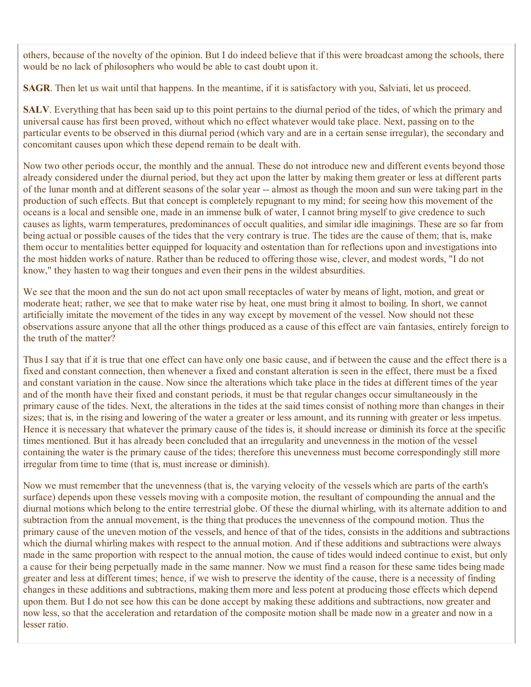others, because of the novelty of the opinion. But I do indeed believe that if this were broadcast among the schools, there would be no lack of philosophers who would be able to cast doubt upon it.

SAGR. Then let us wait until that happens. In the meantime, if it is satisfactory with you, Salviati, let us proceed.

SALV. Everything that has been said up to this point pertains to the diurnal period of the tides, of which the primary and universal cause has first been proved, without which no effect whatever would take place. Next, passing on to the particular events to be observed in this diurnal period (which vary and are in a certain sense irregular), the secondary and concomitant causes upon which these depend remain to be dealt with.

Now two other periods occur, the monthly and the annual. These do not introduce new and different events beyond those already considered under the diurnal period, but they act upon the latter by making them greater or less at different parts of the lunar month and at different seasons of the solar year -- almost as though the moon and sun were taking part in the production of such effects. But that concept is completely repugnant to my mind; for seeing how this movement of the oceans is a local and sensible one, made in an immense bulk of water, I cannot bring myself to give credence to such causes as lights, warm temperatures, predominances of occult qualities, and similar idle imaginings. These are so far from being actual or possible causes of the tides that the very contrary is true. The tides are the cause of them; that is, make them occur to mentalities better equipped for loquacity and ostentation than for reflections upon and investigations into the most hidden works of nature. Rather than be reduced to offering those wise, clever, and modest words, "I do not know," they hasten to wag their tongues and even their pens in the wildest absurdities.

We see that the moon and the sun do not act upon small receptacles of water by means of light, motion, and great or moderate heat; rather, we see that to make water rise by heat, one must bring it almost to boiling. In short, we cannot artificially imitate the movement of the tides in any way except by movement of the vessel. Now should not these observations assure anyone that all the other things produced as a cause of this effect are vain fantasies, entirely foreign to the truth of the matter?

Thus I say that if it is true that one effect can have only one basic cause, and if between the cause and the effect there is a fixed and constant connection, then whenever a fixed and constant alteration is seen in the effect, there must be a fixed and constant variation in the cause. Now since the alterations which take place in the tides at different times of the year and of the month have their fixed and constant periods, it must be that regular changes occur simultaneously in the primary cause of the tides. Next, the alterations in the tides at the said times consist of nothing more than changes in their sizes; that is, in the rising and lowering of the water a greater or less amount, and its running with greater or less impetus. Hence it is necessary that whatever the primary cause of the tides is, it should increase or diminish its force at the specific times mentioned. But it has already been concluded that an irregularity and unevenness in the motion of the vessel containing the water is the primary cause of the tides; therefore this unevenness must become correspondingly still more irregular from time to time (that is, must increase or diminish).

Now we must remember that the unevenness (that is, the varying velocity of the vessels which are parts of the earth's surface) depends upon these vessels moving with a composite motion, the resultant of compounding the annual and the diurnal motions which belong to the entire terrestrial globe. Of these the diurnal whirling, with its alternate addition to and subtraction from the annual movement, is the thing that produces the unevenness of the compound motion. Thus the primary cause of the uneven motion of the vessels, and hence of that of the tides, consists in the additions and subtractions which the diurnal whirling makes with respect to the annual motion. And if these additions and subtractions were always made in the same proportion with respect to the annual motion, the cause of tides would indeed continue to exist, but only a cause for their being perpetually made in the same manner. Now we must find a reason for these same tides being made greater and less at different times; hence, if we wish to preserve the identity of the cause, there is a necessity of finding changes in these additions and subtractions, making them more and less potent at producing those effects which depend upon them. But I do not see how this can be done accept by making these additions and subtractions, now greater and now less, so that the acceleration and retardation of the composite motion shall be made now in a greater and now in a lesser ratio.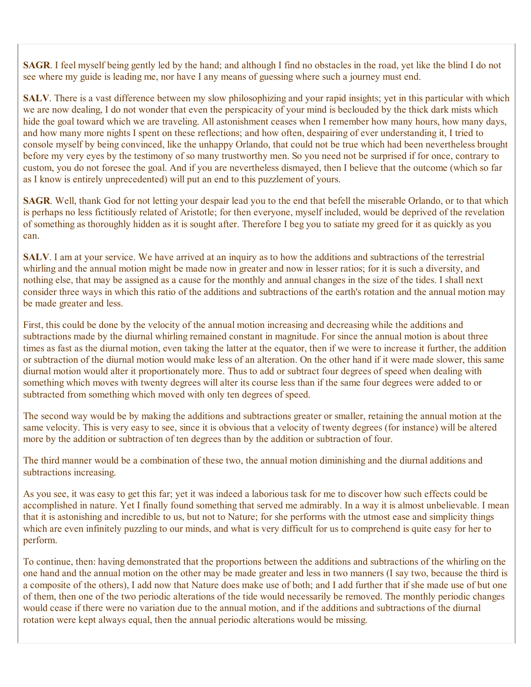SAGR. I feel myself being gently led by the hand; and although I find no obstacles in the road, yet like the blind I do not see where my guide is leading me, nor have I any means of guessing where such a journey must end.

SALV. There is a vast difference between my slow philosophizing and your rapid insights; yet in this particular with which we are now dealing, I do not wonder that even the perspicacity of your mind is beclouded by the thick dark mists which hide the goal toward which we are traveling. All astonishment ceases when I remember how many hours, how many days, and how many more nights I spent on these reflections; and how often, despairing of ever understanding it, I tried to console myself by being convinced, like the unhappy Orlando, that could not be true which had been nevertheless brought before my very eyes by the testimony of so many trustworthy men. So you need not be surprised if for once, contrary to custom, you do not foresee the goal. And if you are nevertheless dismayed, then I believe that the outcome (which so far as I know is entirely unprecedented) will put an end to this puzzlement of yours.

SAGR. Well, thank God for not letting your despair lead you to the end that befell the miserable Orlando, or to that which is perhaps no less fictitiously related of Aristotle; for then everyone, myself included, would be deprived of the revelation of something as thoroughly hidden as it is sought after. Therefore I beg you to satiate my greed for it as quickly as you can.

SALV. I am at your service. We have arrived at an inquiry as to how the additions and subtractions of the terrestrial whirling and the annual motion might be made now in greater and now in lesser ratios; for it is such a diversity, and nothing else, that may be assigned as a cause for the monthly and annual changes in the size of the tides. I shall next consider three ways in which this ratio of the additions and subtractions of the earth's rotation and the annual motion may be made greater and less.

First, this could be done by the velocity of the annual motion increasing and decreasing while the additions and subtractions made by the diurnal whirling remained constant in magnitude. For since the annual motion is about three times as fast as the diurnal motion, even taking the latter at the equator, then if we were to increase it further, the addition or subtraction of the diurnal motion would make less of an alteration. On the other hand if it were made slower, this same diurnal motion would alter it proportionately more. Thus to add or subtract four degrees of speed when dealing with something which moves with twenty degrees will alter its course less than if the same four degrees were added to or subtracted from something which moved with only ten degrees of speed.

The second way would be by making the additions and subtractions greater or smaller, retaining the annual motion at the same velocity. This is very easy to see, since it is obvious that a velocity of twenty degrees (for instance) will be altered more by the addition or subtraction of ten degrees than by the addition or subtraction of four.

The third manner would be a combination of these two, the annual motion diminishing and the diurnal additions and subtractions increasing.

As you see, it was easy to get this far; yet it was indeed a laborious task for me to discover how such effects could be accomplished in nature. Yet I finally found something that served me admirably. In a way it is almost unbelievable. I mean that it is astonishing and incredible to us, but not to Nature; for she performs with the utmost ease and simplicity things which are even infinitely puzzling to our minds, and what is very difficult for us to comprehend is quite easy for her to perform.

To continue, then: having demonstrated that the proportions between the additions and subtractions of the whirling on the one hand and the annual motion on the other may be made greater and less in two manners (I say two, because the third is a composite of the others), I add now that Nature does make use of both; and I add further that if she made use of but one of them, then one of the two periodic alterations of the tide would necessarily be removed. The monthly periodic changes would cease if there were no variation due to the annual motion, and if the additions and subtractions of the diurnal rotation were kept always equal, then the annual periodic alterations would be missing.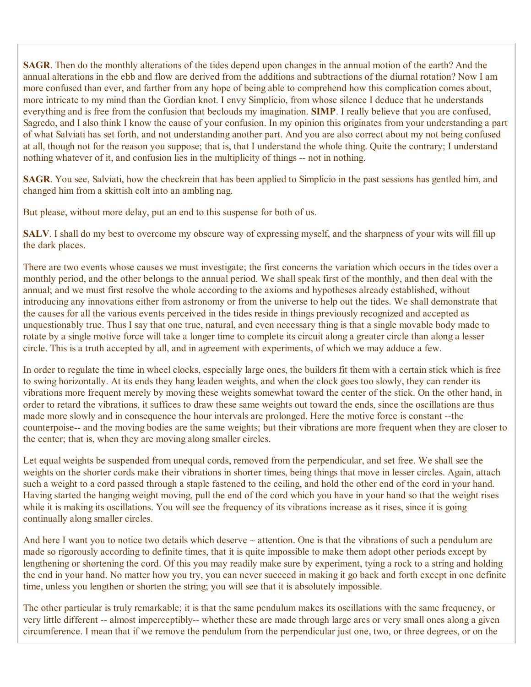SAGR. Then do the monthly alterations of the tides depend upon changes in the annual motion of the earth? And the annual alterations in the ebb and flow are derived from the additions and subtractions of the diurnal rotation? Now I am more confused than ever, and farther from any hope of being able to comprehend how this complication comes about, more intricate to my mind than the Gordian knot. I envy Simplicio, from whose silence I deduce that he understands everything and is free from the confusion that beclouds my imagination. **SIMP**. I really believe that you are confused, Sagredo, and I also think I know the cause of your confusion. In my opinion this originates from your understanding a part of what Salviati has set forth, and not understanding another part. And you are also correct about my not being confused at all, though not for the reason you suppose; that is, that I understand the whole thing. Quite the contrary; I understand nothing whatever of it, and confusion lies in the multiplicity of things -- not in nothing.

SAGR. You see, Salviati, how the checkrein that has been applied to Simplicio in the past sessions has gentled him, and changed him from a skittish colt into an ambling nag.

But please, without more delay, put an end to this suspense for both of us.

SALV. I shall do my best to overcome my obscure way of expressing myself, and the sharpness of your wits will fill up the dark places.

There are two events whose causes we must investigate; the first concerns the variation which occurs in the tides over a monthly period, and the other belongs to the annual period. We shall speak first of the monthly, and then deal with the annual; and we must first resolve the whole according to the axioms and hypotheses already established, without introducing any innovations either from astronomy or from the universe to help out the tides. We shall demonstrate that the causes for all the various events perceived in the tides reside in things previously recognized and accepted as unquestionably true. Thus I say that one true, natural, and even necessary thing is that a single movable body made to rotate by a single motive force will take a longer time to complete its circuit along a greater circle than along a lesser circle. This is a truth accepted by all, and in agreement with experiments, of which we may adduce a few.

In order to regulate the time in wheel clocks, especially large ones, the builders fit them with a certain stick which is free to swing horizontally. At its ends they hang leaden weights, and when the clock goes too slowly, they can render its vibrations more frequent merely by moving these weights somewhat toward the center of the stick. On the other hand, in order to retard the vibrations, it suffices to draw these same weights out toward the ends, since the oscillations are thus made more slowly and in consequence the hour intervals are prolonged. Here the motive force is constant --the counterpoise-- and the moving bodies are the same weights; but their vibrations are more frequent when they are closer to the center; that is, when they are moving along smaller circles.

Let equal weights be suspended from unequal cords, removed from the perpendicular, and set free. We shall see the weights on the shorter cords make their vibrations in shorter times, being things that move in lesser circles. Again, attach such a weight to a cord passed through a staple fastened to the ceiling, and hold the other end of the cord in your hand. Having started the hanging weight moving, pull the end of the cord which you have in your hand so that the weight rises while it is making its oscillations. You will see the frequency of its vibrations increase as it rises, since it is going continually along smaller circles.

And here I want you to notice two details which deserve  $\sim$  attention. One is that the vibrations of such a pendulum are made so rigorously according to definite times, that it is quite impossible to make them adopt other periods except by lengthening or shortening the cord. Of this you may readily make sure by experiment, tying a rock to a string and holding the end in your hand. No matter how you try, you can never succeed in making it go back and forth except in one definite time, unless you lengthen or shorten the string; you will see that it is absolutely impossible.

The other particular is truly remarkable; it is that the same pendulum makes its oscillations with the same frequency, or very little different -- almost imperceptibly-- whether these are made through large arcs or very small ones along a given circumference. I mean that if we remove the pendulum from the perpendicular just one, two, or three degrees, or on the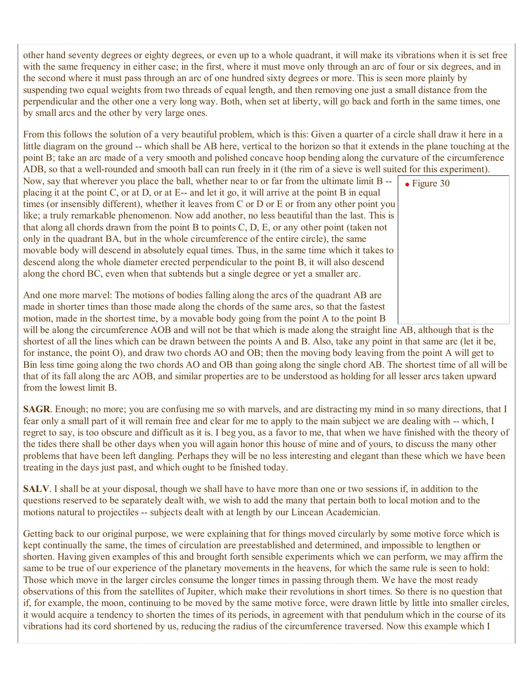other hand seventy degrees or eighty degrees, or even up to a whole quadrant, it will make its vibrations when it is set free with the same frequency in either case; in the first, where it must move only through an arc of four or six degrees, and in the second where it must pass through an arc of one hundred sixty degrees or more. This is seen more plainly by suspending two equal weights from two threads of equal length, and then removing one just a small distance from the perpendicular and the other one a very long way. Both, when set at liberty, will go back and forth in the same times, one by small arcs and the other by very large ones.

From this follows the solution of a very beautiful problem, which is this: Given a quarter of a circle shall draw it here in a little diagram on the ground -- which shall be AB here, vertical to the horizon so that it extends in the plane touching at the point B; take an arc made of a very smooth and polished concave hoop bending along the curvature of the circumference ADB, so that a well-rounded and smooth ball can run freely in it (the rim of a sieve is well suited for this experiment).

• Figure 30

Now, say that wherever you place the ball, whether near to or far from the ultimate limit B - placing it at the point C, or at D, or at E-- and let it go, it will arrive at the point B in equal times (or insensibly different), whether it leaves from C or D or E or from any other point you like; a truly remarkable phenomenon. Now add another, no less beautiful than the last. This is that along all chords drawn from the point B to points C, D, E, or any other point (taken not only in the quadrant BA, but in the whole circumference of the entire circle), the same movable body will descend in absolutely equal times. Thus, in the same time which it takes to descend along the whole diameter erected perpendicular to the point B, it will also descend along the chord BC, even when that subtends but a single degree or yet a smaller arc.

And one more marvel: The motions of bodies falling along the arcs of the quadrant AB are made in shorter times than those made along the chords of the same arcs, so that the fastest motion, made in the shortest time, by a movable body going from the point A to the point B

will be along the circumference AOB and will not be that which is made along the straight line AB, although that is the shortest of all the lines which can be drawn between the points A and B. Also, take any point in that same arc (let it be, for instance, the point O), and draw two chords AO and OB; then the moving body leaving from the point A will get to Bin less time going along the two chords AO and OB than going along the single chord AB. The shortest time of all will be that of its fall along the arc AOB, and similar properties are to be understood as holding for all lesser arcs taken upward from the lowest limit B.

SAGR. Enough; no more; you are confusing me so with marvels, and are distracting my mind in so many directions, that I fear only a small part of it will remain free and clear for me to apply to the main subject we are dealing with -- which, I regret to say, is too obscure and difficult as it is. I beg you, as a favor to me, that when we have finished with the theory of the tides there shall be other days when you will again honor this house of mine and of yours, to discuss the many other problems that have been left dangling. Perhaps they will be no less interesting and elegant than these which we have been treating in the days just past, and which ought to be finished today.

SALV. I shall be at your disposal, though we shall have to have more than one or two sessions if, in addition to the questions reserved to be separately dealt with, we wish to add the many that pertain both to local motion and to the motions natural to projectiles -- subjects dealt with at length by our Lincean Academician.

Getting back to our original purpose, we were explaining that for things moved circularly by some motive force which is kept continually the same, the times of circulation are preestablished and determined, and impossible to lengthen or shorten. Having given examples of this and brought forth sensible experiments which we can perform, we may affirm the same to be true of our experience of the planetary movements in the heavens, for which the same rule is seen to hold: Those which move in the larger circles consume the longer times in passing through them. We have the most ready observations of this from the satellites of Jupiter, which make their revolutions in short times. So there is no question that if, for example, the moon, continuing to be moved by the same motive force, were drawn little by little into smaller circles, it would acquire a tendency to shorten the times of its periods, in agreement with that pendulum which in the course of its vibrations had its cord shortened by us, reducing the radius of the circumference traversed. Now this example which I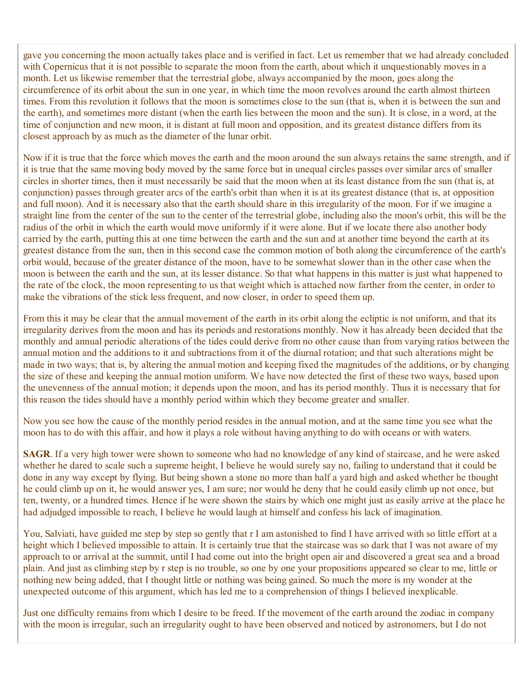gave you concerning the moon actually takes place and is verified in fact. Let us remember that we had already concluded with Copernicus that it is not possible to separate the moon from the earth, about which it unquestionably moves in a month. Let us likewise remember that the terrestrial globe, always accompanied by the moon, goes along the circumference of its orbit about the sun in one year, in which time the moon revolves around the earth almost thirteen times. From this revolution it follows that the moon is sometimes close to the sun (that is, when it is between the sun and the earth), and sometimes more distant (when the earth lies between the moon and the sun). It is close, in a word, at the time of conjunction and new moon, it is distant at full moon and opposition, and its greatest distance differs from its closest approach by as much as the diameter of the lunar orbit.

Now if it is true that the force which moves the earth and the moon around the sun always retains the same strength, and if it is true that the same moving body moved by the same force but in unequal circles passes over similar arcs of smaller circles in shorter times, then it must necessarily be said that the moon when at its least distance from the sun (that is, at conjunction) passes through greater arcs of the earth's orbit than when it is at its greatest distance (that is, at opposition and full moon). And it is necessary also that the earth should share in this irregularity of the moon. For if we imagine a straight line from the center of the sun to the center of the terrestrial globe, including also the moon's orbit, this will be the radius of the orbit in which the earth would move uniformly if it were alone. But if we locate there also another body carried by the earth, putting this at one time between the earth and the sun and at another time beyond the earth at its greatest distance from the sun, then in this second case the common motion of both along the circumference of the earth's orbit would, because of the greater distance of the moon, have to be somewhat slower than in the other case when the moon is between the earth and the sun, at its lesser distance. So that what happens in this matter is just what happened to the rate of the clock, the moon representing to us that weight which is attached now farther from the center, in order to make the vibrations of the stick less frequent, and now closer, in order to speed them up.

From this it may be clear that the annual movement of the earth in its orbit along the ecliptic is not uniform, and that its irregularity derives from the moon and has its periods and restorations monthly. Now it has already been decided that the monthly and annual periodic alterations of the tides could derive from no other cause than from varying ratios between the annual motion and the additions to it and subtractions from it of the diurnal rotation; and that such alterations might be made in two ways; that is, by altering the annual motion and keeping fixed the magnitudes of the additions, or by changing the size of these and keeping the annual motion uniform. We have now detected the first of these two ways, based upon the unevenness of the annual motion; it depends upon the moon, and has its period monthly. Thus it is necessary that for this reason the tides should have a monthly period within which they become greater and smaller.

Now you see how the cause of the monthly period resides in the annual motion, and at the same time you see what the moon has to do with this affair, and how it plays a role without having anything to do with oceans or with waters.

SAGR. If a very high tower were shown to someone who had no knowledge of any kind of staircase, and he were asked whether he dared to scale such a supreme height, I believe he would surely say no, failing to understand that it could be done in any way except by flying. But being shown a stone no more than half a yard high and asked whether he thought he could climb up on it, he would answer yes, I am sure; nor would he deny that he could easily climb up not once, but ten, twenty, or a hundred times. Hence if he were shown the stairs by which one might just as easily arrive at the place he had adjudged impossible to reach, I believe he would laugh at himself and confess his lack of imagination.

You, Salviati, have guided me step by step so gently that r I am astonished to find I have arrived with so little effort at a height which I believed impossible to attain. It is certainly true that the staircase was so dark that I was not aware of my approach to or arrival at the summit, until I had come out into the bright open air and discovered a great sea and a broad plain. And just as climbing step by r step is no trouble, so one by one your propositions appeared so clear to me, little or nothing new being added, that I thought little or nothing was being gained. So much the more is my wonder at the unexpected outcome of this argument, which has led me to a comprehension of things I believed inexplicable.

Just one difficulty remains from which I desire to be freed. If the movement of the earth around the zodiac in company with the moon is irregular, such an irregularity ought to have been observed and noticed by astronomers, but I do not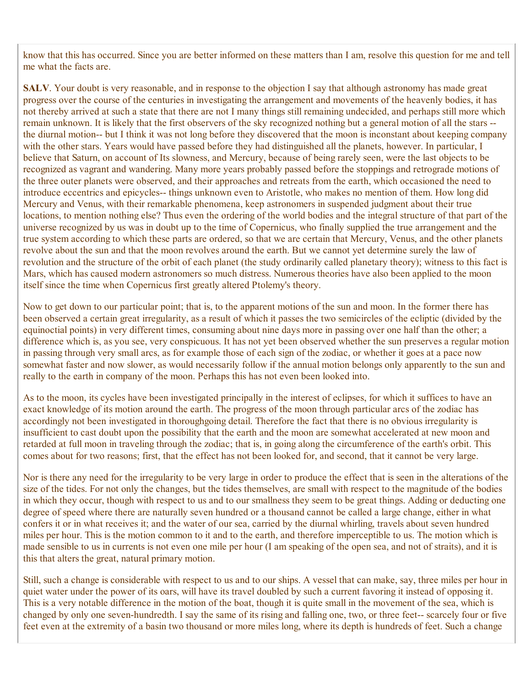know that this has occurred. Since you are better informed on these matters than I am, resolve this question for me and tell me what the facts are.

SALV. Your doubt is very reasonable, and in response to the objection I say that although astronomy has made great progress over the course of the centuries in investigating the arrangement and movements of the heavenly bodies, it has not thereby arrived at such a state that there are not I many things still remaining undecided, and perhaps still more which remain unknown. It is likely that the first observers of the sky recognized nothing but a general motion of all the stars - the diurnal motion-- but I think it was not long before they discovered that the moon is inconstant about keeping company with the other stars. Years would have passed before they had distinguished all the planets, however. In particular, I believe that Saturn, on account of Its slowness, and Mercury, because of being rarely seen, were the last objects to be recognized as vagrant and wandering. Many more years probably passed before the stoppings and retrograde motions of the three outer planets were observed, and their approaches and retreats from the earth, which occasioned the need to introduce eccentrics and epicycles-- things unknown even to Aristotle, who makes no mention of them. How long did Mercury and Venus, with their remarkable phenomena, keep astronomers in suspended judgment about their true locations, to mention nothing else? Thus even the ordering of the world bodies and the integral structure of that part of the universe recognized by us was in doubt up to the time of Copernicus, who finally supplied the true arrangement and the true system according to which these parts are ordered, so that we are certain that Mercury, Venus, and the other planets revolve about the sun and that the moon revolves around the earth. But we cannot yet determine surely the law of revolution and the structure of the orbit of each planet (the study ordinarily called planetary theory); witness to this fact is Mars, which has caused modern astronomers so much distress. Numerous theories have also been applied to the moon itself since the time when Copernicus first greatly altered Ptolemy's theory.

Now to get down to our particular point; that is, to the apparent motions of the sun and moon. In the former there has been observed a certain great irregularity, as a result of which it passes the two semicircles of the ecliptic (divided by the equinoctial points) in very different times, consuming about nine days more in passing over one half than the other; a difference which is, as you see, very conspicuous. It has not yet been observed whether the sun preserves a regular motion in passing through very small arcs, as for example those of each sign of the zodiac, or whether it goes at a pace now somewhat faster and now slower, as would necessarily follow if the annual motion belongs only apparently to the sun and really to the earth in company of the moon. Perhaps this has not even been looked into.

As to the moon, its cycles have been investigated principally in the interest of eclipses, for which it suffices to have an exact knowledge of its motion around the earth. The progress of the moon through particular arcs of the zodiac has accordingly not been investigated in thoroughgoing detail. Therefore the fact that there is no obvious irregularity is insufficient to cast doubt upon the possibility that the earth and the moon are somewhat accelerated at new moon and retarded at full moon in traveling through the zodiac; that is, in going along the circumference of the earth's orbit. This comes about for two reasons; first, that the effect has not been looked for, and second, that it cannot be very large.

Nor is there any need for the irregularity to be very large in order to produce the effect that is seen in the alterations of the size of the tides. For not only the changes, but the tides themselves, are small with respect to the magnitude of the bodies in which they occur, though with respect to us and to our smallness they seem to be great things. Adding or deducting one degree of speed where there are naturally seven hundred or a thousand cannot be called a large change, either in what confers it or in what receives it; and the water of our sea, carried by the diurnal whirling, travels about seven hundred miles per hour. This is the motion common to it and to the earth, and therefore imperceptible to us. The motion which is made sensible to us in currents is not even one mile per hour (I am speaking of the open sea, and not of straits), and it is this that alters the great, natural primary motion.

Still, such a change is considerable with respect to us and to our ships. A vessel that can make, say, three miles per hour in quiet water under the power of its oars, will have its travel doubled by such a current favoring it instead of opposing it. This is a very notable difference in the motion of the boat, though it is quite small in the movement of the sea, which is changed by only one seven-hundredth. I say the same of its rising and falling one, two, or three feet-- scarcely four or five feet even at the extremity of a basin two thousand or more miles long, where its depth is hundreds of feet. Such a change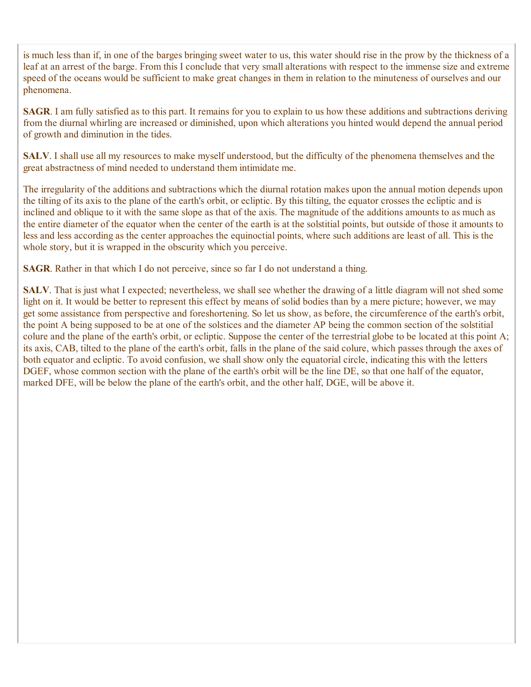is much less than if, in one of the barges bringing sweet water to us, this water should rise in the prow by the thickness of a leaf at an arrest of the barge. From this I conclude that very small alterations with respect to the immense size and extreme speed of the oceans would be sufficient to make great changes in them in relation to the minuteness of ourselves and our phenomena.

SAGR. I am fully satisfied as to this part. It remains for you to explain to us how these additions and subtractions deriving from the diurnal whirling are increased or diminished, upon which alterations you hinted would depend the annual period of growth and diminution in the tides.

SALV. I shall use all my resources to make myself understood, but the difficulty of the phenomena themselves and the great abstractness of mind needed to understand them intimidate me.

The irregularity of the additions and subtractions which the diurnal rotation makes upon the annual motion depends upon the tilting of its axis to the plane of the earth's orbit, or ecliptic. By this tilting, the equator crosses the ecliptic and is inclined and oblique to it with the same slope as that of the axis. The magnitude of the additions amounts to as much as the entire diameter of the equator when the center of the earth is at the solstitial points, but outside of those it amounts to less and less according as the center approaches the equinoctial points, where such additions are least of all. This is the whole story, but it is wrapped in the obscurity which you perceive.

SAGR. Rather in that which I do not perceive, since so far I do not understand a thing.

SALV. That is just what I expected; nevertheless, we shall see whether the drawing of a little diagram will not shed some light on it. It would be better to represent this effect by means of solid bodies than by a mere picture; however, we may get some assistance from perspective and foreshortening. So let us show, as before, the circumference of the earth's orbit, the point A being supposed to be at one of the solstices and the diameter AP being the common section of the solstitial colure and the plane of the earth's orbit, or ecliptic. Suppose the center of the terrestrial globe to be located at this point A; its axis, CAB, tilted to the plane of the earth's orbit, falls in the plane of the said colure, which passes through the axes of both equator and ecliptic. To avoid confusion, we shall show only the equatorial circle, indicating this with the letters DGEF, whose common section with the plane of the earth's orbit will be the line DE, so that one half of the equator, marked DFE, will be below the plane of the earth's orbit, and the other half, DGE, will be above it.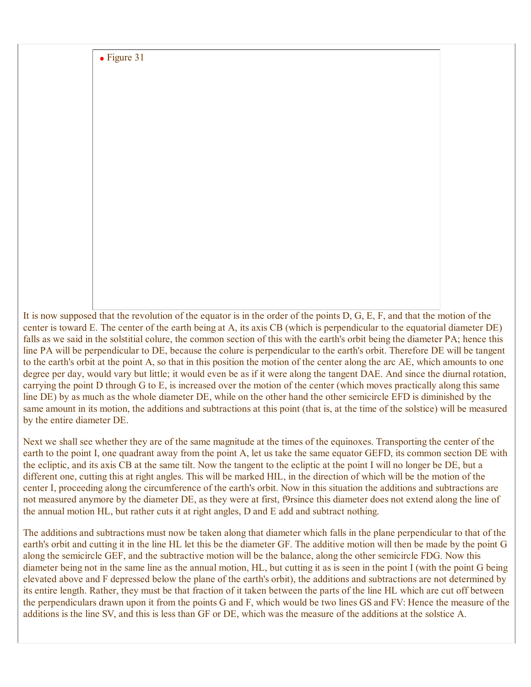• Figure 31

It is now supposed that the revolution of the equator is in the order of the points D, G, E, F, and that the motion of the center is toward E. The center of the earth being at A, its axis CB (which is perpendicular to the equatorial diameter DE) falls as we said in the solstitial colure, the common section of this with the earth's orbit being the diameter PA; hence this line PA will be perpendicular to DE, because the colure is perpendicular to the earth's orbit. Therefore DE will be tangent to the earth's orbit at the point A, so that in this position the motion of the center along the arc AE, which amounts to one degree per day, would vary but little; it would even be as if it were along the tangent DAE. And since the diurnal rotation, carrying the point D through G to E, is increased over the motion of the center (which moves practically along this same line DE) by as much as the whole diameter DE, while on the other hand the other semicircle EFD is diminished by the same amount in its motion, the additions and subtractions at this point (that is, at the time of the solstice) will be measured by the entire diameter DE.

Next we shall see whether they are of the same magnitude at the times of the equinoxes. Transporting the center of the earth to the point I, one quadrant away from the point A, let us take the same equator GEFD, its common section DE with the ecliptic, and its axis CB at the same tilt. Now the tangent to the ecliptic at the point I will no longer be DE, but a different one, cutting this at right angles. This will be marked HIL, in the direction of which will be the motion of the center I, proceeding along the circumference of the earth's orbit. Now in this situation the additions and subtractions are not measured anymore by the diameter DE, as they were at first, f9rsince this diameter does not extend along the line of the annual motion HL, but rather cuts it at right angles, D and E add and subtract nothing.

The additions and subtractions must now be taken along that diameter which falls in the plane perpendicular to that of the earth's orbit and cutting it in the line HL let this be the diameter GF. The additive motion will then be made by the point G along the semicircle GEF, and the subtractive motion will be the balance, along the other semicircle FDG. Now this diameter being not in the same line as the annual motion, HL, but cutting it as is seen in the point I (with the point G being elevated above and F depressed below the plane of the earth's orbit), the additions and subtractions are not determined by its entire length. Rather, they must be that fraction of it taken between the parts of the line HL which are cut off between the perpendiculars drawn upon it from the points G and F, which would be two lines GS and FV: Hence the measure of the additions is the line SV, and this is less than GF or DE, which was the measure of the additions at the solstice A.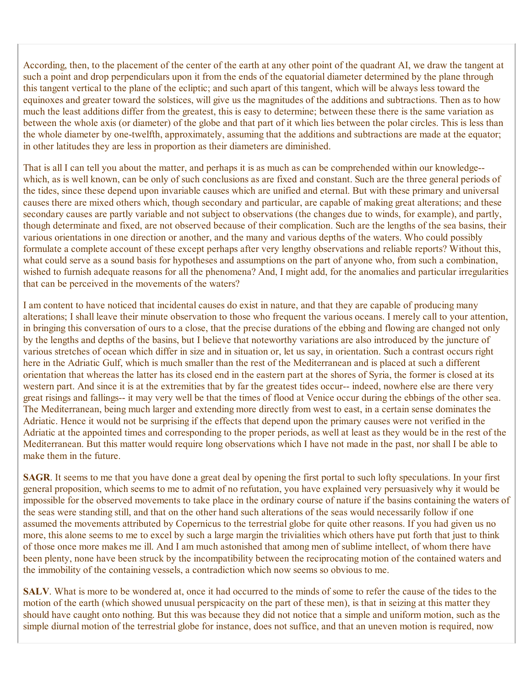According, then, to the placement of the center of the earth at any other point of the quadrant AI, we draw the tangent at such a point and drop perpendiculars upon it from the ends of the equatorial diameter determined by the plane through this tangent vertical to the plane of the ecliptic; and such apart of this tangent, which will be always less toward the equinoxes and greater toward the solstices, will give us the magnitudes of the additions and subtractions. Then as to how much the least additions differ from the greatest, this is easy to determine; between these there is the same variation as between the whole axis (or diameter) of the globe and that part of it which lies between the polar circles. This is less than the whole diameter by one-twelfth, approximately, assuming that the additions and subtractions are made at the equator; in other latitudes they are less in proportion as their diameters are diminished.

That is all I can tell you about the matter, and perhaps it is as much as can be comprehended within our knowledge- which, as is well known, can be only of such conclusions as are fixed and constant. Such are the three general periods of the tides, since these depend upon invariable causes which are unified and eternal. But with these primary and universal causes there are mixed others which, though secondary and particular, are capable of making great alterations; and these secondary causes are partly variable and not subject to observations (the changes due to winds, for example), and partly, though determinate and fixed, are not observed because of their complication. Such are the lengths of the sea basins, their various orientations in one direction or another, and the many and various depths of the waters. Who could possibly formulate a complete account of these except perhaps after very lengthy observations and reliable reports? Without this, what could serve as a sound basis for hypotheses and assumptions on the part of anyone who, from such a combination, wished to furnish adequate reasons for all the phenomena? And, I might add, for the anomalies and particular irregularities that can be perceived in the movements of the waters?

I am content to have noticed that incidental causes do exist in nature, and that they are capable of producing many alterations; I shall leave their minute observation to those who frequent the various oceans. I merely call to your attention, in bringing this conversation of ours to a close, that the precise durations of the ebbing and flowing are changed not only by the lengths and depths of the basins, but I believe that noteworthy variations are also introduced by the juncture of various stretches of ocean which differ in size and in situation or, let us say, in orientation. Such a contrast occurs right here in the Adriatic Gulf, which is much smaller than the rest of the Mediterranean and is placed at such a different orientation that whereas the latter has its closed end in the eastern part at the shores of Syria, the former is closed at its western part. And since it is at the extremities that by far the greatest tides occur-- indeed, nowhere else are there very great risings and fallings-- it may very well be that the times of flood at Venice occur during the ebbings of the other sea. The Mediterranean, being much larger and extending more directly from west to east, in a certain sense dominates the Adriatic. Hence it would not be surprising if the effects that depend upon the primary causes were not verified in the Adriatic at the appointed times and corresponding to the proper periods, as well at least as they would be in the rest of the Mediterranean. But this matter would require long observations which I have not made in the past, nor shall I be able to make them in the future.

SAGR. It seems to me that you have done a great deal by opening the first portal to such lofty speculations. In your first general proposition, which seems to me to admit of no refutation, you have explained very persuasively why it would be impossible for the observed movements to take place in the ordinary course of nature if the basins containing the waters of the seas were standing still, and that on the other hand such alterations of the seas would necessarily follow if one assumed the movements attributed by Copernicus to the terrestrial globe for quite other reasons. If you had given us no more, this alone seems to me to excel by such a large margin the trivialities which others have put forth that just to think of those once more makes me ill. And I am much astonished that among men of sublime intellect, of whom there have been plenty, none have been struck by the incompatibility between the reciprocating motion of the contained waters and the immobility of the containing vessels, a contradiction which now seems so obvious to me.

SALV. What is more to be wondered at, once it had occurred to the minds of some to refer the cause of the tides to the motion of the earth (which showed unusual perspicacity on the part of these men), is that in seizing at this matter they should have caught onto nothing. But this was because they did not notice that a simple and uniform motion, such as the simple diurnal motion of the terrestrial globe for instance, does not suffice, and that an uneven motion is required, now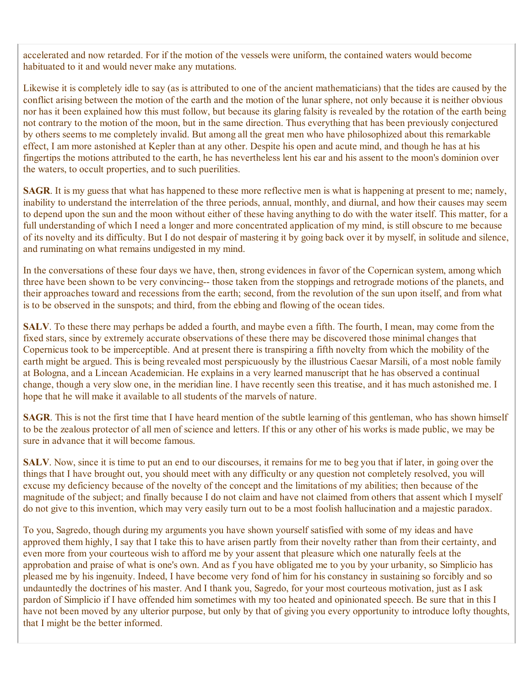accelerated and now retarded. For if the motion of the vessels were uniform, the contained waters would become habituated to it and would never make any mutations.

Likewise it is completely idle to say (as is attributed to one of the ancient mathematicians) that the tides are caused by the conflict arising between the motion of the earth and the motion of the lunar sphere, not only because it is neither obvious nor has it been explained how this must follow, but because its glaring falsity is revealed by the rotation of the earth being not contrary to the motion of the moon, but in the same direction. Thus everything that has been previously conjectured by others seems to me completely invalid. But among all the great men who have philosophized about this remarkable effect, I am more astonished at Kepler than at any other. Despite his open and acute mind, and though he has at his fingertips the motions attributed to the earth, he has nevertheless lent his ear and his assent to the moon's dominion over the waters, to occult properties, and to such puerilities.

SAGR. It is my guess that what has happened to these more reflective men is what is happening at present to me; namely, inability to understand the interrelation of the three periods, annual, monthly, and diurnal, and how their causes may seem to depend upon the sun and the moon without either of these having anything to do with the water itself. This matter, for a full understanding of which I need a longer and more concentrated application of my mind, is still obscure to me because of its novelty and its difficulty. But I do not despair of mastering it by going back over it by myself, in solitude and silence, and ruminating on what remains undigested in my mind.

In the conversations of these four days we have, then, strong evidences in favor of the Copernican system, among which three have been shown to be very convincing-- those taken from the stoppings and retrograde motions of the planets, and their approaches toward and recessions from the earth; second, from the revolution of the sun upon itself, and from what is to be observed in the sunspots; and third, from the ebbing and flowing of the ocean tides.

SALV. To these there may perhaps be added a fourth, and maybe even a fifth. The fourth, I mean, may come from the fixed stars, since by extremely accurate observations of these there may be discovered those minimal changes that Copernicus took to be imperceptible. And at present there is transpiring a fifth novelty from which the mobility of the earth might be argued. This is being revealed most perspicuously by the illustrious Caesar Marsili, of a most noble family at Bologna, and a Lincean Academician. He explains in a very learned manuscript that he has observed a continual change, though a very slow one, in the meridian line. I have recently seen this treatise, and it has much astonished me. I hope that he will make it available to all students of the marvels of nature.

SAGR. This is not the first time that I have heard mention of the subtle learning of this gentleman, who has shown himself to be the zealous protector of all men of science and letters. If this or any other of his works is made public, we may be sure in advance that it will become famous.

SALV. Now, since it is time to put an end to our discourses, it remains for me to beg you that if later, in going over the things that I have brought out, you should meet with any difficulty or any question not completely resolved, you will excuse my deficiency because of the novelty of the concept and the limitations of my abilities; then because of the magnitude of the subject; and finally because I do not claim and have not claimed from others that assent which I myself do not give to this invention, which may very easily turn out to be a most foolish hallucination and a majestic paradox.

To you, Sagredo, though during my arguments you have shown yourself satisfied with some of my ideas and have approved them highly, I say that I take this to have arisen partly from their novelty rather than from their certainty, and even more from your courteous wish to afford me by your assent that pleasure which one naturally feels at the approbation and praise of what is one's own. And as f you have obligated me to you by your urbanity, so Simplicio has pleased me by his ingenuity. Indeed, I have become very fond of him for his constancy in sustaining so forcibly and so undauntedly the doctrines of his master. And I thank you, Sagredo, for your most courteous motivation, just as I ask pardon of Simplicio if I have offended him sometimes with my too heated and opinionated speech. Be sure that in this I have not been moved by any ulterior purpose, but only by that of giving you every opportunity to introduce lofty thoughts, that I might be the better informed.